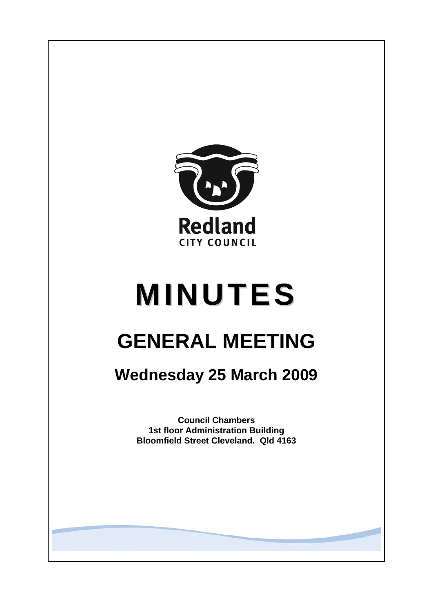

# **MINUTES**

# **GENERAL MEETING**

## **Wednesday 25 March 2009**

**Council Chambers 1st floor Administration Building Bloomfield Street Cleveland. Qld 4163**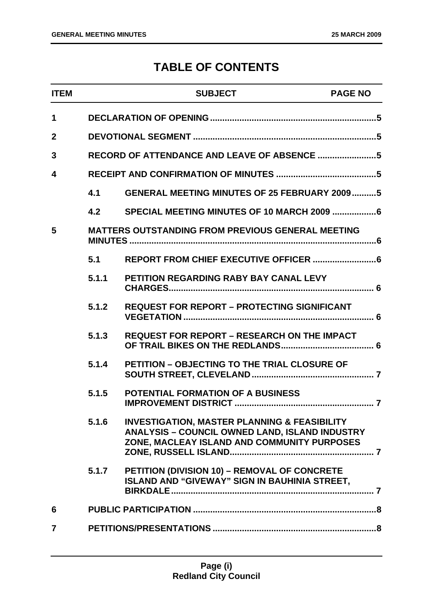### **TABLE OF CONTENTS**

| <b>ITEM</b>    |       | <b>SUBJECT</b>                                                                                                                                                  | <b>PAGE NO</b> |
|----------------|-------|-----------------------------------------------------------------------------------------------------------------------------------------------------------------|----------------|
| $\mathbf 1$    |       |                                                                                                                                                                 |                |
| $\mathbf{2}$   |       |                                                                                                                                                                 |                |
| 3              |       |                                                                                                                                                                 |                |
| 4              |       |                                                                                                                                                                 |                |
|                | 4.1   | <b>GENERAL MEETING MINUTES OF 25 FEBRUARY 20095</b>                                                                                                             |                |
|                | 4.2   |                                                                                                                                                                 |                |
| 5              |       | <b>MATTERS OUTSTANDING FROM PREVIOUS GENERAL MEETING</b>                                                                                                        |                |
|                | 5.1   |                                                                                                                                                                 |                |
|                | 5.1.1 | <b>PETITION REGARDING RABY BAY CANAL LEVY</b>                                                                                                                   |                |
|                | 5.1.2 | <b>REQUEST FOR REPORT - PROTECTING SIGNIFICANT</b>                                                                                                              |                |
|                | 5.1.3 | <b>REQUEST FOR REPORT – RESEARCH ON THE IMPACT</b>                                                                                                              |                |
|                | 5.1.4 | <b>PETITION - OBJECTING TO THE TRIAL CLOSURE OF</b>                                                                                                             |                |
|                | 5.1.5 | <b>POTENTIAL FORMATION OF A BUSINESS</b>                                                                                                                        |                |
|                | 5.1.6 | <b>INVESTIGATION, MASTER PLANNING &amp; FEASIBILITY</b><br><b>ANALYSIS - COUNCIL OWNED LAND, ISLAND INDUSTRY</b><br>ZONE, MACLEAY ISLAND AND COMMUNITY PURPOSES |                |
|                | 5.1.7 | PETITION (DIVISION 10) - REMOVAL OF CONCRETE<br><b>ISLAND AND "GIVEWAY" SIGN IN BAUHINIA STREET,</b>                                                            |                |
| 6              |       |                                                                                                                                                                 |                |
| $\overline{7}$ |       |                                                                                                                                                                 |                |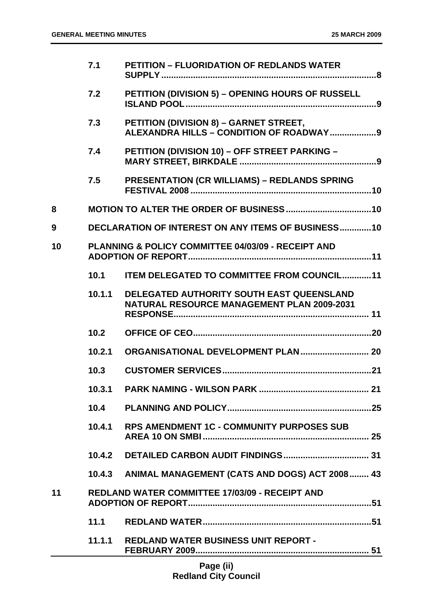|    | 7.1    | <b>PETITION - FLUORIDATION OF REDLANDS WATER</b>                                               |
|----|--------|------------------------------------------------------------------------------------------------|
|    | 7.2    | PETITION (DIVISION 5) - OPENING HOURS OF RUSSELL                                               |
|    | 7.3    | PETITION (DIVISION 8) - GARNET STREET,                                                         |
|    | 7.4    | PETITION (DIVISION 10) - OFF STREET PARKING -                                                  |
|    | 7.5    | <b>PRESENTATION (CR WILLIAMS) - REDLANDS SPRING</b>                                            |
| 8  |        |                                                                                                |
| 9  |        | <b>DECLARATION OF INTEREST ON ANY ITEMS OF BUSINESS10</b>                                      |
| 10 |        | PLANNING & POLICY COMMITTEE 04/03/09 - RECEIPT AND                                             |
|    | 10.1   | <b>ITEM DELEGATED TO COMMITTEE FROM COUNCIL11</b>                                              |
|    | 10.1.1 | DELEGATED AUTHORITY SOUTH EAST QUEENSLAND<br><b>NATURAL RESOURCE MANAGEMENT PLAN 2009-2031</b> |
|    | 10.2   |                                                                                                |
|    | 10.2.1 |                                                                                                |
|    | 10.3   |                                                                                                |
|    | 10.3.1 |                                                                                                |
|    | 10.4   |                                                                                                |
|    | 10.4.1 | <b>RPS AMENDMENT 1C - COMMUNITY PURPOSES SUB</b>                                               |
|    | 10.4.2 |                                                                                                |
|    | 10.4.3 | ANIMAL MANAGEMENT (CATS AND DOGS) ACT 2008 43                                                  |
| 11 |        | <b>REDLAND WATER COMMITTEE 17/03/09 - RECEIPT AND</b>                                          |
|    | 11.1   |                                                                                                |
|    | 11.1.1 | <b>REDLAND WATER BUSINESS UNIT REPORT -</b>                                                    |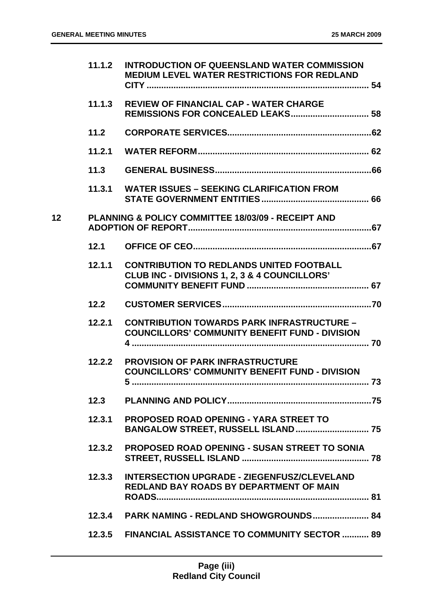|                 | 11.1,2 | <b>INTRODUCTION OF QUEENSLAND WATER COMMISSION</b><br><b>MEDIUM LEVEL WATER RESTRICTIONS FOR REDLAND</b>   |
|-----------------|--------|------------------------------------------------------------------------------------------------------------|
|                 | 11.1.3 | <b>REVIEW OF FINANCIAL CAP - WATER CHARGE</b>                                                              |
|                 | 11.2   |                                                                                                            |
|                 | 11.2.1 |                                                                                                            |
|                 | 11.3   |                                                                                                            |
|                 |        | 11.3.1 WATER ISSUES - SEEKING CLARIFICATION FROM                                                           |
| 12 <sub>2</sub> |        | <b>PLANNING &amp; POLICY COMMITTEE 18/03/09 - RECEIPT AND</b>                                              |
|                 | 12.1   |                                                                                                            |
|                 | 12.1.1 | <b>CONTRIBUTION TO REDLANDS UNITED FOOTBALL</b><br>CLUB INC - DIVISIONS 1, 2, 3 & 4 COUNCILLORS'           |
|                 | 12.2   |                                                                                                            |
|                 | 12.2.1 | <b>CONTRIBUTION TOWARDS PARK INFRASTRUCTURE -</b><br><b>COUNCILLORS' COMMUNITY BENEFIT FUND - DIVISION</b> |
|                 | 12.2.2 | <b>PROVISION OF PARK INFRASTRUCTURE</b><br><b>COUNCILLORS' COMMUNITY BENEFIT FUND - DIVISION</b>           |
|                 |        |                                                                                                            |
|                 | 12.3.1 | <b>PROPOSED ROAD OPENING - YARA STREET TO</b>                                                              |
|                 | 12.3.2 | <b>PROPOSED ROAD OPENING - SUSAN STREET TO SONIA</b>                                                       |
|                 | 12.3.3 | <b>INTERSECTION UPGRADE - ZIEGENFUSZ/CLEVELAND</b><br><b>REDLAND BAY ROADS BY DEPARTMENT OF MAIN</b>       |
|                 | 12.3.4 | <b>PARK NAMING - REDLAND SHOWGROUNDS 84</b>                                                                |
|                 | 12.3.5 | <b>FINANCIAL ASSISTANCE TO COMMUNITY SECTOR  89</b>                                                        |
|                 |        |                                                                                                            |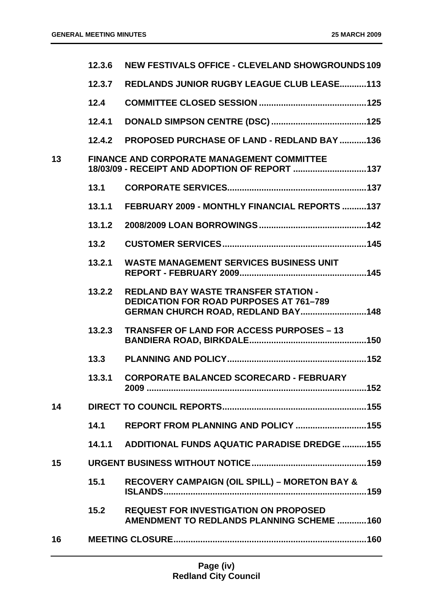|    | 12.3.6 | <b>NEW FESTIVALS OFFICE - CLEVELAND SHOWGROUNDS 109</b>                                                                             |  |
|----|--------|-------------------------------------------------------------------------------------------------------------------------------------|--|
|    | 12.3.7 | <b>REDLANDS JUNIOR RUGBY LEAGUE CLUB LEASE113</b>                                                                                   |  |
|    | 12.4   |                                                                                                                                     |  |
|    | 12.4.1 |                                                                                                                                     |  |
|    | 12.4.2 | <b>PROPOSED PURCHASE OF LAND - REDLAND BAY 136</b>                                                                                  |  |
| 13 |        | <b>FINANCE AND CORPORATE MANAGEMENT COMMITTEE</b><br>18/03/09 - RECEIPT AND ADOPTION OF REPORT 137                                  |  |
|    | 13.1   |                                                                                                                                     |  |
|    | 13.1.1 | FEBRUARY 2009 - MONTHLY FINANCIAL REPORTS 137                                                                                       |  |
|    | 13.1.2 |                                                                                                                                     |  |
|    | 13.2   |                                                                                                                                     |  |
|    | 13.2.1 | <b>WASTE MANAGEMENT SERVICES BUSINESS UNIT</b>                                                                                      |  |
|    | 13.2.2 | <b>REDLAND BAY WASTE TRANSFER STATION -</b><br><b>DEDICATION FOR ROAD PURPOSES AT 761-789</b><br>GERMAN CHURCH ROAD, REDLAND BAY148 |  |
|    | 13.2.3 | <b>TRANSFER OF LAND FOR ACCESS PURPOSES - 13</b>                                                                                    |  |
|    | 13.3   |                                                                                                                                     |  |
|    | 13.3.1 | <b>CORPORATE BALANCED SCORECARD - FEBRUARY</b>                                                                                      |  |
| 14 |        |                                                                                                                                     |  |
|    | 14.1   |                                                                                                                                     |  |
|    | 14.1.1 | <b>ADDITIONAL FUNDS AQUATIC PARADISE DREDGE 155</b>                                                                                 |  |
| 15 |        |                                                                                                                                     |  |
|    | 15.1   | <b>RECOVERY CAMPAIGN (OIL SPILL) - MORETON BAY &amp;</b>                                                                            |  |
|    | 15.2   | <b>REQUEST FOR INVESTIGATION ON PROPOSED</b><br><b>AMENDMENT TO REDLANDS PLANNING SCHEME 160</b>                                    |  |
| 16 |        |                                                                                                                                     |  |
|    |        |                                                                                                                                     |  |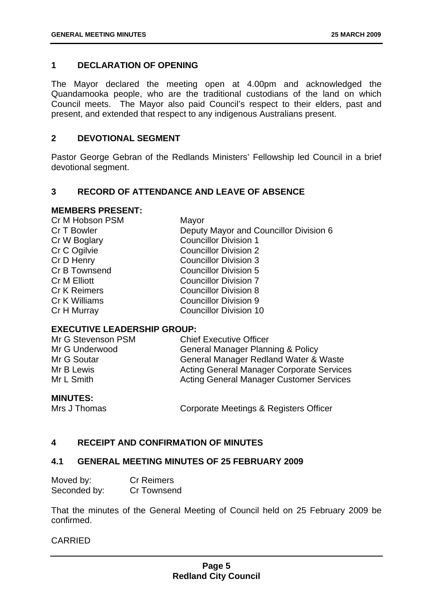#### <span id="page-5-0"></span>**1 DECLARATION OF OPENING**

The Mayor declared the meeting open at 4.00pm and acknowledged the Quandamooka people, who are the traditional custodians of the land on which Council meets. The Mayor also paid Council's respect to their elders, past and present, and extended that respect to any indigenous Australians present.

#### **2 DEVOTIONAL SEGMENT**

Pastor George Gebran of the Redlands Ministers' Fellowship led Council in a brief devotional segment.

#### **3 RECORD OF ATTENDANCE AND LEAVE OF ABSENCE**

#### **MEMBERS PRESENT:**

| Cr M Hobson PSM     | Mayor                                  |
|---------------------|----------------------------------------|
| Cr T Bowler         | Deputy Mayor and Councillor Division 6 |
| Cr W Boglary        | <b>Councillor Division 1</b>           |
| Cr C Ogilvie        | <b>Councillor Division 2</b>           |
| Cr D Henry          | <b>Councillor Division 3</b>           |
| Cr B Townsend       | <b>Councillor Division 5</b>           |
| <b>Cr M Elliott</b> | <b>Councillor Division 7</b>           |
| <b>Cr K Reimers</b> | <b>Councillor Division 8</b>           |
| Cr K Williams       | <b>Councillor Division 9</b>           |
| Cr H Murray         | <b>Councillor Division 10</b>          |

#### **EXECUTIVE LEADERSHIP GROUP:**

| Mr G Stevenson PSM | <b>Chief Executive Officer</b>                   |
|--------------------|--------------------------------------------------|
| Mr G Underwood     | <b>General Manager Planning &amp; Policy</b>     |
| Mr G Soutar        | General Manager Redland Water & Waste            |
| Mr B Lewis         | <b>Acting General Manager Corporate Services</b> |
| Mr L Smith         | <b>Acting General Manager Customer Services</b>  |
|                    |                                                  |

#### **MINUTES:**

Mrs J Thomas **Corporate Meetings & Registers Officer** 

#### **4 RECEIPT AND CONFIRMATION OF MINUTES**

#### **4.1 GENERAL MEETING MINUTES OF 25 FEBRUARY 2009**

| Moved by:    | <b>Cr Reimers</b>  |
|--------------|--------------------|
| Seconded by: | <b>Cr Townsend</b> |

That the minutes of the General Meeting of Council held on 25 February 2009 be confirmed.

#### CARRIED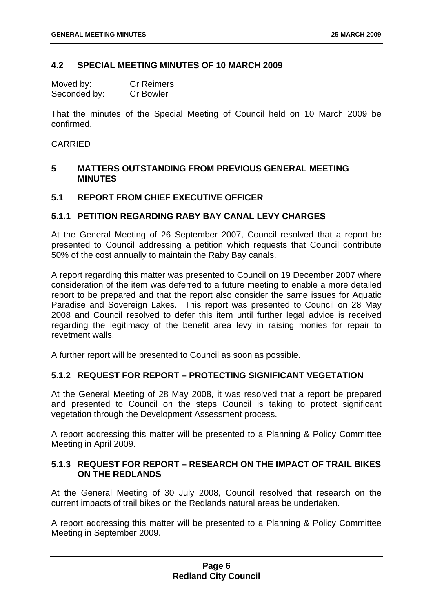#### <span id="page-6-0"></span>**4.2 SPECIAL MEETING MINUTES OF 10 MARCH 2009**

| Moved by:    | <b>Cr Reimers</b> |
|--------------|-------------------|
| Seconded by: | <b>Cr Bowler</b>  |

That the minutes of the Special Meeting of Council held on 10 March 2009 be confirmed.

#### CARRIED

#### **5 MATTERS OUTSTANDING FROM PREVIOUS GENERAL MEETING MINUTES**

#### **5.1 REPORT FROM CHIEF EXECUTIVE OFFICER**

#### **5.1.1 PETITION REGARDING RABY BAY CANAL LEVY CHARGES**

At the General Meeting of 26 September 2007, Council resolved that a report be presented to Council addressing a petition which requests that Council contribute 50% of the cost annually to maintain the Raby Bay canals.

A report regarding this matter was presented to Council on 19 December 2007 where consideration of the item was deferred to a future meeting to enable a more detailed report to be prepared and that the report also consider the same issues for Aquatic Paradise and Sovereign Lakes. This report was presented to Council on 28 May 2008 and Council resolved to defer this item until further legal advice is received regarding the legitimacy of the benefit area levy in raising monies for repair to revetment walls.

A further report will be presented to Council as soon as possible.

#### **5.1.2 REQUEST FOR REPORT – PROTECTING SIGNIFICANT VEGETATION**

At the General Meeting of 28 May 2008, it was resolved that a report be prepared and presented to Council on the steps Council is taking to protect significant vegetation through the Development Assessment process.

A report addressing this matter will be presented to a Planning & Policy Committee Meeting in April 2009.

#### **5.1.3 REQUEST FOR REPORT – RESEARCH ON THE IMPACT OF TRAIL BIKES ON THE REDLANDS**

At the General Meeting of 30 July 2008, Council resolved that research on the current impacts of trail bikes on the Redlands natural areas be undertaken.

A report addressing this matter will be presented to a Planning & Policy Committee Meeting in September 2009.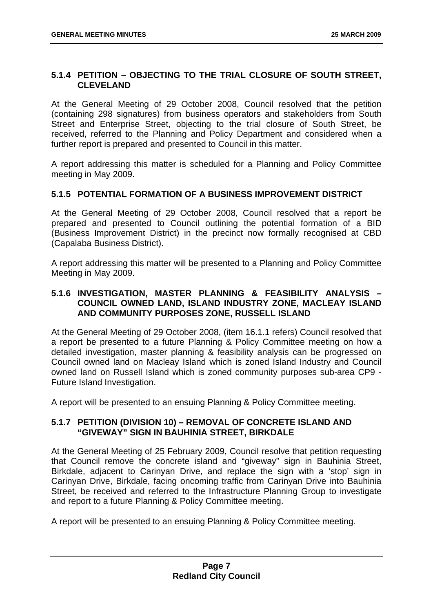#### <span id="page-7-0"></span>**5.1.4 PETITION – OBJECTING TO THE TRIAL CLOSURE OF SOUTH STREET, CLEVELAND**

At the General Meeting of 29 October 2008, Council resolved that the petition (containing 298 signatures) from business operators and stakeholders from South Street and Enterprise Street, objecting to the trial closure of South Street, be received, referred to the Planning and Policy Department and considered when a further report is prepared and presented to Council in this matter.

A report addressing this matter is scheduled for a Planning and Policy Committee meeting in May 2009.

#### **5.1.5 POTENTIAL FORMATION OF A BUSINESS IMPROVEMENT DISTRICT**

At the General Meeting of 29 October 2008, Council resolved that a report be prepared and presented to Council outlining the potential formation of a BID (Business Improvement District) in the precinct now formally recognised at CBD (Capalaba Business District).

A report addressing this matter will be presented to a Planning and Policy Committee Meeting in May 2009.

#### **5.1.6 INVESTIGATION, MASTER PLANNING & FEASIBILITY ANALYSIS – COUNCIL OWNED LAND, ISLAND INDUSTRY ZONE, MACLEAY ISLAND AND COMMUNITY PURPOSES ZONE, RUSSELL ISLAND**

At the General Meeting of 29 October 2008, (item 16.1.1 refers) Council resolved that a report be presented to a future Planning & Policy Committee meeting on how a detailed investigation, master planning & feasibility analysis can be progressed on Council owned land on Macleay Island which is zoned Island Industry and Council owned land on Russell Island which is zoned community purposes sub-area CP9 - Future Island Investigation.

A report will be presented to an ensuing Planning & Policy Committee meeting.

#### **5.1.7 PETITION (DIVISION 10) – REMOVAL OF CONCRETE ISLAND AND "GIVEWAY" SIGN IN BAUHINIA STREET, BIRKDALE**

At the General Meeting of 25 February 2009, Council resolve that petition requesting that Council remove the concrete island and "giveway" sign in Bauhinia Street, Birkdale, adjacent to Carinyan Drive, and replace the sign with a 'stop' sign in Carinyan Drive, Birkdale, facing oncoming traffic from Carinyan Drive into Bauhinia Street, be received and referred to the Infrastructure Planning Group to investigate and report to a future Planning & Policy Committee meeting.

A report will be presented to an ensuing Planning & Policy Committee meeting.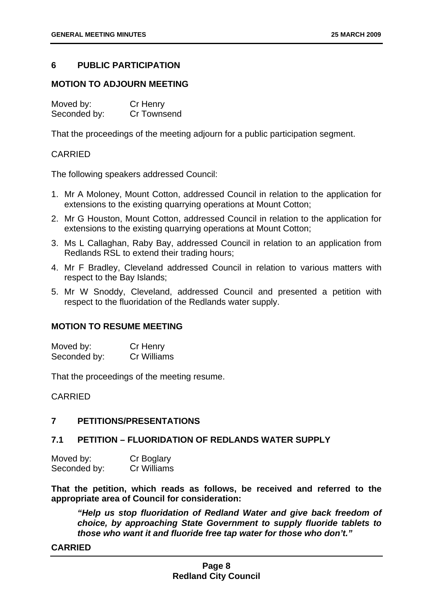#### <span id="page-8-0"></span>**6 PUBLIC PARTICIPATION**

#### **MOTION TO ADJOURN MEETING**

Moved by: Cr Henry Seconded by: Cr Townsend

That the proceedings of the meeting adjourn for a public participation segment.

#### CARRIED

The following speakers addressed Council:

- 1. Mr A Moloney, Mount Cotton, addressed Council in relation to the application for extensions to the existing quarrying operations at Mount Cotton;
- 2. Mr G Houston, Mount Cotton, addressed Council in relation to the application for extensions to the existing quarrying operations at Mount Cotton;
- 3. Ms L Callaghan, Raby Bay, addressed Council in relation to an application from Redlands RSL to extend their trading hours;
- 4. Mr F Bradley, Cleveland addressed Council in relation to various matters with respect to the Bay Islands;
- 5. Mr W Snoddy, Cleveland, addressed Council and presented a petition with respect to the fluoridation of the Redlands water supply.

#### **MOTION TO RESUME MEETING**

Moved by: Cr Henry Seconded by: Cr Williams

That the proceedings of the meeting resume.

CARRIED

#### **7 PETITIONS/PRESENTATIONS**

#### **7.1 PETITION – FLUORIDATION OF REDLANDS WATER SUPPLY**

| Moved by:    | Cr Boglary  |
|--------------|-------------|
| Seconded by: | Cr Williams |

**That the petition, which reads as follows, be received and referred to the appropriate area of Council for consideration:** 

 *"Help us stop fluoridation of Redland Water and give back freedom of choice, by approaching State Government to supply fluoride tablets to those who want it and fluoride free tap water for those who don't."* 

#### **CARRIED**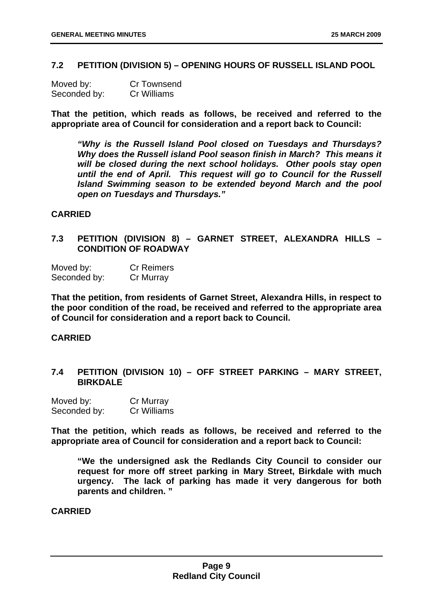#### <span id="page-9-0"></span>**7.2 PETITION (DIVISION 5) – OPENING HOURS OF RUSSELL ISLAND POOL**

| Moved by:    | <b>Cr Townsend</b> |
|--------------|--------------------|
| Seconded by: | Cr Williams        |

**That the petition, which reads as follows, be received and referred to the appropriate area of Council for consideration and a report back to Council:** 

 *"Why is the Russell Island Pool closed on Tuesdays and Thursdays? Why does the Russell island Pool season finish in March? This means it will be closed during the next school holidays. Other pools stay open until the end of April. This request will go to Council for the Russell Island Swimming season to be extended beyond March and the pool open on Tuesdays and Thursdays."* 

#### **CARRIED**

#### **7.3 PETITION (DIVISION 8) – GARNET STREET, ALEXANDRA HILLS – CONDITION OF ROADWAY**

Moved by: Cr Reimers Seconded by: Cr Murray

**That the petition, from residents of Garnet Street, Alexandra Hills, in respect to the poor condition of the road, be received and referred to the appropriate area of Council for consideration and a report back to Council.** 

#### **CARRIED**

#### **7.4 PETITION (DIVISION 10) – OFF STREET PARKING – MARY STREET, BIRKDALE**

| Moved by:    | Cr Murray          |
|--------------|--------------------|
| Seconded by: | <b>Cr Williams</b> |

**That the petition, which reads as follows, be received and referred to the appropriate area of Council for consideration and a report back to Council:** 

 **"We the undersigned ask the Redlands City Council to consider our request for more off street parking in Mary Street, Birkdale with much urgency. The lack of parking has made it very dangerous for both parents and children. "** 

**CARRIED**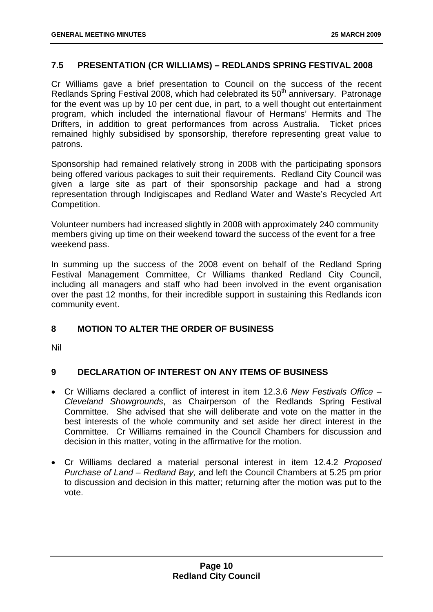#### <span id="page-10-0"></span>**7.5 PRESENTATION (CR WILLIAMS) – REDLANDS SPRING FESTIVAL 2008**

Cr Williams gave a brief presentation to Council on the success of the recent Redlands Spring Festival 2008, which had celebrated its 50<sup>th</sup> anniversary. Patronage for the event was up by 10 per cent due, in part, to a well thought out entertainment program, which included the international flavour of Hermans' Hermits and The Drifters, in addition to great performances from across Australia. Ticket prices remained highly subsidised by sponsorship, therefore representing great value to patrons.

Sponsorship had remained relatively strong in 2008 with the participating sponsors being offered various packages to suit their requirements. Redland City Council was given a large site as part of their sponsorship package and had a strong representation through Indigiscapes and Redland Water and Waste's Recycled Art Competition.

Volunteer numbers had increased slightly in 2008 with approximately 240 community members giving up time on their weekend toward the success of the event for a free weekend pass.

In summing up the success of the 2008 event on behalf of the Redland Spring Festival Management Committee, Cr Williams thanked Redland City Council, including all managers and staff who had been involved in the event organisation over the past 12 months, for their incredible support in sustaining this Redlands icon community event.

#### **8 MOTION TO ALTER THE ORDER OF BUSINESS**

Nil

#### **9 DECLARATION OF INTEREST ON ANY ITEMS OF BUSINESS**

- Cr Williams declared a conflict of interest in item 12.3.6 *New Festivals Office Cleveland Showgrounds*, as Chairperson of the Redlands Spring Festival Committee. She advised that she will deliberate and vote on the matter in the best interests of the whole community and set aside her direct interest in the Committee. Cr Williams remained in the Council Chambers for discussion and decision in this matter, voting in the affirmative for the motion.
- Cr Williams declared a material personal interest in item 12.4.2 *Proposed Purchase of Land – Redland Bay,* and left the Council Chambers at 5.25 pm prior to discussion and decision in this matter; returning after the motion was put to the vote.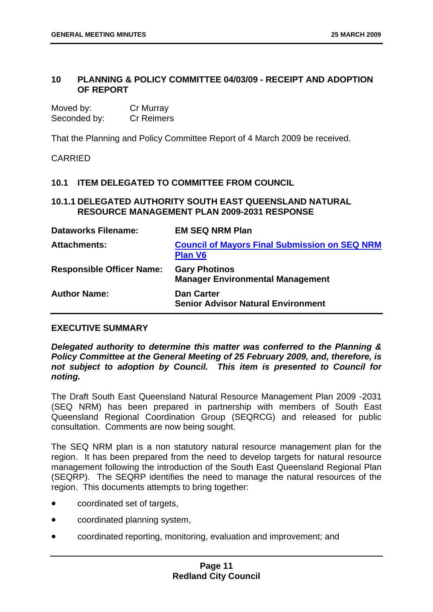#### <span id="page-11-0"></span>**10 PLANNING & POLICY COMMITTEE 04/03/09 - RECEIPT AND ADOPTION OF REPORT**

| Moved by:    | Cr Murray         |
|--------------|-------------------|
| Seconded by: | <b>Cr Reimers</b> |

That the Planning and Policy Committee Report of 4 March 2009 be received.

CARRIED

#### **10.1 ITEM DELEGATED TO COMMITTEE FROM COUNCIL**

#### **10.1.1 DELEGATED AUTHORITY SOUTH EAST QUEENSLAND NATURAL RESOURCE MANAGEMENT PLAN 2009-2031 RESPONSE**

| <b>Dataworks Filename:</b>       | <b>EM SEQ NRM Plan</b>                                                 |
|----------------------------------|------------------------------------------------------------------------|
| <b>Attachments:</b>              | <b>Council of Mayors Final Submission on SEQ NRM</b><br><b>Plan V6</b> |
| <b>Responsible Officer Name:</b> | <b>Gary Photinos</b><br><b>Manager Environmental Management</b>        |
| <b>Author Name:</b>              | <b>Dan Carter</b><br><b>Senior Advisor Natural Environment</b>         |

#### **EXECUTIVE SUMMARY**

*Delegated authority to determine this matter was conferred to the Planning & Policy Committee at the General Meeting of 25 February 2009, and, therefore, is not subject to adoption by Council. This item is presented to Council for noting.* 

The Draft South East Queensland Natural Resource Management Plan 2009 -2031 (SEQ NRM) has been prepared in partnership with members of South East Queensland Regional Coordination Group (SEQRCG) and released for public consultation. Comments are now being sought.

The SEQ NRM plan is a non statutory natural resource management plan for the region. It has been prepared from the need to develop targets for natural resource management following the introduction of the South East Queensland Regional Plan (SEQRP). The SEQRP identifies the need to manage the natural resources of the region. This documents attempts to bring together:

- coordinated set of targets,
- coordinated planning system,
- coordinated reporting, monitoring, evaluation and improvement; and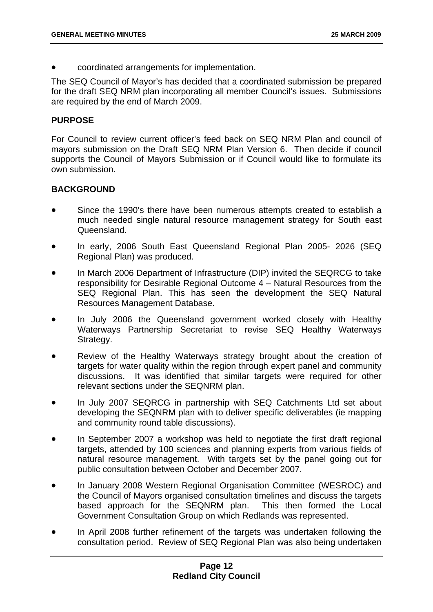• coordinated arrangements for implementation.

The SEQ Council of Mayor's has decided that a coordinated submission be prepared for the draft SEQ NRM plan incorporating all member Council's issues. Submissions are required by the end of March 2009.

#### **PURPOSE**

For Council to review current officer's feed back on SEQ NRM Plan and council of mayors submission on the Draft SEQ NRM Plan Version 6. Then decide if council supports the Council of Mayors Submission or if Council would like to formulate its own submission.

#### **BACKGROUND**

- Since the 1990's there have been numerous attempts created to establish a much needed single natural resource management strategy for South east Queensland.
- In early, 2006 South East Queensland Regional Plan 2005- 2026 (SEQ Regional Plan) was produced.
- In March 2006 Department of Infrastructure (DIP) invited the SEQRCG to take responsibility for Desirable Regional Outcome 4 – Natural Resources from the SEQ Regional Plan. This has seen the development the SEQ Natural Resources Management Database.
- In July 2006 the Queensland government worked closely with Healthy Waterways Partnership Secretariat to revise SEQ Healthy Waterways Strategy.
- Review of the Healthy Waterways strategy brought about the creation of targets for water quality within the region through expert panel and community discussions. It was identified that similar targets were required for other relevant sections under the SEQNRM plan.
- In July 2007 SEQRCG in partnership with SEQ Catchments Ltd set about developing the SEQNRM plan with to deliver specific deliverables (ie mapping and community round table discussions).
- In September 2007 a workshop was held to negotiate the first draft regional targets, attended by 100 sciences and planning experts from various fields of natural resource management. With targets set by the panel going out for public consultation between October and December 2007.
- In January 2008 Western Regional Organisation Committee (WESROC) and the Council of Mayors organised consultation timelines and discuss the targets based approach for the SEQNRM plan. This then formed the Local Government Consultation Group on which Redlands was represented.
- In April 2008 further refinement of the targets was undertaken following the consultation period. Review of SEQ Regional Plan was also being undertaken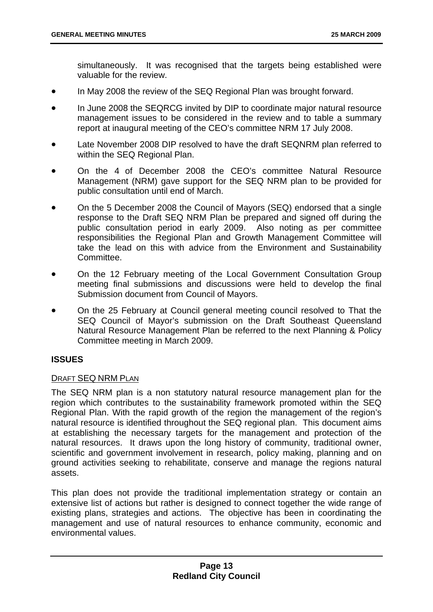simultaneously. It was recognised that the targets being established were valuable for the review.

- In May 2008 the review of the SEQ Regional Plan was brought forward.
- In June 2008 the SEQRCG invited by DIP to coordinate major natural resource management issues to be considered in the review and to table a summary report at inaugural meeting of the CEO's committee NRM 17 July 2008.
- Late November 2008 DIP resolved to have the draft SEQNRM plan referred to within the SEQ Regional Plan.
- On the 4 of December 2008 the CEO's committee Natural Resource Management (NRM) gave support for the SEQ NRM plan to be provided for public consultation until end of March.
- On the 5 December 2008 the Council of Mayors (SEQ) endorsed that a single response to the Draft SEQ NRM Plan be prepared and signed off during the public consultation period in early 2009. Also noting as per committee responsibilities the Regional Plan and Growth Management Committee will take the lead on this with advice from the Environment and Sustainability **Committee.**
- On the 12 February meeting of the Local Government Consultation Group meeting final submissions and discussions were held to develop the final Submission document from Council of Mayors.
- On the 25 February at Council general meeting council resolved to That the SEQ Council of Mayor's submission on the Draft Southeast Queensland Natural Resource Management Plan be referred to the next Planning & Policy Committee meeting in March 2009.

#### **ISSUES**

#### DRAFT SEQ NRM PLAN

The SEQ NRM plan is a non statutory natural resource management plan for the region which contributes to the sustainability framework promoted within the SEQ Regional Plan. With the rapid growth of the region the management of the region's natural resource is identified throughout the SEQ regional plan. This document aims at establishing the necessary targets for the management and protection of the natural resources. It draws upon the long history of community, traditional owner, scientific and government involvement in research, policy making, planning and on ground activities seeking to rehabilitate, conserve and manage the regions natural assets.

This plan does not provide the traditional implementation strategy or contain an extensive list of actions but rather is designed to connect together the wide range of existing plans, strategies and actions. The objective has been in coordinating the management and use of natural resources to enhance community, economic and environmental values.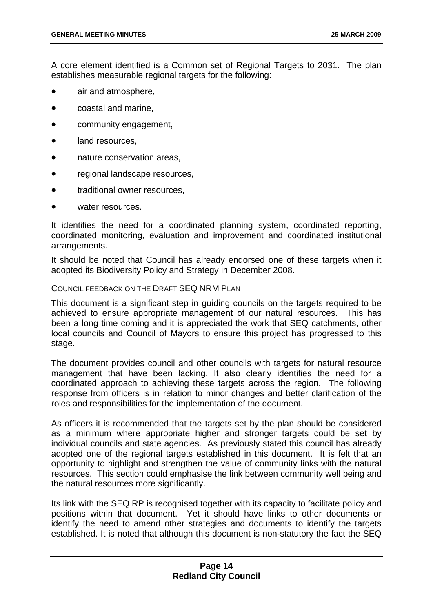A core element identified is a Common set of Regional Targets to 2031. The plan establishes measurable regional targets for the following:

- air and atmosphere,
- coastal and marine,
- community engagement,
- land resources.
- nature conservation areas.
- regional landscape resources.
- traditional owner resources,
- water resources.

It identifies the need for a coordinated planning system, coordinated reporting, coordinated monitoring, evaluation and improvement and coordinated institutional arrangements.

It should be noted that Council has already endorsed one of these targets when it adopted its Biodiversity Policy and Strategy in December 2008.

#### COUNCIL FEEDBACK ON THE DRAFT SEQ NRM PLAN

This document is a significant step in guiding councils on the targets required to be achieved to ensure appropriate management of our natural resources. This has been a long time coming and it is appreciated the work that SEQ catchments, other local councils and Council of Mayors to ensure this project has progressed to this stage.

The document provides council and other councils with targets for natural resource management that have been lacking. It also clearly identifies the need for a coordinated approach to achieving these targets across the region. The following response from officers is in relation to minor changes and better clarification of the roles and responsibilities for the implementation of the document.

As officers it is recommended that the targets set by the plan should be considered as a minimum where appropriate higher and stronger targets could be set by individual councils and state agencies. As previously stated this council has already adopted one of the regional targets established in this document. It is felt that an opportunity to highlight and strengthen the value of community links with the natural resources. This section could emphasise the link between community well being and the natural resources more significantly.

Its link with the SEQ RP is recognised together with its capacity to facilitate policy and positions within that document. Yet it should have links to other documents or identify the need to amend other strategies and documents to identify the targets established. It is noted that although this document is non-statutory the fact the SEQ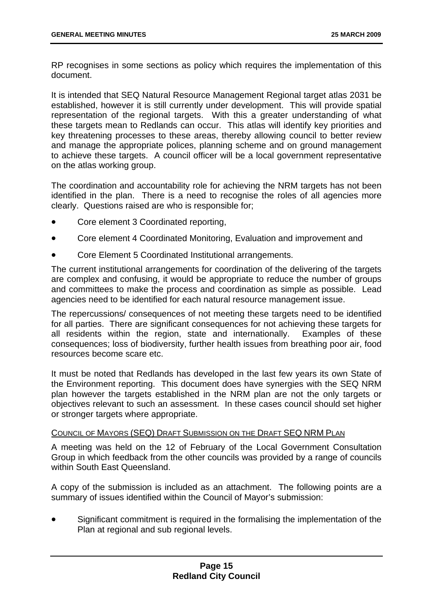RP recognises in some sections as policy which requires the implementation of this document.

It is intended that SEQ Natural Resource Management Regional target atlas 2031 be established, however it is still currently under development. This will provide spatial representation of the regional targets. With this a greater understanding of what these targets mean to Redlands can occur. This atlas will identify key priorities and key threatening processes to these areas, thereby allowing council to better review and manage the appropriate polices, planning scheme and on ground management to achieve these targets. A council officer will be a local government representative on the atlas working group.

The coordination and accountability role for achieving the NRM targets has not been identified in the plan. There is a need to recognise the roles of all agencies more clearly. Questions raised are who is responsible for;

- Core element 3 Coordinated reporting,
- Core element 4 Coordinated Monitoring, Evaluation and improvement and
- Core Element 5 Coordinated Institutional arrangements.

The current institutional arrangements for coordination of the delivering of the targets are complex and confusing, it would be appropriate to reduce the number of groups and committees to make the process and coordination as simple as possible. Lead agencies need to be identified for each natural resource management issue.

The repercussions/ consequences of not meeting these targets need to be identified for all parties. There are significant consequences for not achieving these targets for all residents within the region, state and internationally. Examples of these consequences; loss of biodiversity, further health issues from breathing poor air, food resources become scare etc.

It must be noted that Redlands has developed in the last few years its own State of the Environment reporting. This document does have synergies with the SEQ NRM plan however the targets established in the NRM plan are not the only targets or objectives relevant to such an assessment. In these cases council should set higher or stronger targets where appropriate.

#### COUNCIL OF MAYORS (SEQ) DRAFT SUBMISSION ON THE DRAFT SEQ NRM PLAN

A meeting was held on the 12 of February of the Local Government Consultation Group in which feedback from the other councils was provided by a range of councils within South East Queensland.

A copy of the submission is included as an attachment. The following points are a summary of issues identified within the Council of Mayor's submission:

• Significant commitment is required in the formalising the implementation of the Plan at regional and sub regional levels.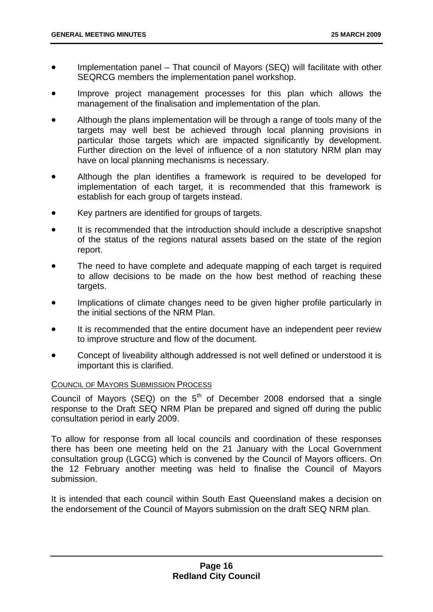- Implementation panel That council of Mayors (SEQ) will facilitate with other SEQRCG members the implementation panel workshop.
- Improve project management processes for this plan which allows the management of the finalisation and implementation of the plan.
- Although the plans implementation will be through a range of tools many of the targets may well best be achieved through local planning provisions in particular those targets which are impacted significantly by development. Further direction on the level of influence of a non statutory NRM plan may have on local planning mechanisms is necessary.
- Although the plan identifies a framework is required to be developed for implementation of each target, it is recommended that this framework is establish for each group of targets instead.
- Key partners are identified for groups of targets.
- It is recommended that the introduction should include a descriptive snapshot of the status of the regions natural assets based on the state of the region report.
- The need to have complete and adequate mapping of each target is required to allow decisions to be made on the how best method of reaching these targets.
- Implications of climate changes need to be given higher profile particularly in the initial sections of the NRM Plan.
- It is recommended that the entire document have an independent peer review to improve structure and flow of the document.
- Concept of liveability although addressed is not well defined or understood it is important this is clarified.

#### COUNCIL OF MAYORS SUBMISSION PROCESS

Council of Mayors (SEQ) on the  $5<sup>th</sup>$  of December 2008 endorsed that a single response to the Draft SEQ NRM Plan be prepared and signed off during the public consultation period in early 2009.

To allow for response from all local councils and coordination of these responses there has been one meeting held on the 21 January with the Local Government consultation group (LGCG) which is convened by the Council of Mayors officers. On the 12 February another meeting was held to finalise the Council of Mayors submission.

It is intended that each council within South East Queensland makes a decision on the endorsement of the Council of Mayors submission on the draft SEQ NRM plan.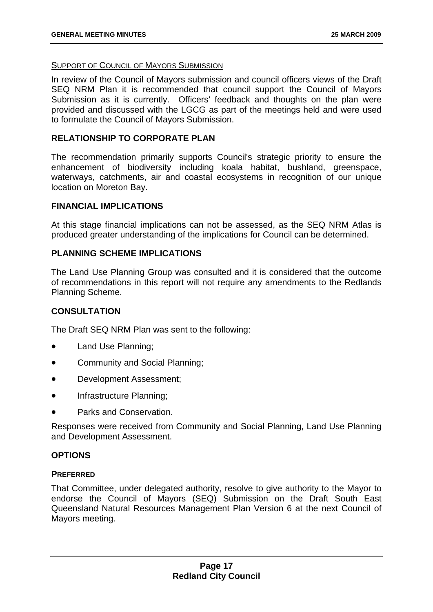#### SUPPORT OF COUNCIL OF MAYORS SUBMISSION

In review of the Council of Mayors submission and council officers views of the Draft SEQ NRM Plan it is recommended that council support the Council of Mayors Submission as it is currently. Officers' feedback and thoughts on the plan were provided and discussed with the LGCG as part of the meetings held and were used to formulate the Council of Mayors Submission.

#### **RELATIONSHIP TO CORPORATE PLAN**

The recommendation primarily supports Council's strategic priority to ensure the enhancement of biodiversity including koala habitat, bushland, greenspace, waterways, catchments, air and coastal ecosystems in recognition of our unique location on Moreton Bay.

#### **FINANCIAL IMPLICATIONS**

At this stage financial implications can not be assessed, as the SEQ NRM Atlas is produced greater understanding of the implications for Council can be determined.

#### **PLANNING SCHEME IMPLICATIONS**

The Land Use Planning Group was consulted and it is considered that the outcome of recommendations in this report will not require any amendments to the Redlands Planning Scheme.

#### **CONSULTATION**

The Draft SEQ NRM Plan was sent to the following:

- Land Use Planning;
- Community and Social Planning;
- Development Assessment;
- Infrastructure Planning:
- Parks and Conservation.

Responses were received from Community and Social Planning, Land Use Planning and Development Assessment.

#### **OPTIONS**

#### **PREFERRED**

That Committee, under delegated authority, resolve to give authority to the Mayor to endorse the Council of Mayors (SEQ) Submission on the Draft South East Queensland Natural Resources Management Plan Version 6 at the next Council of Mayors meeting.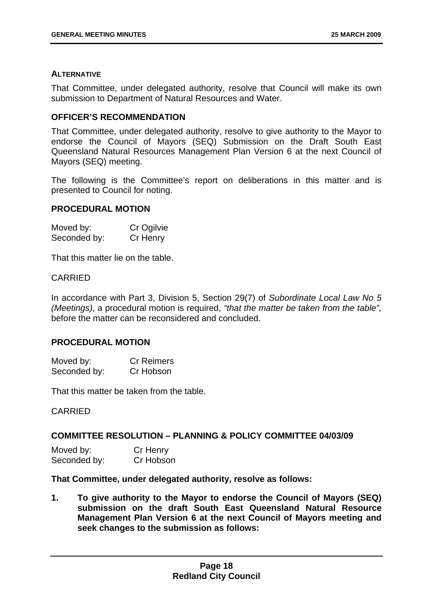#### **ALTERNATIVE**

That Committee, under delegated authority, resolve that Council will make its own submission to Department of Natural Resources and Water.

#### **OFFICER'S RECOMMENDATION**

That Committee, under delegated authority, resolve to give authority to the Mayor to endorse the Council of Mayors (SEQ) Submission on the Draft South East Queensland Natural Resources Management Plan Version 6 at the next Council of Mayors (SEQ) meeting.

The following is the Committee's report on deliberations in this matter and is presented to Council for noting.

#### **PROCEDURAL MOTION**

| Moved by:    | Cr Ogilvie |
|--------------|------------|
| Seconded by: | Cr Henry   |

That this matter lie on the table.

#### CARRIED

In accordance with Part 3, Division 5, Section 29(7) of *Subordinate Local Law No 5 (Meetings)*, a procedural motion is required, *"that the matter be taken from the table",* before the matter can be reconsidered and concluded.

#### **PROCEDURAL MOTION**

| Moved by:    | <b>Cr Reimers</b> |  |  |
|--------------|-------------------|--|--|
| Seconded by: | Cr Hobson         |  |  |

That this matter be taken from the table.

#### CARRIED

#### **COMMITTEE RESOLUTION – PLANNING & POLICY COMMITTEE 04/03/09**

| Moved by:    | Cr Henry  |
|--------------|-----------|
| Seconded by: | Cr Hobson |

**That Committee, under delegated authority, resolve as follows:** 

**1. To give authority to the Mayor to endorse the Council of Mayors (SEQ) submission on the draft South East Queensland Natural Resource Management Plan Version 6 at the next Council of Mayors meeting and seek changes to the submission as follows:**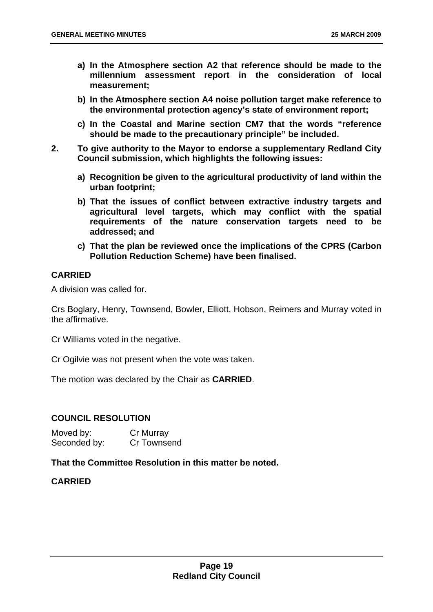- **a) In the Atmosphere section A2 that reference should be made to the millennium assessment report in the consideration of local measurement;**
- **b) In the Atmosphere section A4 noise pollution target make reference to the environmental protection agency's state of environment report;**
- **c) In the Coastal and Marine section CM7 that the words "reference should be made to the precautionary principle" be included.**
- **2. To give authority to the Mayor to endorse a supplementary Redland City Council submission, which highlights the following issues:** 
	- **a) Recognition be given to the agricultural productivity of land within the urban footprint;**
	- **b) That the issues of conflict between extractive industry targets and agricultural level targets, which may conflict with the spatial requirements of the nature conservation targets need to be addressed; and**
	- **c) That the plan be reviewed once the implications of the CPRS (Carbon Pollution Reduction Scheme) have been finalised.**

#### **CARRIED**

A division was called for.

Crs Boglary, Henry, Townsend, Bowler, Elliott, Hobson, Reimers and Murray voted in the affirmative.

Cr Williams voted in the negative.

Cr Ogilvie was not present when the vote was taken.

The motion was declared by the Chair as **CARRIED**.

#### **COUNCIL RESOLUTION**

Moved by: Cr Murray Seconded by: Cr Townsend

#### **That the Committee Resolution in this matter be noted.**

**CARRIED**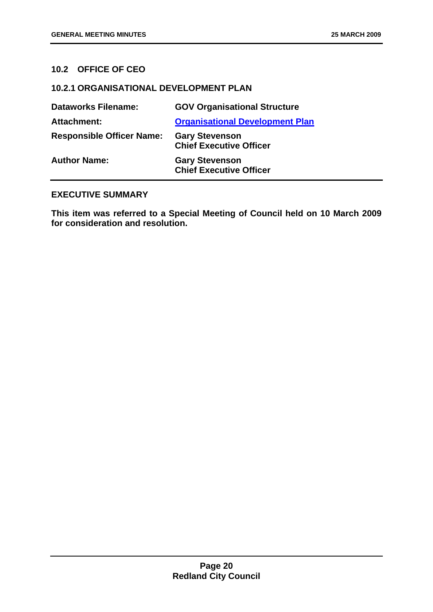#### <span id="page-20-0"></span>**10.2 OFFICE OF CEO**

#### **10.2.1 ORGANISATIONAL DEVELOPMENT PLAN**

| <b>Dataworks Filename:</b>       | <b>GOV Organisational Structure</b>                     |
|----------------------------------|---------------------------------------------------------|
| <b>Attachment:</b>               | <b>Organisational Development Plan</b>                  |
| <b>Responsible Officer Name:</b> | <b>Gary Stevenson</b><br><b>Chief Executive Officer</b> |
| <b>Author Name:</b>              | <b>Gary Stevenson</b><br><b>Chief Executive Officer</b> |

#### **EXECUTIVE SUMMARY**

**This item was referred to a Special Meeting of Council held on 10 March 2009 for consideration and resolution.**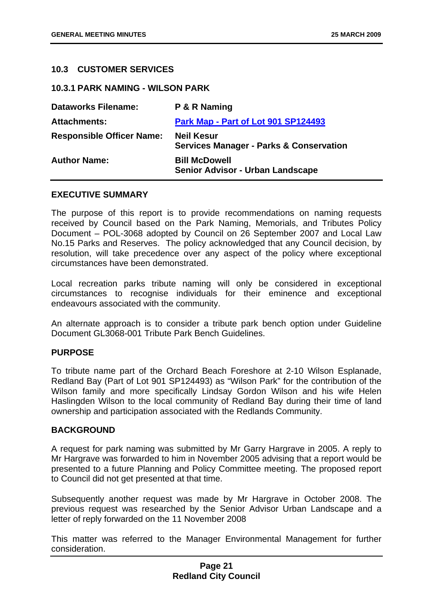#### <span id="page-21-0"></span>**10.3 CUSTOMER SERVICES**

**10.3.1 PARK NAMING - WILSON PARK** 

| <b>Dataworks Filename:</b>       | P & R Naming                                                            |
|----------------------------------|-------------------------------------------------------------------------|
| <b>Attachments:</b>              | Park Map - Part of Lot 901 SP124493                                     |
| <b>Responsible Officer Name:</b> | <b>Neil Kesur</b><br><b>Services Manager - Parks &amp; Conservation</b> |
| <b>Author Name:</b>              | <b>Bill McDowell</b><br><b>Senior Advisor - Urban Landscape</b>         |

#### **EXECUTIVE SUMMARY**

The purpose of this report is to provide recommendations on naming requests received by Council based on the Park Naming, Memorials, and Tributes Policy Document – POL-3068 adopted by Council on 26 September 2007 and Local Law No.15 Parks and Reserves. The policy acknowledged that any Council decision, by resolution, will take precedence over any aspect of the policy where exceptional circumstances have been demonstrated.

Local recreation parks tribute naming will only be considered in exceptional circumstances to recognise individuals for their eminence and exceptional endeavours associated with the community.

An alternate approach is to consider a tribute park bench option under Guideline Document GL3068-001 Tribute Park Bench Guidelines.

#### **PURPOSE**

To tribute name part of the Orchard Beach Foreshore at 2-10 Wilson Esplanade, Redland Bay (Part of Lot 901 SP124493) as "Wilson Park" for the contribution of the Wilson family and more specifically Lindsay Gordon Wilson and his wife Helen Haslingden Wilson to the local community of Redland Bay during their time of land ownership and participation associated with the Redlands Community.

#### **BACKGROUND**

A request for park naming was submitted by Mr Garry Hargrave in 2005. A reply to Mr Hargrave was forwarded to him in November 2005 advising that a report would be presented to a future Planning and Policy Committee meeting. The proposed report to Council did not get presented at that time.

Subsequently another request was made by Mr Hargrave in October 2008. The previous request was researched by the Senior Advisor Urban Landscape and a letter of reply forwarded on the 11 November 2008

This matter was referred to the Manager Environmental Management for further consideration.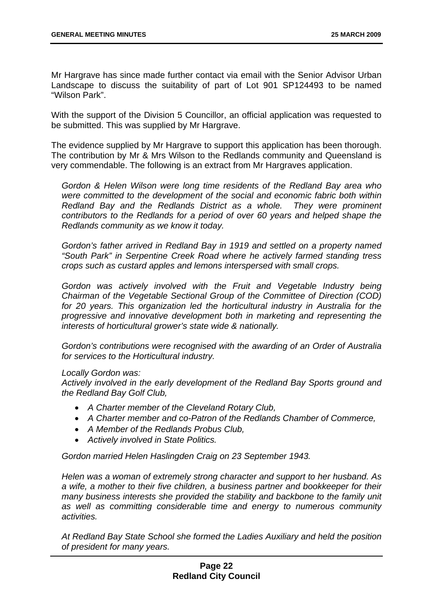Mr Hargrave has since made further contact via email with the Senior Advisor Urban Landscape to discuss the suitability of part of Lot 901 SP124493 to be named "Wilson Park".

With the support of the Division 5 Councillor, an official application was requested to be submitted. This was supplied by Mr Hargrave.

The evidence supplied by Mr Hargrave to support this application has been thorough. The contribution by Mr & Mrs Wilson to the Redlands community and Queensland is very commendable. The following is an extract from Mr Hargraves application.

*Gordon & Helen Wilson were long time residents of the Redland Bay area who were committed to the development of the social and economic fabric both within Redland Bay and the Redlands District as a whole. They were prominent contributors to the Redlands for a period of over 60 years and helped shape the Redlands community as we know it today.* 

*Gordon's father arrived in Redland Bay in 1919 and settled on a property named "South Park" in Serpentine Creek Road where he actively farmed standing tress crops such as custard apples and lemons interspersed with small crops.* 

Gordon was actively involved with the Fruit and Vegetable Industry being *Chairman of the Vegetable Sectional Group of the Committee of Direction (COD) for 20 years. This organization led the horticultural industry in Australia for the progressive and innovative development both in marketing and representing the interests of horticultural grower's state wide & nationally.* 

*Gordon's contributions were recognised with the awarding of an Order of Australia for services to the Horticultural industry.* 

#### *Locally Gordon was:*

*Actively involved in the early development of the Redland Bay Sports ground and the Redland Bay Golf Club,* 

- *A Charter member of the Cleveland Rotary Club,*
- *A Charter member and co-Patron of the Redlands Chamber of Commerce,*
- *A Member of the Redlands Probus Club,*
- *Actively involved in State Politics.*

*Gordon married Helen Haslingden Craig on 23 September 1943.* 

*Helen was a woman of extremely strong character and support to her husband. As a wife, a mother to their five children, a business partner and bookkeeper for their many business interests she provided the stability and backbone to the family unit as well as committing considerable time and energy to numerous community activities.* 

*At Redland Bay State School she formed the Ladies Auxiliary and held the position of president for many years.*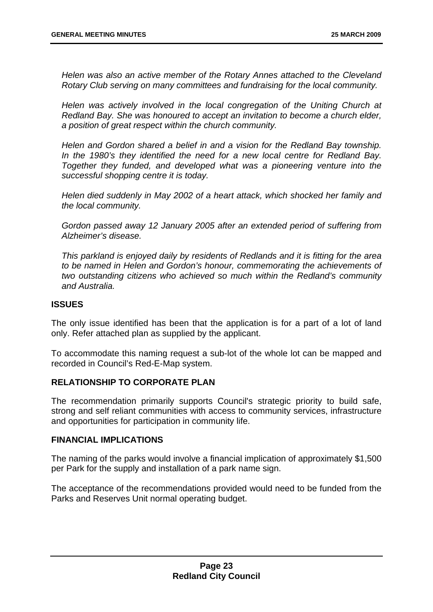*Helen was also an active member of the Rotary Annes attached to the Cleveland Rotary Club serving on many committees and fundraising for the local community.* 

*Helen was actively involved in the local congregation of the Uniting Church at Redland Bay. She was honoured to accept an invitation to become a church elder, a position of great respect within the church community.* 

*Helen and Gordon shared a belief in and a vision for the Redland Bay township. In the 1980's they identified the need for a new local centre for Redland Bay. Together they funded, and developed what was a pioneering venture into the successful shopping centre it is today.* 

*Helen died suddenly in May 2002 of a heart attack, which shocked her family and the local community.* 

*Gordon passed away 12 January 2005 after an extended period of suffering from Alzheimer's disease.* 

*This parkland is enjoyed daily by residents of Redlands and it is fitting for the area to be named in Helen and Gordon's honour, commemorating the achievements of two outstanding citizens who achieved so much within the Redland's community and Australia.* 

#### **ISSUES**

The only issue identified has been that the application is for a part of a lot of land only. Refer attached plan as supplied by the applicant.

To accommodate this naming request a sub-lot of the whole lot can be mapped and recorded in Council's Red-E-Map system.

#### **RELATIONSHIP TO CORPORATE PLAN**

The recommendation primarily supports Council's strategic priority to build safe, strong and self reliant communities with access to community services, infrastructure and opportunities for participation in community life.

#### **FINANCIAL IMPLICATIONS**

The naming of the parks would involve a financial implication of approximately \$1,500 per Park for the supply and installation of a park name sign.

The acceptance of the recommendations provided would need to be funded from the Parks and Reserves Unit normal operating budget.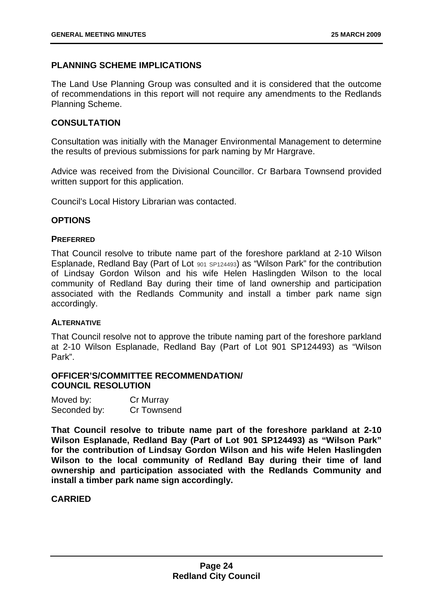#### **PLANNING SCHEME IMPLICATIONS**

The Land Use Planning Group was consulted and it is considered that the outcome of recommendations in this report will not require any amendments to the Redlands Planning Scheme.

#### **CONSULTATION**

Consultation was initially with the Manager Environmental Management to determine the results of previous submissions for park naming by Mr Hargrave.

Advice was received from the Divisional Councillor. Cr Barbara Townsend provided written support for this application.

Council's Local History Librarian was contacted.

#### **OPTIONS**

#### **PREFERRED**

That Council resolve to tribute name part of the foreshore parkland at 2-10 Wilson Esplanade, Redland Bay (Part of Lot <sup>901</sup> SP124493) as "Wilson Park" for the contribution of Lindsay Gordon Wilson and his wife Helen Haslingden Wilson to the local community of Redland Bay during their time of land ownership and participation associated with the Redlands Community and install a timber park name sign accordingly.

#### **ALTERNATIVE**

That Council resolve not to approve the tribute naming part of the foreshore parkland at 2-10 Wilson Esplanade, Redland Bay (Part of Lot 901 SP124493) as "Wilson Park".

#### **OFFICER'S/COMMITTEE RECOMMENDATION/ COUNCIL RESOLUTION**

| Moved by:    | Cr Murray   |
|--------------|-------------|
| Seconded by: | Cr Townsend |

**That Council resolve to tribute name part of the foreshore parkland at 2-10 Wilson Esplanade, Redland Bay (Part of Lot 901 SP124493) as "Wilson Park" for the contribution of Lindsay Gordon Wilson and his wife Helen Haslingden Wilson to the local community of Redland Bay during their time of land ownership and participation associated with the Redlands Community and install a timber park name sign accordingly.** 

#### **CARRIED**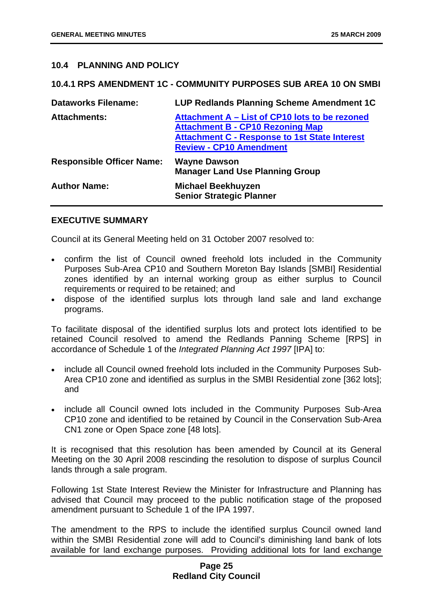#### <span id="page-25-0"></span>**10.4 PLANNING AND POLICY**

#### **10.4.1 RPS AMENDMENT 1C - COMMUNITY PURPOSES SUB AREA 10 ON SMBI**

| <b>Dataworks Filename:</b>       | LUP Redlands Planning Scheme Amendment 1C                                                                                                                                           |
|----------------------------------|-------------------------------------------------------------------------------------------------------------------------------------------------------------------------------------|
| <b>Attachments:</b>              | Attachment A - List of CP10 lots to be rezoned<br><b>Attachment B - CP10 Rezoning Map</b><br><b>Attachment C - Response to 1st State Interest</b><br><b>Review - CP10 Amendment</b> |
| <b>Responsible Officer Name:</b> | <b>Wayne Dawson</b><br><b>Manager Land Use Planning Group</b>                                                                                                                       |
| <b>Author Name:</b>              | <b>Michael Beekhuyzen</b><br><b>Senior Strategic Planner</b>                                                                                                                        |

#### **EXECUTIVE SUMMARY**

Council at its General Meeting held on 31 October 2007 resolved to:

- confirm the list of Council owned freehold lots included in the Community Purposes Sub-Area CP10 and Southern Moreton Bay Islands [SMBI] Residential zones identified by an internal working group as either surplus to Council requirements or required to be retained; and
- dispose of the identified surplus lots through land sale and land exchange programs.

To facilitate disposal of the identified surplus lots and protect lots identified to be retained Council resolved to amend the Redlands Panning Scheme [RPS] in accordance of Schedule 1 of the *Integrated Planning Act 1997* [IPA] to:

- include all Council owned freehold lots included in the Community Purposes Sub-Area CP10 zone and identified as surplus in the SMBI Residential zone [362 lots]; and
- include all Council owned lots included in the Community Purposes Sub-Area CP10 zone and identified to be retained by Council in the Conservation Sub-Area CN1 zone or Open Space zone [48 lots].

It is recognised that this resolution has been amended by Council at its General Meeting on the 30 April 2008 rescinding the resolution to dispose of surplus Council lands through a sale program.

Following 1st State Interest Review the Minister for Infrastructure and Planning has advised that Council may proceed to the public notification stage of the proposed amendment pursuant to Schedule 1 of the IPA 1997.

The amendment to the RPS to include the identified surplus Council owned land within the SMBI Residential zone will add to Council's diminishing land bank of lots available for land exchange purposes. Providing additional lots for land exchange

#### **Page 25 Redland City Council**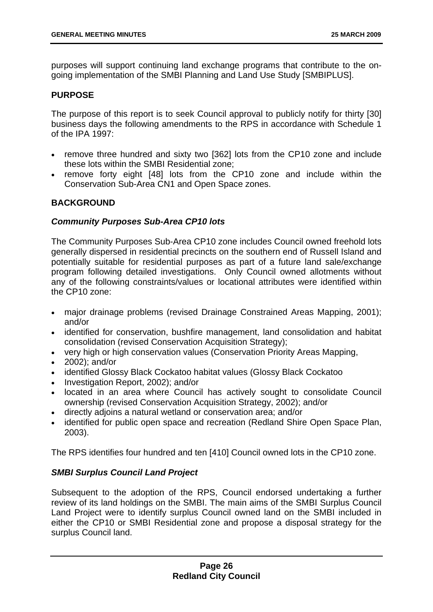purposes will support continuing land exchange programs that contribute to the ongoing implementation of the SMBI Planning and Land Use Study [SMBIPLUS].

#### **PURPOSE**

The purpose of this report is to seek Council approval to publicly notify for thirty [30] business days the following amendments to the RPS in accordance with Schedule 1 of the IPA 1997:

- remove three hundred and sixty two [362] lots from the CP10 zone and include these lots within the SMBI Residential zone;
- remove forty eight [48] lots from the CP10 zone and include within the Conservation Sub-Area CN1 and Open Space zones.

#### **BACKGROUND**

#### *Community Purposes Sub-Area CP10 lots*

The Community Purposes Sub-Area CP10 zone includes Council owned freehold lots generally dispersed in residential precincts on the southern end of Russell Island and potentially suitable for residential purposes as part of a future land sale/exchange program following detailed investigations. Only Council owned allotments without any of the following constraints/values or locational attributes were identified within the CP10 zone:

- major drainage problems (revised Drainage Constrained Areas Mapping, 2001); and/or
- identified for conservation, bushfire management, land consolidation and habitat consolidation (revised Conservation Acquisition Strategy);
- very high or high conservation values (Conservation Priority Areas Mapping,
- 2002): and/or
- identified Glossy Black Cockatoo habitat values (Glossy Black Cockatoo
- Investigation Report, 2002); and/or
- located in an area where Council has actively sought to consolidate Council ownership (revised Conservation Acquisition Strategy, 2002); and/or
- directly adjoins a natural wetland or conservation area; and/or
- identified for public open space and recreation (Redland Shire Open Space Plan, 2003).

The RPS identifies four hundred and ten [410] Council owned lots in the CP10 zone.

#### *SMBI Surplus Council Land Project*

Subsequent to the adoption of the RPS, Council endorsed undertaking a further review of its land holdings on the SMBI. The main aims of the SMBI Surplus Council Land Project were to identify surplus Council owned land on the SMBI included in either the CP10 or SMBI Residential zone and propose a disposal strategy for the surplus Council land.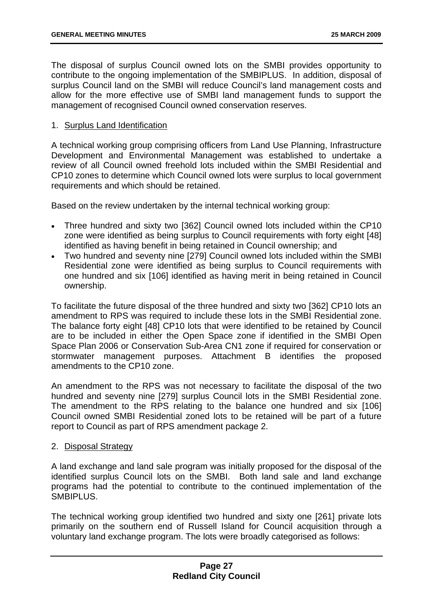The disposal of surplus Council owned lots on the SMBI provides opportunity to contribute to the ongoing implementation of the SMBIPLUS. In addition, disposal of surplus Council land on the SMBI will reduce Council's land management costs and allow for the more effective use of SMBI land management funds to support the management of recognised Council owned conservation reserves.

#### 1. Surplus Land Identification

A technical working group comprising officers from Land Use Planning, Infrastructure Development and Environmental Management was established to undertake a review of all Council owned freehold lots included within the SMBI Residential and CP10 zones to determine which Council owned lots were surplus to local government requirements and which should be retained.

Based on the review undertaken by the internal technical working group:

- Three hundred and sixty two [362] Council owned lots included within the CP10 zone were identified as being surplus to Council requirements with forty eight [48] identified as having benefit in being retained in Council ownership; and
- Two hundred and seventy nine [279] Council owned lots included within the SMBI Residential zone were identified as being surplus to Council requirements with one hundred and six [106] identified as having merit in being retained in Council ownership.

To facilitate the future disposal of the three hundred and sixty two [362] CP10 lots an amendment to RPS was required to include these lots in the SMBI Residential zone. The balance forty eight [48] CP10 lots that were identified to be retained by Council are to be included in either the Open Space zone if identified in the SMBI Open Space Plan 2006 or Conservation Sub-Area CN1 zone if required for conservation or stormwater management purposes. Attachment B identifies the proposed amendments to the CP10 zone.

An amendment to the RPS was not necessary to facilitate the disposal of the two hundred and seventy nine [279] surplus Council lots in the SMBI Residential zone. The amendment to the RPS relating to the balance one hundred and six [106] Council owned SMBI Residential zoned lots to be retained will be part of a future report to Council as part of RPS amendment package 2.

#### 2. Disposal Strategy

A land exchange and land sale program was initially proposed for the disposal of the identified surplus Council lots on the SMBI. Both land sale and land exchange programs had the potential to contribute to the continued implementation of the SMBIPLUS.

The technical working group identified two hundred and sixty one [261] private lots primarily on the southern end of Russell Island for Council acquisition through a voluntary land exchange program. The lots were broadly categorised as follows: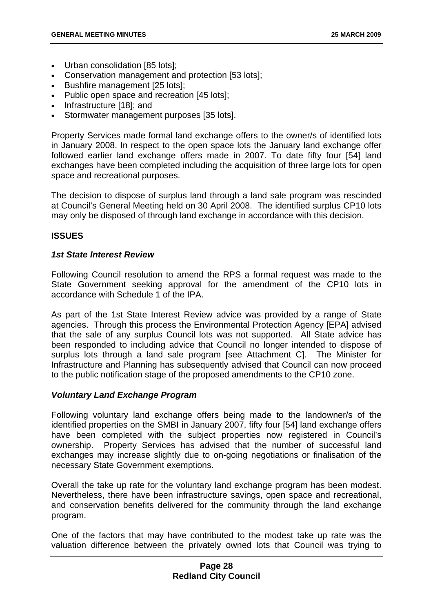- Urban consolidation [85 lots];
- Conservation management and protection [53 lots];
- Bushfire management [25 lots];
- Public open space and recreation [45 lots]:
- Infrastructure [18]; and
- Stormwater management purposes [35 lots].

Property Services made formal land exchange offers to the owner/s of identified lots in January 2008. In respect to the open space lots the January land exchange offer followed earlier land exchange offers made in 2007. To date fifty four [54] land exchanges have been completed including the acquisition of three large lots for open space and recreational purposes.

The decision to dispose of surplus land through a land sale program was rescinded at Council's General Meeting held on 30 April 2008. The identified surplus CP10 lots may only be disposed of through land exchange in accordance with this decision.

#### **ISSUES**

#### *1st State Interest Review*

Following Council resolution to amend the RPS a formal request was made to the State Government seeking approval for the amendment of the CP10 lots in accordance with Schedule 1 of the IPA.

As part of the 1st State Interest Review advice was provided by a range of State agencies. Through this process the Environmental Protection Agency [EPA] advised that the sale of any surplus Council lots was not supported. All State advice has been responded to including advice that Council no longer intended to dispose of surplus lots through a land sale program [see Attachment C]. The Minister for Infrastructure and Planning has subsequently advised that Council can now proceed to the public notification stage of the proposed amendments to the CP10 zone.

#### *Voluntary Land Exchange Program*

Following voluntary land exchange offers being made to the landowner/s of the identified properties on the SMBI in January 2007, fifty four [54] land exchange offers have been completed with the subject properties now registered in Council's ownership. Property Services has advised that the number of successful land exchanges may increase slightly due to on-going negotiations or finalisation of the necessary State Government exemptions.

Overall the take up rate for the voluntary land exchange program has been modest. Nevertheless, there have been infrastructure savings, open space and recreational, and conservation benefits delivered for the community through the land exchange program.

One of the factors that may have contributed to the modest take up rate was the valuation difference between the privately owned lots that Council was trying to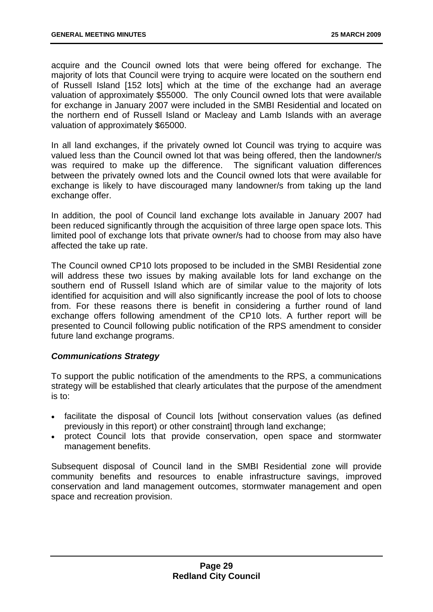acquire and the Council owned lots that were being offered for exchange. The majority of lots that Council were trying to acquire were located on the southern end of Russell Island [152 lots] which at the time of the exchange had an average valuation of approximately \$55000. The only Council owned lots that were available for exchange in January 2007 were included in the SMBI Residential and located on the northern end of Russell Island or Macleay and Lamb Islands with an average valuation of approximately \$65000.

In all land exchanges, if the privately owned lot Council was trying to acquire was valued less than the Council owned lot that was being offered, then the landowner/s was required to make up the difference. The significant valuation differences between the privately owned lots and the Council owned lots that were available for exchange is likely to have discouraged many landowner/s from taking up the land exchange offer.

In addition, the pool of Council land exchange lots available in January 2007 had been reduced significantly through the acquisition of three large open space lots. This limited pool of exchange lots that private owner/s had to choose from may also have affected the take up rate.

The Council owned CP10 lots proposed to be included in the SMBI Residential zone will address these two issues by making available lots for land exchange on the southern end of Russell Island which are of similar value to the majority of lots identified for acquisition and will also significantly increase the pool of lots to choose from. For these reasons there is benefit in considering a further round of land exchange offers following amendment of the CP10 lots. A further report will be presented to Council following public notification of the RPS amendment to consider future land exchange programs.

#### *Communications Strategy*

To support the public notification of the amendments to the RPS, a communications strategy will be established that clearly articulates that the purpose of the amendment is to:

- facilitate the disposal of Council lots [without conservation values (as defined previously in this report) or other constraint] through land exchange;
- protect Council lots that provide conservation, open space and stormwater management benefits.

Subsequent disposal of Council land in the SMBI Residential zone will provide community benefits and resources to enable infrastructure savings, improved conservation and land management outcomes, stormwater management and open space and recreation provision.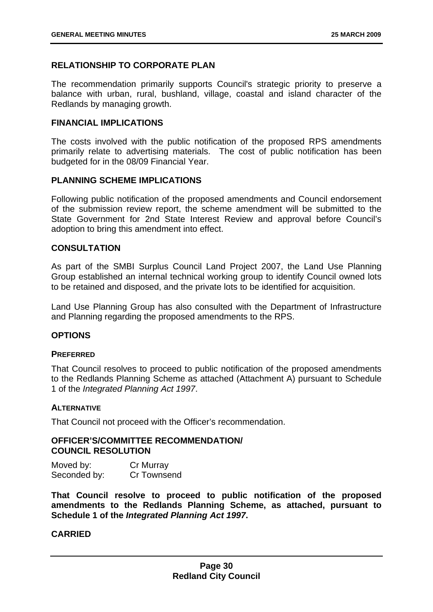#### **RELATIONSHIP TO CORPORATE PLAN**

The recommendation primarily supports Council's strategic priority to preserve a balance with urban, rural, bushland, village, coastal and island character of the Redlands by managing growth.

#### **FINANCIAL IMPLICATIONS**

The costs involved with the public notification of the proposed RPS amendments primarily relate to advertising materials. The cost of public notification has been budgeted for in the 08/09 Financial Year.

#### **PLANNING SCHEME IMPLICATIONS**

Following public notification of the proposed amendments and Council endorsement of the submission review report, the scheme amendment will be submitted to the State Government for 2nd State Interest Review and approval before Council's adoption to bring this amendment into effect.

#### **CONSULTATION**

As part of the SMBI Surplus Council Land Project 2007, the Land Use Planning Group established an internal technical working group to identify Council owned lots to be retained and disposed, and the private lots to be identified for acquisition.

Land Use Planning Group has also consulted with the Department of Infrastructure and Planning regarding the proposed amendments to the RPS.

#### **OPTIONS**

#### **PREFERRED**

That Council resolves to proceed to public notification of the proposed amendments to the Redlands Planning Scheme as attached (Attachment A) pursuant to Schedule 1 of the *Integrated Planning Act 1997*.

#### **ALTERNATIVE**

That Council not proceed with the Officer's recommendation.

#### **OFFICER'S/COMMITTEE RECOMMENDATION/ COUNCIL RESOLUTION**

| Moved by:    | Cr Murray   |  |  |
|--------------|-------------|--|--|
| Seconded by: | Cr Townsend |  |  |

**That Council resolve to proceed to public notification of the proposed amendments to the Redlands Planning Scheme, as attached, pursuant to Schedule 1 of the** *Integrated Planning Act 1997***.** 

#### **CARRIED**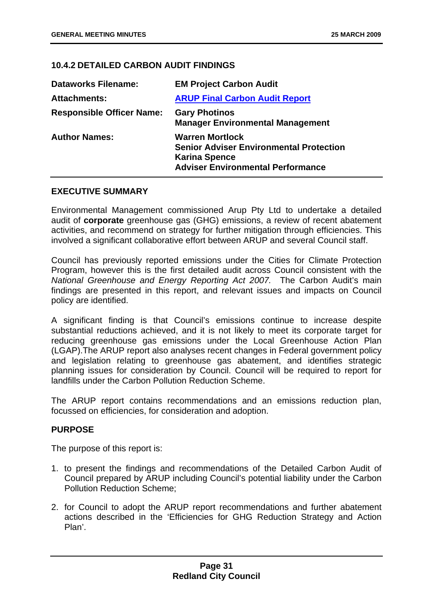#### <span id="page-31-0"></span>**10.4.2 DETAILED CARBON AUDIT FINDINGS**

| <b>Dataworks Filename:</b>       | <b>EM Project Carbon Audit</b>                                                                                                               |  |
|----------------------------------|----------------------------------------------------------------------------------------------------------------------------------------------|--|
| <b>Attachments:</b>              | <b>ARUP Final Carbon Audit Report</b>                                                                                                        |  |
| <b>Responsible Officer Name:</b> | <b>Gary Photinos</b><br><b>Manager Environmental Management</b>                                                                              |  |
| <b>Author Names:</b>             | <b>Warren Mortlock</b><br><b>Senior Adviser Environmental Protection</b><br><b>Karina Spence</b><br><b>Adviser Environmental Performance</b> |  |

#### **EXECUTIVE SUMMARY**

Environmental Management commissioned Arup Pty Ltd to undertake a detailed audit of **corporate** greenhouse gas (GHG) emissions, a review of recent abatement activities, and recommend on strategy for further mitigation through efficiencies. This involved a significant collaborative effort between ARUP and several Council staff.

Council has previously reported emissions under the Cities for Climate Protection Program, however this is the first detailed audit across Council consistent with the *National Greenhouse and Energy Reporting Act 2007.* The Carbon Audit's main findings are presented in this report, and relevant issues and impacts on Council policy are identified.

A significant finding is that Council's emissions continue to increase despite substantial reductions achieved, and it is not likely to meet its corporate target for reducing greenhouse gas emissions under the Local Greenhouse Action Plan (LGAP).The ARUP report also analyses recent changes in Federal government policy and legislation relating to greenhouse gas abatement, and identifies strategic planning issues for consideration by Council. Council will be required to report for landfills under the Carbon Pollution Reduction Scheme.

The ARUP report contains recommendations and an emissions reduction plan, focussed on efficiencies, for consideration and adoption.

#### **PURPOSE**

The purpose of this report is:

- 1. to present the findings and recommendations of the Detailed Carbon Audit of Council prepared by ARUP including Council's potential liability under the Carbon Pollution Reduction Scheme;
- 2. for Council to adopt the ARUP report recommendations and further abatement actions described in the 'Efficiencies for GHG Reduction Strategy and Action Plan'.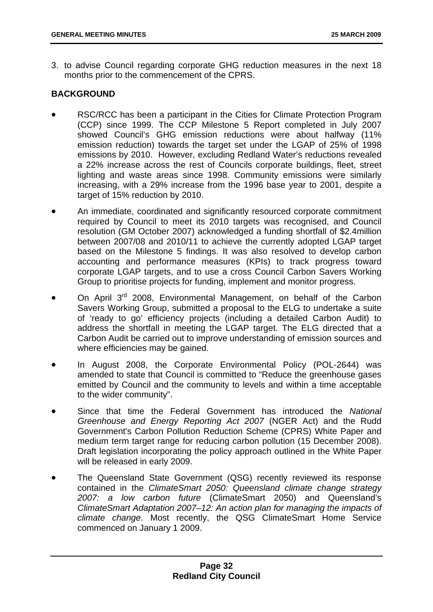3. to advise Council regarding corporate GHG reduction measures in the next 18 months prior to the commencement of the CPRS.

#### **BACKGROUND**

- RSC/RCC has been a participant in the Cities for Climate Protection Program (CCP) since 1999. The CCP Milestone 5 Report completed in July 2007 showed Council's GHG emission reductions were about halfway (11% emission reduction) towards the target set under the LGAP of 25% of 1998 emissions by 2010. However, excluding Redland Water's reductions revealed a 22% increase across the rest of Councils corporate buildings, fleet, street lighting and waste areas since 1998. Community emissions were similarly increasing, with a 29% increase from the 1996 base year to 2001, despite a target of 15% reduction by 2010.
- An immediate, coordinated and significantly resourced corporate commitment required by Council to meet its 2010 targets was recognised, and Council resolution (GM October 2007) acknowledged a funding shortfall of \$2.4million between 2007/08 and 2010/11 to achieve the currently adopted LGAP target based on the Milestone 5 findings. It was also resolved to develop carbon accounting and performance measures (KPIs) to track progress toward corporate LGAP targets, and to use a cross Council Carbon Savers Working Group to prioritise projects for funding, implement and monitor progress.
- On April 3<sup>rd</sup> 2008, Environmental Management, on behalf of the Carbon Savers Working Group, submitted a proposal to the ELG to undertake a suite of 'ready to go' efficiency projects (including a detailed Carbon Audit) to address the shortfall in meeting the LGAP target. The ELG directed that a Carbon Audit be carried out to improve understanding of emission sources and where efficiencies may be gained.
- In August 2008, the Corporate Environmental Policy (POL-2644) was amended to state that Council is committed to "Reduce the greenhouse gases emitted by Council and the community to levels and within a time acceptable to the wider community".
- Since that time the Federal Government has introduced the *National Greenhouse and Energy Reporting Act 2007* (NGER Act) and the Rudd Government's Carbon Pollution Reduction Scheme (CPRS) White Paper and medium term target range for reducing carbon pollution (15 December 2008). Draft legislation incorporating the policy approach outlined in the White Paper will be released in early 2009.
- The Queensland State Government (QSG) recently reviewed its response contained in the *ClimateSmart 2050: Queensland climate change strategy 2007: a low carbon future* (ClimateSmart 2050) and Queensland's *ClimateSmart Adaptation 2007–12: An action plan for managing the impacts of climate change*. Most recently, the QSG ClimateSmart Home Service commenced on January 1 2009.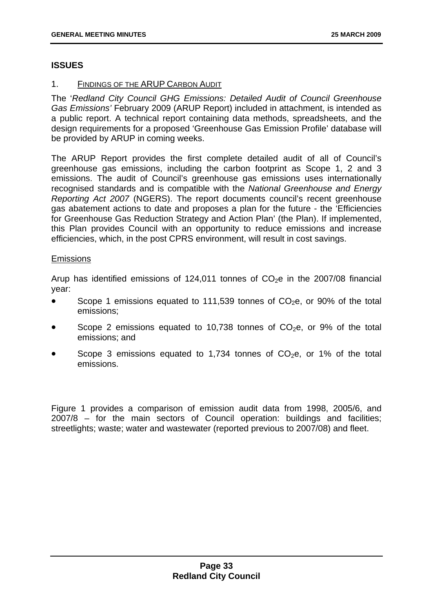#### **ISSUES**

#### 1. FINDINGS OF THE ARUP CARBON AUDIT

The '*Redland City Council GHG Emissions: Detailed Audit of Council Greenhouse Gas Emissions'* February 2009 (ARUP Report) included in attachment, is intended as a public report. A technical report containing data methods, spreadsheets, and the design requirements for a proposed 'Greenhouse Gas Emission Profile' database will be provided by ARUP in coming weeks.

The ARUP Report provides the first complete detailed audit of all of Council's greenhouse gas emissions, including the carbon footprint as Scope 1, 2 and 3 emissions. The audit of Council's greenhouse gas emissions uses internationally recognised standards and is compatible with the *National Greenhouse and Energy Reporting Act 2007* (NGERS). The report documents council's recent greenhouse gas abatement actions to date and proposes a plan for the future - the 'Efficiencies for Greenhouse Gas Reduction Strategy and Action Plan' (the Plan). If implemented, this Plan provides Council with an opportunity to reduce emissions and increase efficiencies, which, in the post CPRS environment, will result in cost savings.

#### **Emissions**

Arup has identified emissions of 124,011 tonnes of  $CO<sub>2</sub>e$  in the 2007/08 financial year:

- Scope 1 emissions equated to 111,539 tonnes of  $CO<sub>2</sub>e$ , or 90% of the total emissions;
- Scope 2 emissions equated to 10,738 tonnes of  $CO<sub>2</sub>e$ , or 9% of the total emissions; and
- Scope 3 emissions equated to 1,734 tonnes of  $CO<sub>2</sub>e$ , or 1% of the total emissions.

Figure 1 provides a comparison of emission audit data from 1998, 2005/6, and 2007/8 – for the main sectors of Council operation: buildings and facilities; streetlights; waste; water and wastewater (reported previous to 2007/08) and fleet.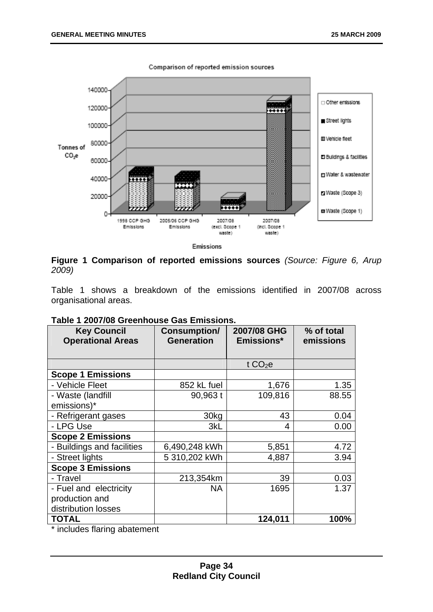

**Figure 1 Comparison of reported emissions sources** *(Source: Figure 6, Arup 2009)*

Table 1 shows a breakdown of the emissions identified in 2007/08 across organisational areas.

| <b>Key Council</b><br><b>Operational Areas</b> | <b>Consumption/</b><br><b>Generation</b> | 2007/08 GHG<br>Emissions* | % of total<br>emissions |
|------------------------------------------------|------------------------------------------|---------------------------|-------------------------|
|                                                |                                          |                           |                         |
|                                                |                                          | t $CO2e$                  |                         |
| <b>Scope 1 Emissions</b>                       |                                          |                           |                         |
| - Vehicle Fleet                                | 852 kL fuel                              | 1,676                     | 1.35                    |
| - Waste (landfill                              | 90,963 t                                 | 109,816                   | 88.55                   |
| emissions)*                                    |                                          |                           |                         |
| - Refrigerant gases                            | 30 <sub>k</sub> g                        | 43                        | 0.04                    |
| - LPG Use                                      | 3kL                                      | 4                         | 0.00                    |
| <b>Scope 2 Emissions</b>                       |                                          |                           |                         |
| - Buildings and facilities                     | 6,490,248 kWh                            | 5,851                     | 4.72                    |
| - Street lights                                | 5 310,202 kWh                            | 4,887                     | 3.94                    |
| <b>Scope 3 Emissions</b>                       |                                          |                           |                         |
| - Travel                                       | 213,354km                                | 39                        | 0.03                    |
| - Fuel and electricity                         | <b>NA</b>                                | 1695                      | 1.37                    |
| production and                                 |                                          |                           |                         |
| distribution losses                            |                                          |                           |                         |
| <b>TOTAL</b>                                   |                                          | 124,011                   | 100%                    |

#### **Table 1 2007/08 Greenhouse Gas Emissions.**

\* includes flaring abatement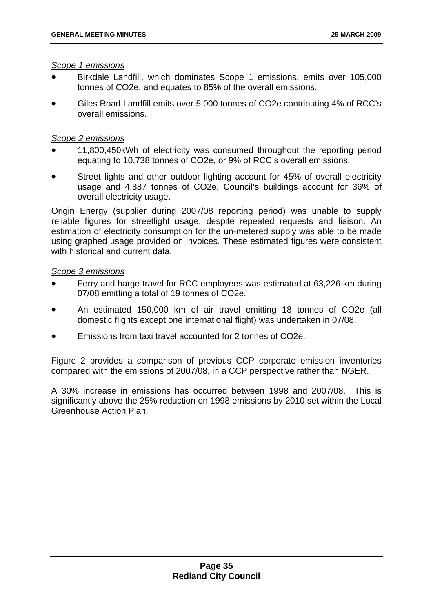#### *Scope 1 emissions*

- Birkdale Landfill, which dominates Scope 1 emissions, emits over 105,000 tonnes of CO2e, and equates to 85% of the overall emissions.
- Giles Road Landfill emits over 5,000 tonnes of CO2e contributing 4% of RCC's overall emissions.

#### *Scope 2 emissions*

- 11,800,450kWh of electricity was consumed throughout the reporting period equating to 10,738 tonnes of CO2e, or 9% of RCC's overall emissions.
- Street lights and other outdoor lighting account for 45% of overall electricity usage and 4,887 tonnes of CO2e. Council's buildings account for 36% of overall electricity usage.

Origin Energy (supplier during 2007/08 reporting period) was unable to supply reliable figures for streetlight usage, despite repeated requests and liaison. An estimation of electricity consumption for the un-metered supply was able to be made using graphed usage provided on invoices. These estimated figures were consistent with historical and current data.

#### *Scope 3 emissions*

- Ferry and barge travel for RCC employees was estimated at 63,226 km during 07/08 emitting a total of 19 tonnes of CO2e.
- An estimated 150,000 km of air travel emitting 18 tonnes of CO2e (all domestic flights except one international flight) was undertaken in 07/08.
- Emissions from taxi travel accounted for 2 tonnes of CO2e.

Figure 2 provides a comparison of previous CCP corporate emission inventories compared with the emissions of 2007/08, in a CCP perspective rather than NGER.

A 30% increase in emissions has occurred between 1998 and 2007/08. This is significantly above the 25% reduction on 1998 emissions by 2010 set within the Local Greenhouse Action Plan.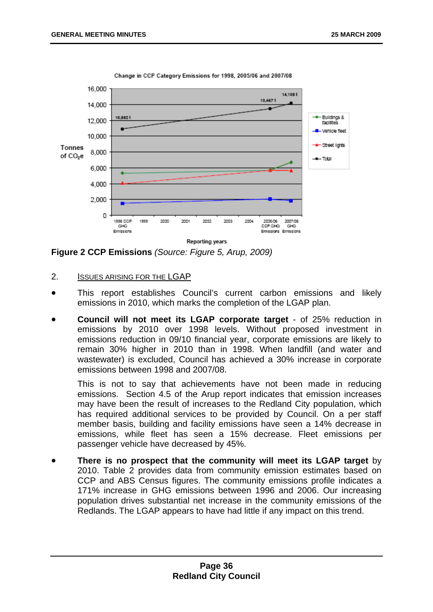

Change in CCP Category Emissions for 1998, 2005/06 and 2007/08

**Figure 2 CCP Emissions** *(Source: Figure 5, Arup, 2009)*

#### 2. ISSUES ARISING FOR THE LGAP

- This report establishes Council's current carbon emissions and likely emissions in 2010, which marks the completion of the LGAP plan.
- **Council will not meet its LGAP corporate target** of 25% reduction in emissions by 2010 over 1998 levels. Without proposed investment in emissions reduction in 09/10 financial year, corporate emissions are likely to remain 30% higher in 2010 than in 1998. When landfill (and water and wastewater) is excluded, Council has achieved a 30% increase in corporate emissions between 1998 and 2007/08.

This is not to say that achievements have not been made in reducing emissions. Section 4.5 of the Arup report indicates that emission increases may have been the result of increases to the Redland City population, which has required additional services to be provided by Council. On a per staff member basis, building and facility emissions have seen a 14% decrease in emissions, while fleet has seen a 15% decrease. Fleet emissions per passenger vehicle have decreased by 45%.

• **There is no prospect that the community will meet its LGAP target** by 2010. Table 2 provides data from community emission estimates based on CCP and ABS Census figures. The community emissions profile indicates a 171% increase in GHG emissions between 1996 and 2006. Our increasing population drives substantial net increase in the community emissions of the Redlands. The LGAP appears to have had little if any impact on this trend.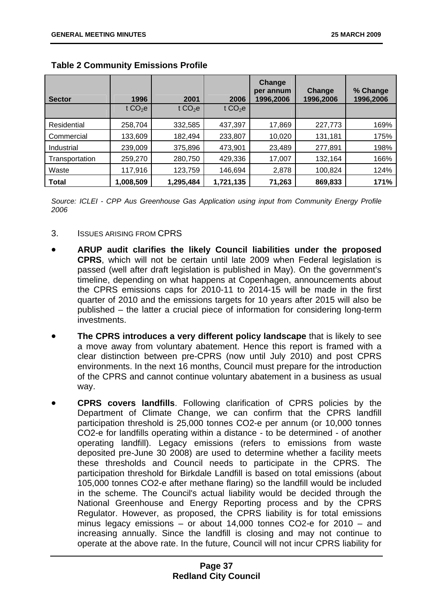| <b>Sector</b>  | 1996                | 2001      | 2006      | <b>Change</b><br>per annum<br>1996,2006 | Change<br>1996,2006 | % Change<br>1996,2006 |
|----------------|---------------------|-----------|-----------|-----------------------------------------|---------------------|-----------------------|
|                | t CO <sub>2</sub> e | t $CO2e$  | t $CO2e$  |                                         |                     |                       |
| Residential    | 258,704             | 332,585   | 437,397   | 17,869                                  | 227,773             | 169%                  |
| Commercial     | 133,609             | 182,494   | 233,807   | 10,020                                  | 131,181             | 175%                  |
| Industrial     | 239,009             | 375,896   | 473,901   | 23,489                                  | 277,891             | 198%                  |
| Transportation | 259,270             | 280,750   | 429,336   | 17,007                                  | 132,164             | 166%                  |
| Waste          | 117,916             | 123,759   | 146,694   | 2,878                                   | 100,824             | 124%                  |
| <b>Total</b>   | 1,008,509           | 1,295,484 | 1,721,135 | 71,263                                  | 869,833             | 171%                  |

# **Table 2 Community Emissions Profile**

*Source: ICLEI - CPP Aus Greenhouse Gas Application using input from Community Energy Profile 2006* 

- 3. ISSUES ARISING FROM CPRS
- **ARUP audit clarifies the likely Council liabilities under the proposed CPRS**, which will not be certain until late 2009 when Federal legislation is passed (well after draft legislation is published in May). On the government's timeline, depending on what happens at Copenhagen, announcements about the CPRS emissions caps for 2010-11 to 2014-15 will be made in the first quarter of 2010 and the emissions targets for 10 years after 2015 will also be published – the latter a crucial piece of information for considering long-term investments.
- **The CPRS introduces a very different policy landscape** that is likely to see a move away from voluntary abatement. Hence this report is framed with a clear distinction between pre-CPRS (now until July 2010) and post CPRS environments. In the next 16 months, Council must prepare for the introduction of the CPRS and cannot continue voluntary abatement in a business as usual way.
- **CPRS covers landfills**. Following clarification of CPRS policies by the Department of Climate Change, we can confirm that the CPRS landfill participation threshold is 25,000 tonnes CO2-e per annum (or 10,000 tonnes CO2-e for landfills operating within a distance - to be determined - of another operating landfill). Legacy emissions (refers to emissions from waste deposited pre-June 30 2008) are used to determine whether a facility meets these thresholds and Council needs to participate in the CPRS. The participation threshold for Birkdale Landfill is based on total emissions (about 105,000 tonnes CO2-e after methane flaring) so the landfill would be included in the scheme. The Council's actual liability would be decided through the National Greenhouse and Energy Reporting process and by the CPRS Regulator. However, as proposed, the CPRS liability is for total emissions minus legacy emissions – or about 14,000 tonnes CO2-e for 2010 – and increasing annually. Since the landfill is closing and may not continue to operate at the above rate. In the future, Council will not incur CPRS liability for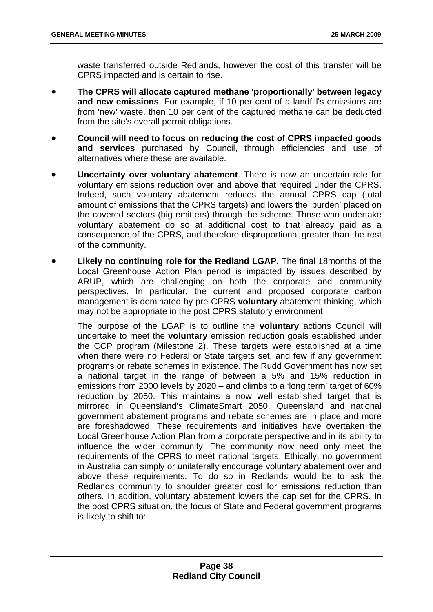waste transferred outside Redlands, however the cost of this transfer will be CPRS impacted and is certain to rise.

- **The CPRS will allocate captured methane 'proportionally' between legacy and new emissions**. For example, if 10 per cent of a landfill's emissions are from 'new' waste, then 10 per cent of the captured methane can be deducted from the site's overall permit obligations.
- **Council will need to focus on reducing the cost of CPRS impacted goods and services** purchased by Council, through efficiencies and use of alternatives where these are available.
- **Uncertainty over voluntary abatement**. There is now an uncertain role for voluntary emissions reduction over and above that required under the CPRS. Indeed, such voluntary abatement reduces the annual CPRS cap (total amount of emissions that the CPRS targets) and lowers the 'burden' placed on the covered sectors (big emitters) through the scheme. Those who undertake voluntary abatement do so at additional cost to that already paid as a consequence of the CPRS, and therefore disproportional greater than the rest of the community.
- **Likely no continuing role for the Redland LGAP.** The final 18months of the Local Greenhouse Action Plan period is impacted by issues described by ARUP, which are challenging on both the corporate and community perspectives. In particular, the current and proposed corporate carbon management is dominated by pre-CPRS **voluntary** abatement thinking, which may not be appropriate in the post CPRS statutory environment.

The purpose of the LGAP is to outline the **voluntary** actions Council will undertake to meet the **voluntary** emission reduction goals established under the CCP program (Milestone 2). These targets were established at a time when there were no Federal or State targets set, and few if any government programs or rebate schemes in existence. The Rudd Government has now set a national target in the range of between a 5% and 15% reduction in emissions from 2000 levels by 2020 – and climbs to a 'long term' target of 60% reduction by 2050. This maintains a now well established target that is mirrored in Queensland's ClimateSmart 2050. Queensland and national government abatement programs and rebate schemes are in place and more are foreshadowed. These requirements and initiatives have overtaken the Local Greenhouse Action Plan from a corporate perspective and in its ability to influence the wider community. The community now need only meet the requirements of the CPRS to meet national targets. Ethically, no government in Australia can simply or unilaterally encourage voluntary abatement over and above these requirements. To do so in Redlands would be to ask the Redlands community to shoulder greater cost for emissions reduction than others. In addition, voluntary abatement lowers the cap set for the CPRS. In the post CPRS situation, the focus of State and Federal government programs is likely to shift to: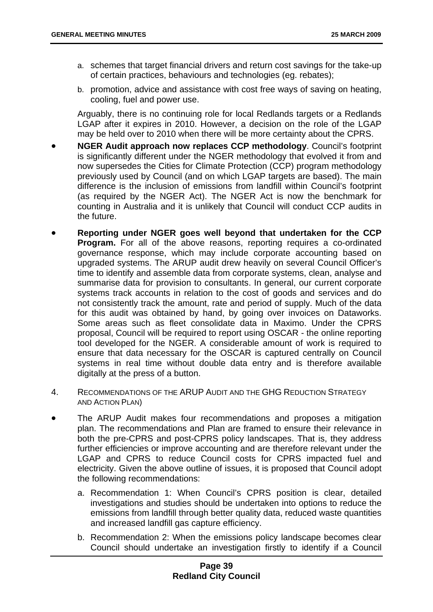- a. schemes that target financial drivers and return cost savings for the take-up of certain practices, behaviours and technologies (eg. rebates);
- b. promotion, advice and assistance with cost free ways of saving on heating, cooling, fuel and power use.

Arguably, there is no continuing role for local Redlands targets or a Redlands LGAP after it expires in 2010. However, a decision on the role of the LGAP may be held over to 2010 when there will be more certainty about the CPRS.

- **NGER Audit approach now replaces CCP methodology**. Council's footprint is significantly different under the NGER methodology that evolved it from and now supersedes the Cities for Climate Protection (CCP) program methodology previously used by Council (and on which LGAP targets are based). The main difference is the inclusion of emissions from landfill within Council's footprint (as required by the NGER Act). The NGER Act is now the benchmark for counting in Australia and it is unlikely that Council will conduct CCP audits in the future.
- **Reporting under NGER goes well beyond that undertaken for the CCP Program.** For all of the above reasons, reporting requires a co-ordinated governance response, which may include corporate accounting based on upgraded systems. The ARUP audit drew heavily on several Council Officer's time to identify and assemble data from corporate systems, clean, analyse and summarise data for provision to consultants. In general, our current corporate systems track accounts in relation to the cost of goods and services and do not consistently track the amount, rate and period of supply. Much of the data for this audit was obtained by hand, by going over invoices on Dataworks. Some areas such as fleet consolidate data in Maximo. Under the CPRS proposal, Council will be required to report using OSCAR - the online reporting tool developed for the NGER. A considerable amount of work is required to ensure that data necessary for the OSCAR is captured centrally on Council systems in real time without double data entry and is therefore available digitally at the press of a button.
- 4. RECOMMENDATIONS OF THE ARUP AUDIT AND THE GHG REDUCTION STRATEGY AND ACTION PLAN)
- The ARUP Audit makes four recommendations and proposes a mitigation plan. The recommendations and Plan are framed to ensure their relevance in both the pre-CPRS and post-CPRS policy landscapes. That is, they address further efficiencies or improve accounting and are therefore relevant under the LGAP and CPRS to reduce Council costs for CPRS impacted fuel and electricity. Given the above outline of issues, it is proposed that Council adopt the following recommendations:
	- a. Recommendation 1: When Council's CPRS position is clear, detailed investigations and studies should be undertaken into options to reduce the emissions from landfill through better quality data, reduced waste quantities and increased landfill gas capture efficiency.
	- b. Recommendation 2: When the emissions policy landscape becomes clear Council should undertake an investigation firstly to identify if a Council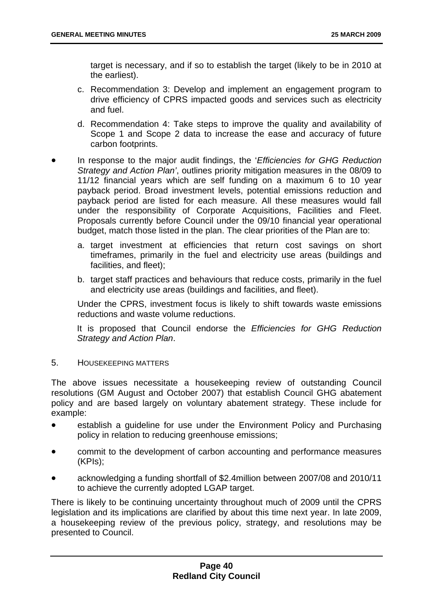target is necessary, and if so to establish the target (likely to be in 2010 at the earliest).

- c. Recommendation 3: Develop and implement an engagement program to drive efficiency of CPRS impacted goods and services such as electricity and fuel.
- d. Recommendation 4: Take steps to improve the quality and availability of Scope 1 and Scope 2 data to increase the ease and accuracy of future carbon footprints.
- In response to the major audit findings, the '*Efficiencies for GHG Reduction Strategy and Action Plan'*, outlines priority mitigation measures in the 08/09 to 11/12 financial years which are self funding on a maximum 6 to 10 year payback period. Broad investment levels, potential emissions reduction and payback period are listed for each measure. All these measures would fall under the responsibility of Corporate Acquisitions, Facilities and Fleet. Proposals currently before Council under the 09/10 financial year operational budget, match those listed in the plan. The clear priorities of the Plan are to:
	- a. target investment at efficiencies that return cost savings on short timeframes, primarily in the fuel and electricity use areas (buildings and facilities, and fleet);
	- b. target staff practices and behaviours that reduce costs, primarily in the fuel and electricity use areas (buildings and facilities, and fleet).

Under the CPRS, investment focus is likely to shift towards waste emissions reductions and waste volume reductions.

It is proposed that Council endorse the *Efficiencies for GHG Reduction Strategy and Action Plan*.

5. HOUSEKEEPING MATTERS

The above issues necessitate a housekeeping review of outstanding Council resolutions (GM August and October 2007) that establish Council GHG abatement policy and are based largely on voluntary abatement strategy. These include for example:

- establish a quideline for use under the Environment Policy and Purchasing policy in relation to reducing greenhouse emissions;
- commit to the development of carbon accounting and performance measures (KPIs);
- acknowledging a funding shortfall of \$2.4million between 2007/08 and 2010/11 to achieve the currently adopted LGAP target.

There is likely to be continuing uncertainty throughout much of 2009 until the CPRS legislation and its implications are clarified by about this time next year. In late 2009, a housekeeping review of the previous policy, strategy, and resolutions may be presented to Council.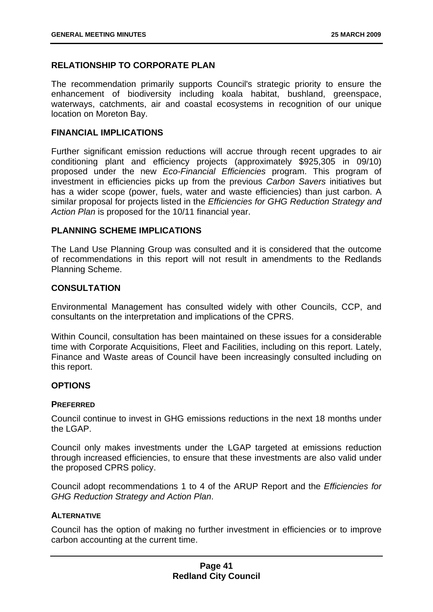# **RELATIONSHIP TO CORPORATE PLAN**

The recommendation primarily supports Council's strategic priority to ensure the enhancement of biodiversity including koala habitat, bushland, greenspace, waterways, catchments, air and coastal ecosystems in recognition of our unique location on Moreton Bay.

# **FINANCIAL IMPLICATIONS**

Further significant emission reductions will accrue through recent upgrades to air conditioning plant and efficiency projects (approximately \$925,305 in 09/10) proposed under the new *Eco-Financial Efficiencies* program. This program of investment in efficiencies picks up from the previous *Carbon Savers* initiatives but has a wider scope (power, fuels, water and waste efficiencies) than just carbon. A similar proposal for projects listed in the *Efficiencies for GHG Reduction Strategy and*  Action Plan is proposed for the 10/11 financial year.

# **PLANNING SCHEME IMPLICATIONS**

The Land Use Planning Group was consulted and it is considered that the outcome of recommendations in this report will not result in amendments to the Redlands Planning Scheme.

# **CONSULTATION**

Environmental Management has consulted widely with other Councils, CCP, and consultants on the interpretation and implications of the CPRS.

Within Council, consultation has been maintained on these issues for a considerable time with Corporate Acquisitions, Fleet and Facilities, including on this report. Lately, Finance and Waste areas of Council have been increasingly consulted including on this report.

# **OPTIONS**

## **PREFERRED**

Council continue to invest in GHG emissions reductions in the next 18 months under the LGAP

Council only makes investments under the LGAP targeted at emissions reduction through increased efficiencies, to ensure that these investments are also valid under the proposed CPRS policy.

Council adopt recommendations 1 to 4 of the ARUP Report and the *Efficiencies for GHG Reduction Strategy and Action Plan*.

## **ALTERNATIVE**

Council has the option of making no further investment in efficiencies or to improve carbon accounting at the current time.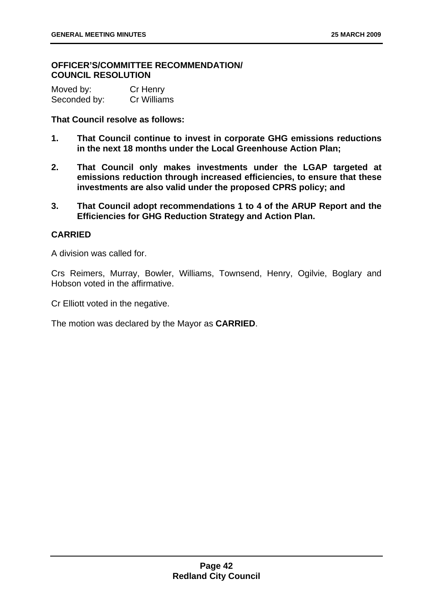# **OFFICER'S/COMMITTEE RECOMMENDATION/ COUNCIL RESOLUTION**

| Moved by:    | Cr Henry    |
|--------------|-------------|
| Seconded by: | Cr Williams |

# **That Council resolve as follows:**

- **1. That Council continue to invest in corporate GHG emissions reductions in the next 18 months under the Local Greenhouse Action Plan;**
- **2. That Council only makes investments under the LGAP targeted at emissions reduction through increased efficiencies, to ensure that these investments are also valid under the proposed CPRS policy; and**
- **3. That Council adopt recommendations 1 to 4 of the ARUP Report and the Efficiencies for GHG Reduction Strategy and Action Plan.**

# **CARRIED**

A division was called for.

Crs Reimers, Murray, Bowler, Williams, Townsend, Henry, Ogilvie, Boglary and Hobson voted in the affirmative.

Cr Elliott voted in the negative.

The motion was declared by the Mayor as **CARRIED**.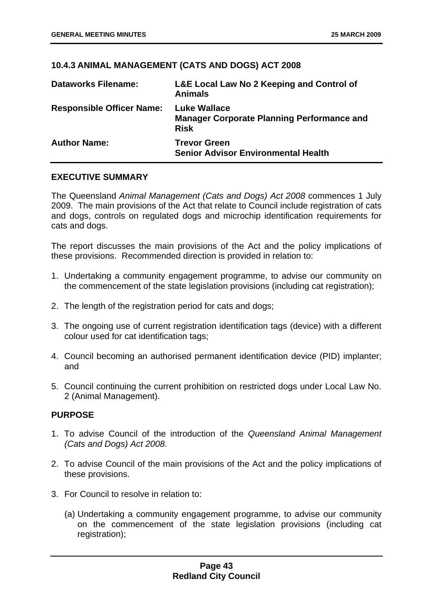# **10.4.3 ANIMAL MANAGEMENT (CATS AND DOGS) ACT 2008**

| <b>Dataworks Filename:</b>       | L&E Local Law No 2 Keeping and Control of<br><b>Animals</b>                             |
|----------------------------------|-----------------------------------------------------------------------------------------|
| <b>Responsible Officer Name:</b> | <b>Luke Wallace</b><br><b>Manager Corporate Planning Performance and</b><br><b>Risk</b> |
| <b>Author Name:</b>              | <b>Trevor Green</b><br><b>Senior Advisor Environmental Health</b>                       |

# **EXECUTIVE SUMMARY**

The Queensland *Animal Management (Cats and Dogs) Act 2008* commences 1 July 2009. The main provisions of the Act that relate to Council include registration of cats and dogs, controls on regulated dogs and microchip identification requirements for cats and dogs.

The report discusses the main provisions of the Act and the policy implications of these provisions. Recommended direction is provided in relation to:

- 1. Undertaking a community engagement programme, to advise our community on the commencement of the state legislation provisions (including cat registration);
- 2. The length of the registration period for cats and dogs;
- 3. The ongoing use of current registration identification tags (device) with a different colour used for cat identification tags;
- 4. Council becoming an authorised permanent identification device (PID) implanter; and
- 5. Council continuing the current prohibition on restricted dogs under Local Law No. 2 (Animal Management).

## **PURPOSE**

- 1. To advise Council of the introduction of the *Queensland Animal Management (Cats and Dogs) Act 2008*.
- 2. To advise Council of the main provisions of the Act and the policy implications of these provisions.
- 3. For Council to resolve in relation to:
	- (a) Undertaking a community engagement programme, to advise our community on the commencement of the state legislation provisions (including cat registration);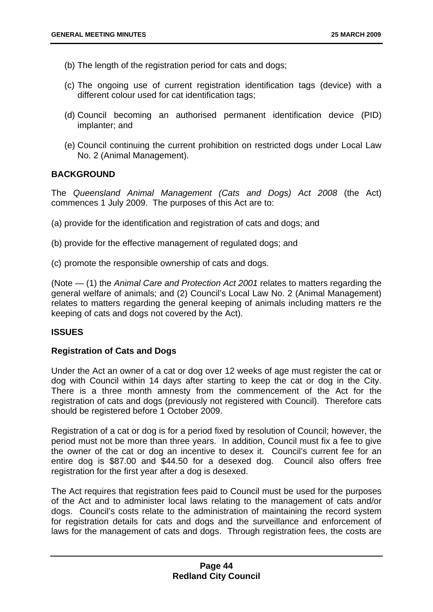- (b) The length of the registration period for cats and dogs;
- (c) The ongoing use of current registration identification tags (device) with a different colour used for cat identification tags;
- (d) Council becoming an authorised permanent identification device (PID) implanter; and
- (e) Council continuing the current prohibition on restricted dogs under Local Law No. 2 (Animal Management).

## **BACKGROUND**

The *Queensland Animal Management (Cats and Dogs) Act 2008* (the Act) commences 1 July 2009. The purposes of this Act are to:

- (a) provide for the identification and registration of cats and dogs; and
- (b) provide for the effective management of regulated dogs; and
- (c) promote the responsible ownership of cats and dogs.

(Note — (1) the *Animal Care and Protection Act 2001* relates to matters regarding the general welfare of animals; and (2) Council's Local Law No. 2 (Animal Management) relates to matters regarding the general keeping of animals including matters re the keeping of cats and dogs not covered by the Act).

## **ISSUES**

## **Registration of Cats and Dogs**

Under the Act an owner of a cat or dog over 12 weeks of age must register the cat or dog with Council within 14 days after starting to keep the cat or dog in the City. There is a three month amnesty from the commencement of the Act for the registration of cats and dogs (previously not registered with Council). Therefore cats should be registered before 1 October 2009.

Registration of a cat or dog is for a period fixed by resolution of Council; however, the period must not be more than three years. In addition, Council must fix a fee to give the owner of the cat or dog an incentive to desex it. Council's current fee for an entire dog is \$87.00 and \$44.50 for a desexed dog. Council also offers free registration for the first year after a dog is desexed.

The Act requires that registration fees paid to Council must be used for the purposes of the Act and to administer local laws relating to the management of cats and/or dogs. Council's costs relate to the administration of maintaining the record system for registration details for cats and dogs and the surveillance and enforcement of laws for the management of cats and dogs. Through registration fees, the costs are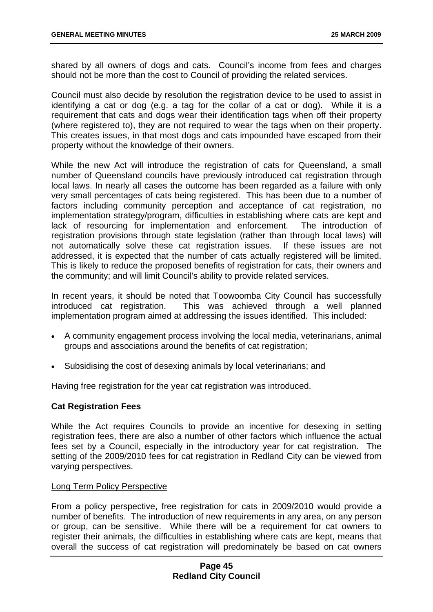shared by all owners of dogs and cats. Council's income from fees and charges should not be more than the cost to Council of providing the related services.

Council must also decide by resolution the registration device to be used to assist in identifying a cat or dog (e.g. a tag for the collar of a cat or dog). While it is a requirement that cats and dogs wear their identification tags when off their property (where registered to), they are not required to wear the tags when on their property. This creates issues, in that most dogs and cats impounded have escaped from their property without the knowledge of their owners.

While the new Act will introduce the registration of cats for Queensland, a small number of Queensland councils have previously introduced cat registration through local laws. In nearly all cases the outcome has been regarded as a failure with only very small percentages of cats being registered. This has been due to a number of factors including community perception and acceptance of cat registration, no implementation strategy/program, difficulties in establishing where cats are kept and lack of resourcing for implementation and enforcement. The introduction of registration provisions through state legislation (rather than through local laws) will not automatically solve these cat registration issues. If these issues are not addressed, it is expected that the number of cats actually registered will be limited. This is likely to reduce the proposed benefits of registration for cats, their owners and the community; and will limit Council's ability to provide related services.

In recent years, it should be noted that Toowoomba City Council has successfully introduced cat registration. This was achieved through a well planned implementation program aimed at addressing the issues identified. This included:

- A community engagement process involving the local media, veterinarians, animal groups and associations around the benefits of cat registration;
- Subsidising the cost of desexing animals by local veterinarians; and

Having free registration for the year cat registration was introduced.

## **Cat Registration Fees**

While the Act requires Councils to provide an incentive for desexing in setting registration fees, there are also a number of other factors which influence the actual fees set by a Council, especially in the introductory year for cat registration. The setting of the 2009/2010 fees for cat registration in Redland City can be viewed from varying perspectives.

#### Long Term Policy Perspective

From a policy perspective, free registration for cats in 2009/2010 would provide a number of benefits. The introduction of new requirements in any area, on any person or group, can be sensitive. While there will be a requirement for cat owners to register their animals, the difficulties in establishing where cats are kept, means that overall the success of cat registration will predominately be based on cat owners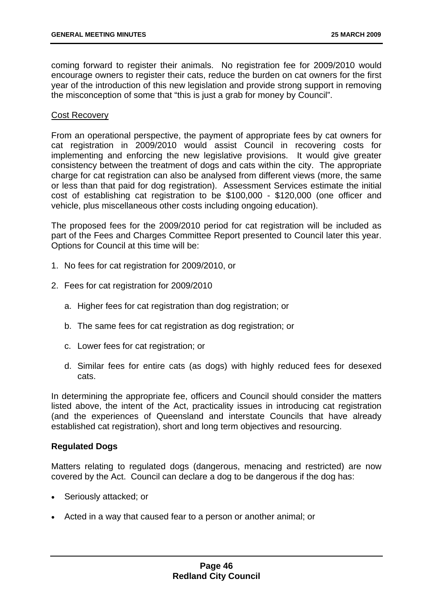coming forward to register their animals. No registration fee for 2009/2010 would encourage owners to register their cats, reduce the burden on cat owners for the first year of the introduction of this new legislation and provide strong support in removing the misconception of some that "this is just a grab for money by Council".

#### Cost Recovery

From an operational perspective, the payment of appropriate fees by cat owners for cat registration in 2009/2010 would assist Council in recovering costs for implementing and enforcing the new legislative provisions. It would give greater consistency between the treatment of dogs and cats within the city. The appropriate charge for cat registration can also be analysed from different views (more, the same or less than that paid for dog registration). Assessment Services estimate the initial cost of establishing cat registration to be \$100,000 - \$120,000 (one officer and vehicle, plus miscellaneous other costs including ongoing education).

The proposed fees for the 2009/2010 period for cat registration will be included as part of the Fees and Charges Committee Report presented to Council later this year. Options for Council at this time will be:

- 1. No fees for cat registration for 2009/2010, or
- 2. Fees for cat registration for 2009/2010
	- a. Higher fees for cat registration than dog registration; or
	- b. The same fees for cat registration as dog registration; or
	- c. Lower fees for cat registration; or
	- d. Similar fees for entire cats (as dogs) with highly reduced fees for desexed cats.

In determining the appropriate fee, officers and Council should consider the matters listed above, the intent of the Act, practicality issues in introducing cat registration (and the experiences of Queensland and interstate Councils that have already established cat registration), short and long term objectives and resourcing.

## **Regulated Dogs**

Matters relating to regulated dogs (dangerous, menacing and restricted) are now covered by the Act. Council can declare a dog to be dangerous if the dog has:

- Seriously attacked; or
- Acted in a way that caused fear to a person or another animal; or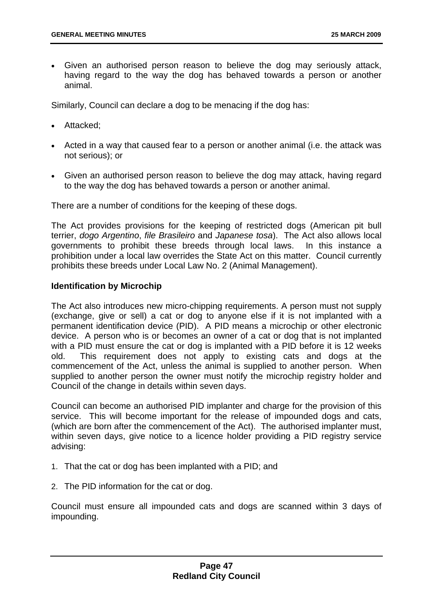• Given an authorised person reason to believe the dog may seriously attack, having regard to the way the dog has behaved towards a person or another animal.

Similarly, Council can declare a dog to be menacing if the dog has:

- Attacked;
- Acted in a way that caused fear to a person or another animal (i.e. the attack was not serious); or
- Given an authorised person reason to believe the dog may attack, having regard to the way the dog has behaved towards a person or another animal.

There are a number of conditions for the keeping of these dogs.

The Act provides provisions for the keeping of restricted dogs (American pit bull terrier, *dogo Argentino*, *file Brasileiro* and *Japanese tosa*). The Act also allows local governments to prohibit these breeds through local laws. In this instance a prohibition under a local law overrides the State Act on this matter. Council currently prohibits these breeds under Local Law No. 2 (Animal Management).

# **Identification by Microchip**

The Act also introduces new micro-chipping requirements. A person must not supply (exchange, give or sell) a cat or dog to anyone else if it is not implanted with a permanent identification device (PID). A PID means a microchip or other electronic device. A person who is or becomes an owner of a cat or dog that is not implanted with a PID must ensure the cat or dog is implanted with a PID before it is 12 weeks old. This requirement does not apply to existing cats and dogs at the commencement of the Act, unless the animal is supplied to another person. When supplied to another person the owner must notify the microchip registry holder and Council of the change in details within seven days.

Council can become an authorised PID implanter and charge for the provision of this service. This will become important for the release of impounded dogs and cats, (which are born after the commencement of the Act). The authorised implanter must, within seven days, give notice to a licence holder providing a PID registry service advising:

- 1. That the cat or dog has been implanted with a PID; and
- 2. The PID information for the cat or dog.

Council must ensure all impounded cats and dogs are scanned within 3 days of impounding.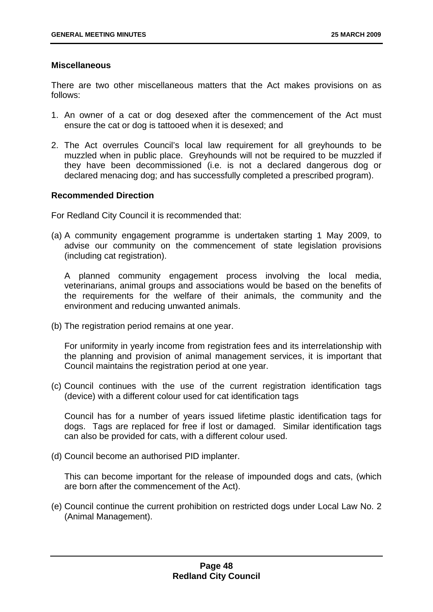## **Miscellaneous**

There are two other miscellaneous matters that the Act makes provisions on as follows:

- 1. An owner of a cat or dog desexed after the commencement of the Act must ensure the cat or dog is tattooed when it is desexed; and
- 2. The Act overrules Council's local law requirement for all greyhounds to be muzzled when in public place. Greyhounds will not be required to be muzzled if they have been decommissioned (i.e. is not a declared dangerous dog or declared menacing dog; and has successfully completed a prescribed program).

## **Recommended Direction**

For Redland City Council it is recommended that:

(a) A community engagement programme is undertaken starting 1 May 2009, to advise our community on the commencement of state legislation provisions (including cat registration).

A planned community engagement process involving the local media, veterinarians, animal groups and associations would be based on the benefits of the requirements for the welfare of their animals, the community and the environment and reducing unwanted animals.

(b) The registration period remains at one year.

For uniformity in yearly income from registration fees and its interrelationship with the planning and provision of animal management services, it is important that Council maintains the registration period at one year.

(c) Council continues with the use of the current registration identification tags (device) with a different colour used for cat identification tags

Council has for a number of years issued lifetime plastic identification tags for dogs. Tags are replaced for free if lost or damaged. Similar identification tags can also be provided for cats, with a different colour used.

(d) Council become an authorised PID implanter.

This can become important for the release of impounded dogs and cats, (which are born after the commencement of the Act).

(e) Council continue the current prohibition on restricted dogs under Local Law No. 2 (Animal Management).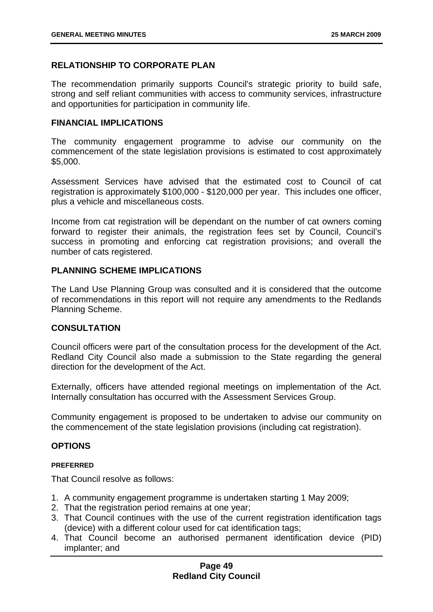# **RELATIONSHIP TO CORPORATE PLAN**

The recommendation primarily supports Council's strategic priority to build safe, strong and self reliant communities with access to community services, infrastructure and opportunities for participation in community life.

## **FINANCIAL IMPLICATIONS**

The community engagement programme to advise our community on the commencement of the state legislation provisions is estimated to cost approximately \$5,000.

Assessment Services have advised that the estimated cost to Council of cat registration is approximately \$100,000 - \$120,000 per year. This includes one officer, plus a vehicle and miscellaneous costs.

Income from cat registration will be dependant on the number of cat owners coming forward to register their animals, the registration fees set by Council, Council's success in promoting and enforcing cat registration provisions; and overall the number of cats registered.

## **PLANNING SCHEME IMPLICATIONS**

The Land Use Planning Group was consulted and it is considered that the outcome of recommendations in this report will not require any amendments to the Redlands Planning Scheme.

## **CONSULTATION**

Council officers were part of the consultation process for the development of the Act. Redland City Council also made a submission to the State regarding the general direction for the development of the Act.

Externally, officers have attended regional meetings on implementation of the Act. Internally consultation has occurred with the Assessment Services Group.

Community engagement is proposed to be undertaken to advise our community on the commencement of the state legislation provisions (including cat registration).

## **OPTIONS**

#### **PREFERRED**

That Council resolve as follows:

- 1. A community engagement programme is undertaken starting 1 May 2009;
- 2. That the registration period remains at one year;
- 3. That Council continues with the use of the current registration identification tags (device) with a different colour used for cat identification tags;
- 4. That Council become an authorised permanent identification device (PID) implanter; and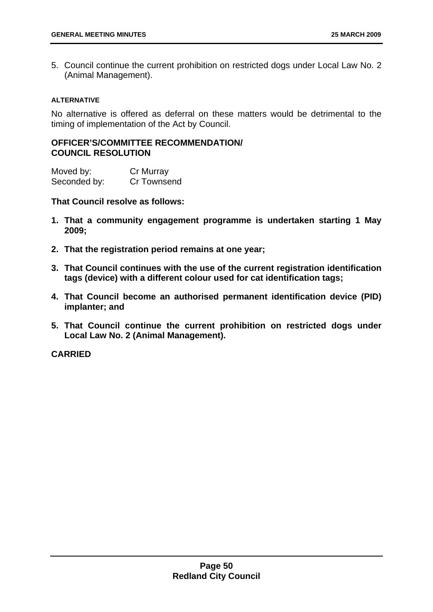5. Council continue the current prohibition on restricted dogs under Local Law No. 2 (Animal Management).

#### **ALTERNATIVE**

No alternative is offered as deferral on these matters would be detrimental to the timing of implementation of the Act by Council.

# **OFFICER'S/COMMITTEE RECOMMENDATION/ COUNCIL RESOLUTION**

| Moved by:    | Cr Murray   |
|--------------|-------------|
| Seconded by: | Cr Townsend |

**That Council resolve as follows:** 

- **1. That a community engagement programme is undertaken starting 1 May 2009;**
- **2. That the registration period remains at one year;**
- **3. That Council continues with the use of the current registration identification tags (device) with a different colour used for cat identification tags;**
- **4. That Council become an authorised permanent identification device (PID) implanter; and**
- **5. That Council continue the current prohibition on restricted dogs under Local Law No. 2 (Animal Management).**

**CARRIED**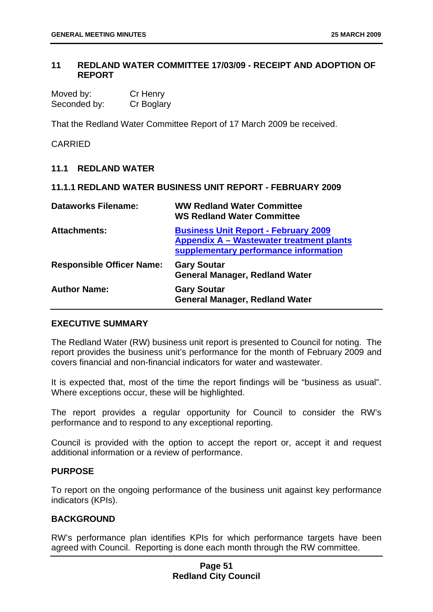# **11 REDLAND WATER COMMITTEE 17/03/09 - RECEIPT AND ADOPTION OF REPORT**

| Moved by:    | Cr Henry   |
|--------------|------------|
| Seconded by: | Cr Boglary |

That the Redland Water Committee Report of 17 March 2009 be received.

# CARRIED

#### **11.1 REDLAND WATER**

# **11.1.1 REDLAND WATER BUSINESS UNIT REPORT - FEBRUARY 2009**

| <b>Dataworks Filename:</b>       | <b>WW Redland Water Committee</b><br><b>WS Redland Water Committee</b>                                                           |
|----------------------------------|----------------------------------------------------------------------------------------------------------------------------------|
| <b>Attachments:</b>              | <b>Business Unit Report - February 2009</b><br>Appendix A - Wastewater treatment plants<br>supplementary performance information |
| <b>Responsible Officer Name:</b> | <b>Gary Soutar</b><br><b>General Manager, Redland Water</b>                                                                      |
| <b>Author Name:</b>              | <b>Gary Soutar</b><br><b>General Manager, Redland Water</b>                                                                      |

# **EXECUTIVE SUMMARY**

The Redland Water (RW) business unit report is presented to Council for noting. The report provides the business unit's performance for the month of February 2009 and covers financial and non-financial indicators for water and wastewater.

It is expected that, most of the time the report findings will be "business as usual". Where exceptions occur, these will be highlighted.

The report provides a regular opportunity for Council to consider the RW's performance and to respond to any exceptional reporting.

Council is provided with the option to accept the report or, accept it and request additional information or a review of performance.

#### **PURPOSE**

To report on the ongoing performance of the business unit against key performance indicators (KPIs).

## **BACKGROUND**

RW's performance plan identifies KPIs for which performance targets have been agreed with Council. Reporting is done each month through the RW committee.

# **Page 51 Redland City Council**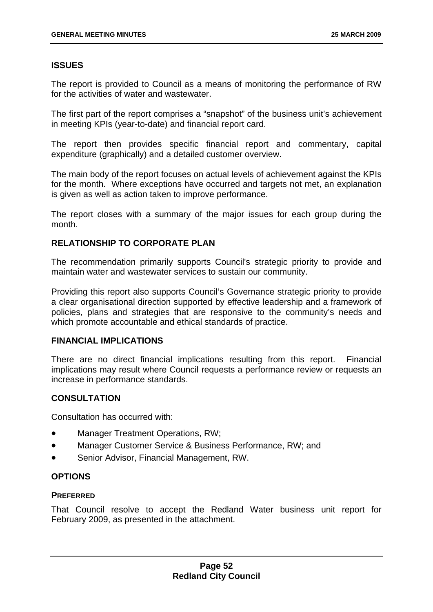# **ISSUES**

The report is provided to Council as a means of monitoring the performance of RW for the activities of water and wastewater.

The first part of the report comprises a "snapshot" of the business unit's achievement in meeting KPIs (year-to-date) and financial report card.

The report then provides specific financial report and commentary, capital expenditure (graphically) and a detailed customer overview.

The main body of the report focuses on actual levels of achievement against the KPIs for the month. Where exceptions have occurred and targets not met, an explanation is given as well as action taken to improve performance.

The report closes with a summary of the major issues for each group during the month.

# **RELATIONSHIP TO CORPORATE PLAN**

The recommendation primarily supports Council's strategic priority to provide and maintain water and wastewater services to sustain our community.

Providing this report also supports Council's Governance strategic priority to provide a clear organisational direction supported by effective leadership and a framework of policies, plans and strategies that are responsive to the community's needs and which promote accountable and ethical standards of practice.

## **FINANCIAL IMPLICATIONS**

There are no direct financial implications resulting from this report. Financial implications may result where Council requests a performance review or requests an increase in performance standards.

# **CONSULTATION**

Consultation has occurred with:

- Manager Treatment Operations, RW;
- Manager Customer Service & Business Performance, RW; and
- Senior Advisor, Financial Management, RW.

# **OPTIONS**

## **PREFERRED**

That Council resolve to accept the Redland Water business unit report for February 2009, as presented in the attachment.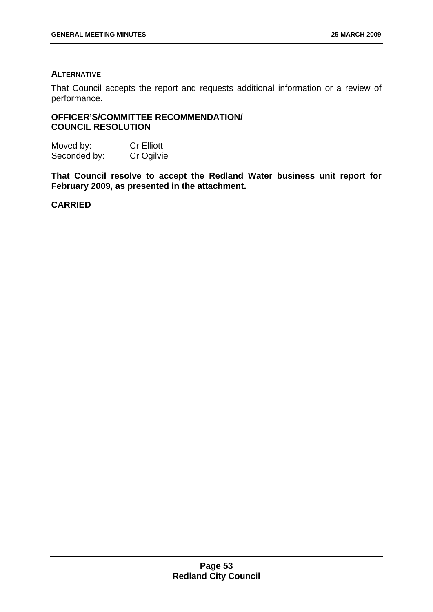## **ALTERNATIVE**

That Council accepts the report and requests additional information or a review of performance.

# **OFFICER'S/COMMITTEE RECOMMENDATION/ COUNCIL RESOLUTION**

Moved by: Cr Elliott Seconded by: Cr Ogilvie

**That Council resolve to accept the Redland Water business unit report for February 2009, as presented in the attachment.** 

**CARRIED**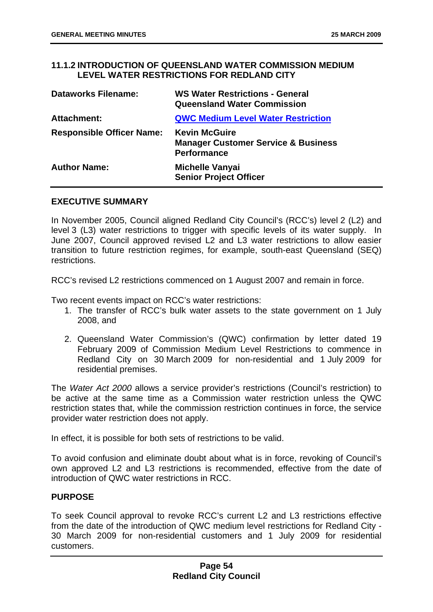# **11.1.2 INTRODUCTION OF QUEENSLAND WATER COMMISSION MEDIUM LEVEL WATER RESTRICTIONS FOR REDLAND CITY**

| <b>Dataworks Filename:</b>       | <b>WS Water Restrictions - General</b><br><b>Queensland Water Commission</b>                 |
|----------------------------------|----------------------------------------------------------------------------------------------|
| <b>Attachment:</b>               | <b>QWC Medium Level Water Restriction</b>                                                    |
| <b>Responsible Officer Name:</b> | <b>Kevin McGuire</b><br><b>Manager Customer Service &amp; Business</b><br><b>Performance</b> |
| <b>Author Name:</b>              | <b>Michelle Vanyai</b><br><b>Senior Project Officer</b>                                      |

# **EXECUTIVE SUMMARY**

In November 2005, Council aligned Redland City Council's (RCC's) level 2 (L2) and level 3 (L3) water restrictions to trigger with specific levels of its water supply. In June 2007, Council approved revised L2 and L3 water restrictions to allow easier transition to future restriction regimes, for example, south-east Queensland (SEQ) restrictions.

RCC's revised L2 restrictions commenced on 1 August 2007 and remain in force.

Two recent events impact on RCC's water restrictions:

- 1. The transfer of RCC's bulk water assets to the state government on 1 July 2008, and
- 2. Queensland Water Commission's (QWC) confirmation by letter dated 19 February 2009 of Commission Medium Level Restrictions to commence in Redland City on 30 March 2009 for non-residential and 1 July 2009 for residential premises.

The *Water Act 2000* allows a service provider's restrictions (Council's restriction) to be active at the same time as a Commission water restriction unless the QWC restriction states that, while the commission restriction continues in force, the service provider water restriction does not apply.

In effect, it is possible for both sets of restrictions to be valid.

To avoid confusion and eliminate doubt about what is in force, revoking of Council's own approved L2 and L3 restrictions is recommended, effective from the date of introduction of QWC water restrictions in RCC.

# **PURPOSE**

To seek Council approval to revoke RCC's current L2 and L3 restrictions effective from the date of the introduction of QWC medium level restrictions for Redland City - 30 March 2009 for non-residential customers and 1 July 2009 for residential customers.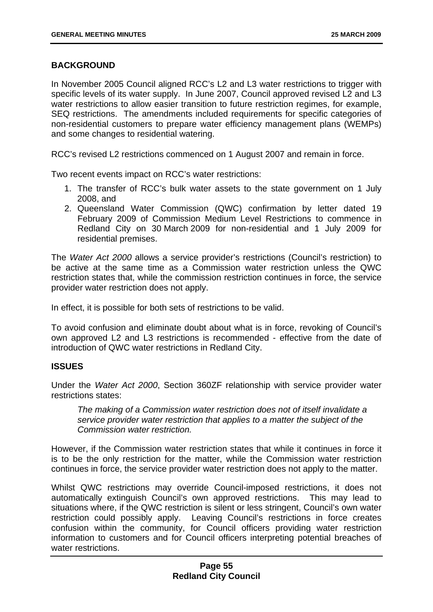# **BACKGROUND**

In November 2005 Council aligned RCC's L2 and L3 water restrictions to trigger with specific levels of its water supply. In June 2007, Council approved revised L2 and L3 water restrictions to allow easier transition to future restriction regimes, for example, SEQ restrictions. The amendments included requirements for specific categories of non-residential customers to prepare water efficiency management plans (WEMPs) and some changes to residential watering.

RCC's revised L2 restrictions commenced on 1 August 2007 and remain in force.

Two recent events impact on RCC's water restrictions:

- 1. The transfer of RCC's bulk water assets to the state government on 1 July 2008, and
- 2. Queensland Water Commission (QWC) confirmation by letter dated 19 February 2009 of Commission Medium Level Restrictions to commence in Redland City on 30 March 2009 for non-residential and 1 July 2009 for residential premises.

The *Water Act 2000* allows a service provider's restrictions (Council's restriction) to be active at the same time as a Commission water restriction unless the QWC restriction states that, while the commission restriction continues in force, the service provider water restriction does not apply.

In effect, it is possible for both sets of restrictions to be valid.

To avoid confusion and eliminate doubt about what is in force, revoking of Council's own approved L2 and L3 restrictions is recommended - effective from the date of introduction of QWC water restrictions in Redland City.

## **ISSUES**

Under the *Water Act 2000*, Section 360ZF relationship with service provider water restrictions states:

*The making of a Commission water restriction does not of itself invalidate a service provider water restriction that applies to a matter the subject of the Commission water restriction.* 

However, if the Commission water restriction states that while it continues in force it is to be the only restriction for the matter, while the Commission water restriction continues in force, the service provider water restriction does not apply to the matter.

Whilst QWC restrictions may override Council-imposed restrictions, it does not automatically extinguish Council's own approved restrictions. This may lead to situations where, if the QWC restriction is silent or less stringent, Council's own water restriction could possibly apply. Leaving Council's restrictions in force creates confusion within the community, for Council officers providing water restriction information to customers and for Council officers interpreting potential breaches of water restrictions.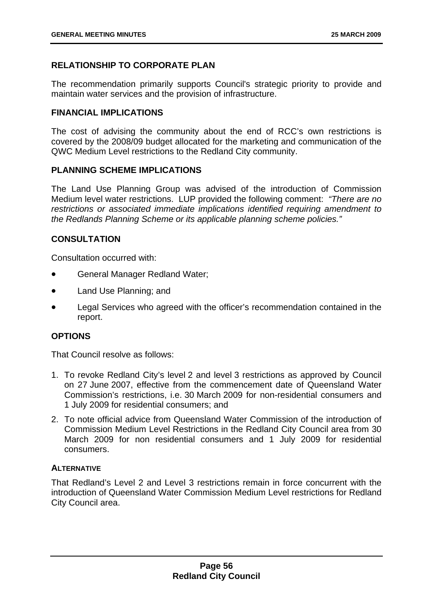# **RELATIONSHIP TO CORPORATE PLAN**

The recommendation primarily supports Council's strategic priority to provide and maintain water services and the provision of infrastructure.

# **FINANCIAL IMPLICATIONS**

The cost of advising the community about the end of RCC's own restrictions is covered by the 2008/09 budget allocated for the marketing and communication of the QWC Medium Level restrictions to the Redland City community.

# **PLANNING SCHEME IMPLICATIONS**

The Land Use Planning Group was advised of the introduction of Commission Medium level water restrictions. LUP provided the following comment: *"There are no restrictions or associated immediate implications identified requiring amendment to the Redlands Planning Scheme or its applicable planning scheme policies."*

# **CONSULTATION**

Consultation occurred with:

- General Manager Redland Water;
- Land Use Planning; and
- Legal Services who agreed with the officer's recommendation contained in the report.

# **OPTIONS**

That Council resolve as follows:

- 1. To revoke Redland City's level 2 and level 3 restrictions as approved by Council on 27 June 2007, effective from the commencement date of Queensland Water Commission's restrictions, i.e. 30 March 2009 for non-residential consumers and 1 July 2009 for residential consumers; and
- 2. To note official advice from Queensland Water Commission of the introduction of Commission Medium Level Restrictions in the Redland City Council area from 30 March 2009 for non residential consumers and 1 July 2009 for residential consumers.

# **ALTERNATIVE**

That Redland's Level 2 and Level 3 restrictions remain in force concurrent with the introduction of Queensland Water Commission Medium Level restrictions for Redland City Council area.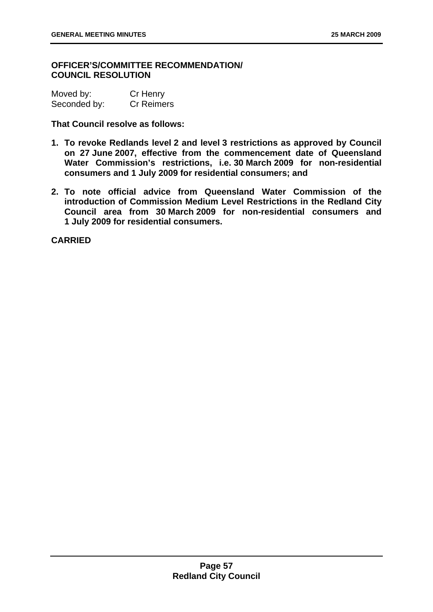# **OFFICER'S/COMMITTEE RECOMMENDATION/ COUNCIL RESOLUTION**

| Moved by:    | Cr Henry          |
|--------------|-------------------|
| Seconded by: | <b>Cr Reimers</b> |

**That Council resolve as follows:** 

- **1. To revoke Redlands level 2 and level 3 restrictions as approved by Council on 27 June 2007, effective from the commencement date of Queensland Water Commission's restrictions, i.e. 30 March 2009 for non-residential consumers and 1 July 2009 for residential consumers; and**
- **2. To note official advice from Queensland Water Commission of the introduction of Commission Medium Level Restrictions in the Redland City Council area from 30 March 2009 for non-residential consumers and 1 July 2009 for residential consumers.**

**CARRIED**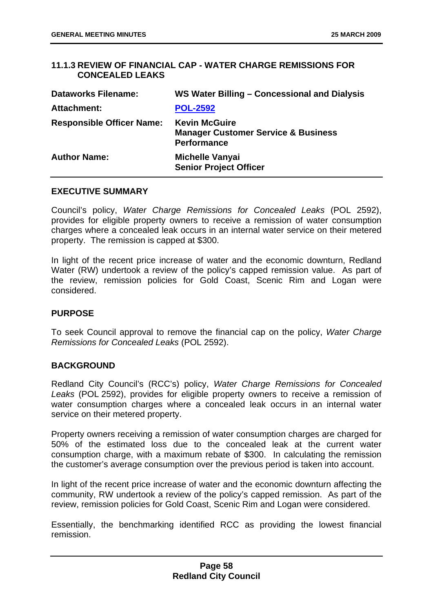# **11.1.3 REVIEW OF FINANCIAL CAP - WATER CHARGE REMISSIONS FOR CONCEALED LEAKS**

| <b>Dataworks Filename:</b>       | WS Water Billing – Concessional and Dialysis                                                 |
|----------------------------------|----------------------------------------------------------------------------------------------|
| <b>Attachment:</b>               | <b>POL-2592</b>                                                                              |
| <b>Responsible Officer Name:</b> | <b>Kevin McGuire</b><br><b>Manager Customer Service &amp; Business</b><br><b>Performance</b> |
| <b>Author Name:</b>              | <b>Michelle Vanyai</b><br><b>Senior Project Officer</b>                                      |

#### **EXECUTIVE SUMMARY**

Council's policy, *Water Charge Remissions for Concealed Leaks* (POL 2592), provides for eligible property owners to receive a remission of water consumption charges where a concealed leak occurs in an internal water service on their metered property. The remission is capped at \$300.

In light of the recent price increase of water and the economic downturn, Redland Water (RW) undertook a review of the policy's capped remission value. As part of the review, remission policies for Gold Coast, Scenic Rim and Logan were considered.

## **PURPOSE**

To seek Council approval to remove the financial cap on the policy, *Water Charge Remissions for Concealed Leaks* (POL 2592).

## **BACKGROUND**

Redland City Council's (RCC's) policy, *Water Charge Remissions for Concealed Leaks* (POL 2592), provides for eligible property owners to receive a remission of water consumption charges where a concealed leak occurs in an internal water service on their metered property.

Property owners receiving a remission of water consumption charges are charged for 50% of the estimated loss due to the concealed leak at the current water consumption charge, with a maximum rebate of \$300. In calculating the remission the customer's average consumption over the previous period is taken into account.

In light of the recent price increase of water and the economic downturn affecting the community, RW undertook a review of the policy's capped remission. As part of the review, remission policies for Gold Coast, Scenic Rim and Logan were considered.

Essentially, the benchmarking identified RCC as providing the lowest financial remission.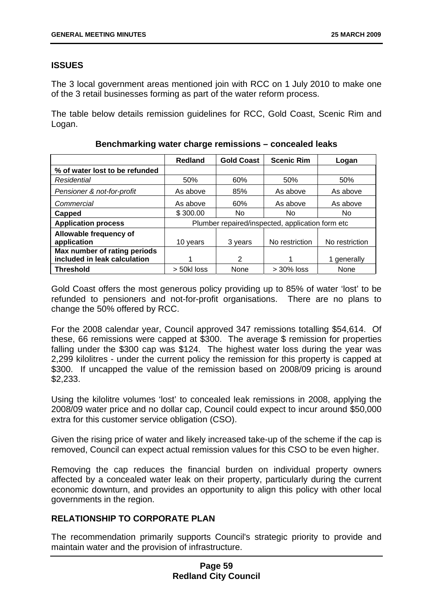# **ISSUES**

The 3 local government areas mentioned join with RCC on 1 July 2010 to make one of the 3 retail businesses forming as part of the water reform process.

The table below details remission guidelines for RCC, Gold Coast, Scenic Rim and Logan.

|                                                              | <b>Redland</b>                                   | <b>Gold Coast</b> | <b>Scenic Rim</b> | Logan          |
|--------------------------------------------------------------|--------------------------------------------------|-------------------|-------------------|----------------|
| % of water lost to be refunded                               |                                                  |                   |                   |                |
| Residential                                                  | 50%                                              | 60%               | 50%               | 50%            |
| Pensioner & not-for-profit                                   | As above                                         | 85%               | As above          | As above       |
| Commercial                                                   | As above                                         | 60%               | As above          | As above       |
| Capped                                                       | \$300.00                                         | No.               | No.               | No             |
| <b>Application process</b>                                   | Plumber repaired/inspected, application form etc |                   |                   |                |
| Allowable frequency of<br>application                        | 10 years                                         | 3 years           | No restriction    | No restriction |
| Max number of rating periods<br>included in leak calculation |                                                  | 2                 |                   | 1 generally    |
| <b>Threshold</b>                                             | > 50kl loss                                      | None              | $>$ 30% loss      | None           |

**Benchmarking water charge remissions – concealed leaks** 

Gold Coast offers the most generous policy providing up to 85% of water 'lost' to be refunded to pensioners and not-for-profit organisations. There are no plans to change the 50% offered by RCC.

For the 2008 calendar year, Council approved 347 remissions totalling \$54,614. Of these, 66 remissions were capped at \$300. The average \$ remission for properties falling under the \$300 cap was \$124. The highest water loss during the year was 2,299 kilolitres - under the current policy the remission for this property is capped at \$300. If uncapped the value of the remission based on 2008/09 pricing is around \$2,233.

Using the kilolitre volumes 'lost' to concealed leak remissions in 2008, applying the 2008/09 water price and no dollar cap, Council could expect to incur around \$50,000 extra for this customer service obligation (CSO).

Given the rising price of water and likely increased take-up of the scheme if the cap is removed, Council can expect actual remission values for this CSO to be even higher.

Removing the cap reduces the financial burden on individual property owners affected by a concealed water leak on their property, particularly during the current economic downturn, and provides an opportunity to align this policy with other local governments in the region.

# **RELATIONSHIP TO CORPORATE PLAN**

The recommendation primarily supports Council's strategic priority to provide and maintain water and the provision of infrastructure.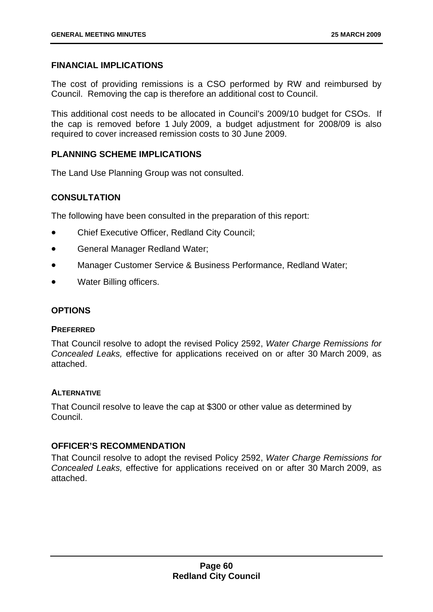# **FINANCIAL IMPLICATIONS**

The cost of providing remissions is a CSO performed by RW and reimbursed by Council. Removing the cap is therefore an additional cost to Council.

This additional cost needs to be allocated in Council's 2009/10 budget for CSOs. If the cap is removed before 1 July 2009, a budget adjustment for 2008/09 is also required to cover increased remission costs to 30 June 2009.

# **PLANNING SCHEME IMPLICATIONS**

The Land Use Planning Group was not consulted.

# **CONSULTATION**

The following have been consulted in the preparation of this report:

- Chief Executive Officer, Redland City Council;
- General Manager Redland Water;
- Manager Customer Service & Business Performance, Redland Water;
- Water Billing officers.

## **OPTIONS**

#### **PREFERRED**

That Council resolve to adopt the revised Policy 2592, *Water Charge Remissions for Concealed Leaks,* effective for applications received on or after 30 March 2009, as attached.

## **ALTERNATIVE**

That Council resolve to leave the cap at \$300 or other value as determined by Council.

## **OFFICER'S RECOMMENDATION**

That Council resolve to adopt the revised Policy 2592, *Water Charge Remissions for Concealed Leaks,* effective for applications received on or after 30 March 2009, as attached.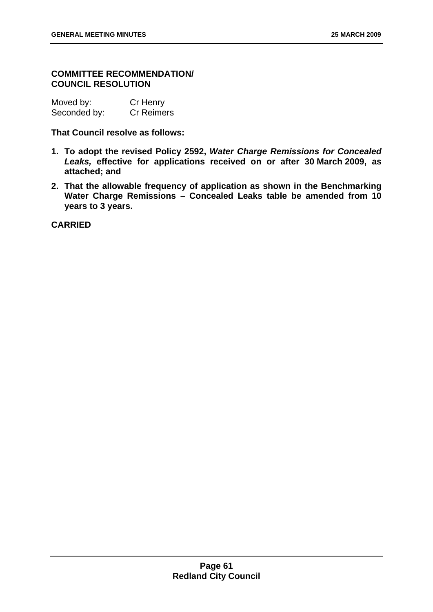# **COMMITTEE RECOMMENDATION/ COUNCIL RESOLUTION**

Moved by: Cr Henry Seconded by: Cr Reimers

**That Council resolve as follows:** 

- **1. To adopt the revised Policy 2592,** *Water Charge Remissions for Concealed Leaks,* **effective for applications received on or after 30 March 2009, as attached; and**
- **2. That the allowable frequency of application as shown in the Benchmarking Water Charge Remissions – Concealed Leaks table be amended from 10 years to 3 years.**

**CARRIED**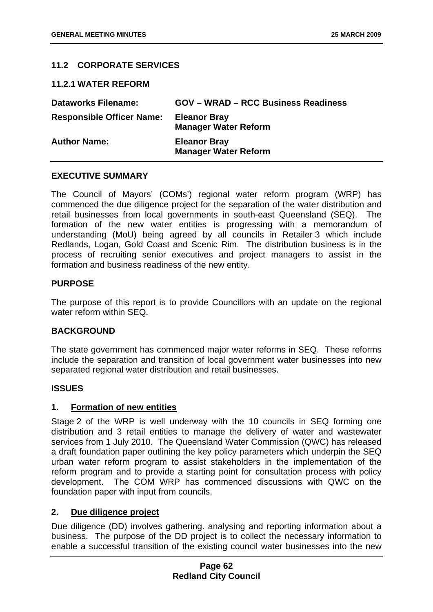# **11.2 CORPORATE SERVICES**

## **11.2.1 WATER REFORM**

| <b>Dataworks Filename:</b>       | <b>GOV - WRAD - RCC Business Readiness</b>         |
|----------------------------------|----------------------------------------------------|
| <b>Responsible Officer Name:</b> | <b>Eleanor Bray</b><br><b>Manager Water Reform</b> |
| <b>Author Name:</b>              | <b>Eleanor Bray</b><br><b>Manager Water Reform</b> |

## **EXECUTIVE SUMMARY**

The Council of Mayors' (COMs') regional water reform program (WRP) has commenced the due diligence project for the separation of the water distribution and retail businesses from local governments in south-east Queensland (SEQ). The formation of the new water entities is progressing with a memorandum of understanding (MoU) being agreed by all councils in Retailer 3 which include Redlands, Logan, Gold Coast and Scenic Rim. The distribution business is in the process of recruiting senior executives and project managers to assist in the formation and business readiness of the new entity.

## **PURPOSE**

The purpose of this report is to provide Councillors with an update on the regional water reform within SEQ.

## **BACKGROUND**

The state government has commenced major water reforms in SEQ. These reforms include the separation and transition of local government water businesses into new separated regional water distribution and retail businesses.

## **ISSUES**

## **1. Formation of new entities**

Stage 2 of the WRP is well underway with the 10 councils in SEQ forming one distribution and 3 retail entities to manage the delivery of water and wastewater services from 1 July 2010. The Queensland Water Commission (QWC) has released a draft foundation paper outlining the key policy parameters which underpin the SEQ urban water reform program to assist stakeholders in the implementation of the reform program and to provide a starting point for consultation process with policy development. The COM WRP has commenced discussions with QWC on the foundation paper with input from councils.

## **2. Due diligence project**

Due diligence (DD) involves gathering. analysing and reporting information about a business. The purpose of the DD project is to collect the necessary information to enable a successful transition of the existing council water businesses into the new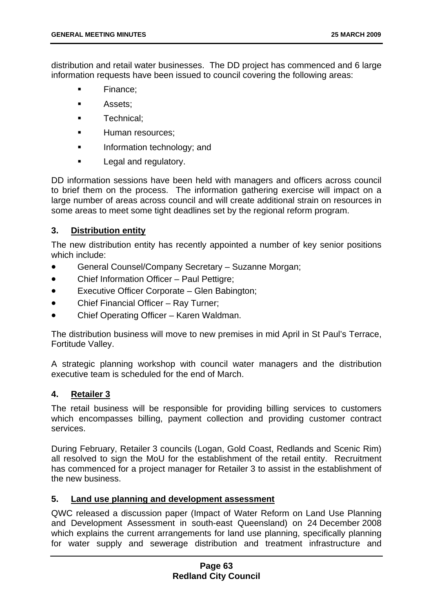distribution and retail water businesses. The DD project has commenced and 6 large information requests have been issued to council covering the following areas:

- Finance;
- **Assets:**
- **Technical:**
- Human resources;
- Information technology; and
- Legal and regulatory.

DD information sessions have been held with managers and officers across council to brief them on the process. The information gathering exercise will impact on a large number of areas across council and will create additional strain on resources in some areas to meet some tight deadlines set by the regional reform program.

# **3. Distribution entity**

The new distribution entity has recently appointed a number of key senior positions which include:

- General Counsel/Company Secretary Suzanne Morgan;
- Chief Information Officer Paul Pettigre;
- Executive Officer Corporate Glen Babington;
- Chief Financial Officer Ray Turner;
- Chief Operating Officer Karen Waldman.

The distribution business will move to new premises in mid April in St Paul's Terrace, Fortitude Valley.

A strategic planning workshop with council water managers and the distribution executive team is scheduled for the end of March.

# **4. Retailer 3**

The retail business will be responsible for providing billing services to customers which encompasses billing, payment collection and providing customer contract services.

During February, Retailer 3 councils (Logan, Gold Coast, Redlands and Scenic Rim) all resolved to sign the MoU for the establishment of the retail entity. Recruitment has commenced for a project manager for Retailer 3 to assist in the establishment of the new business.

# **5. Land use planning and development assessment**

QWC released a discussion paper (Impact of Water Reform on Land Use Planning and Development Assessment in south-east Queensland) on 24 December 2008 which explains the current arrangements for land use planning, specifically planning for water supply and sewerage distribution and treatment infrastructure and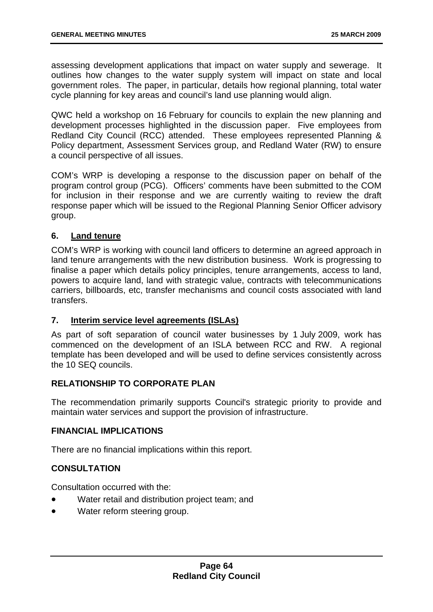assessing development applications that impact on water supply and sewerage. It outlines how changes to the water supply system will impact on state and local government roles. The paper, in particular, details how regional planning, total water cycle planning for key areas and council's land use planning would align.

QWC held a workshop on 16 February for councils to explain the new planning and development processes highlighted in the discussion paper. Five employees from Redland City Council (RCC) attended. These employees represented Planning & Policy department, Assessment Services group, and Redland Water (RW) to ensure a council perspective of all issues.

COM's WRP is developing a response to the discussion paper on behalf of the program control group (PCG). Officers' comments have been submitted to the COM for inclusion in their response and we are currently waiting to review the draft response paper which will be issued to the Regional Planning Senior Officer advisory group.

# **6. Land tenure**

COM's WRP is working with council land officers to determine an agreed approach in land tenure arrangements with the new distribution business. Work is progressing to finalise a paper which details policy principles, tenure arrangements, access to land, powers to acquire land, land with strategic value, contracts with telecommunications carriers, billboards, etc, transfer mechanisms and council costs associated with land transfers.

# **7. Interim service level agreements (ISLAs)**

As part of soft separation of council water businesses by 1 July 2009, work has commenced on the development of an ISLA between RCC and RW. A regional template has been developed and will be used to define services consistently across the 10 SEQ councils.

# **RELATIONSHIP TO CORPORATE PLAN**

The recommendation primarily supports Council's strategic priority to provide and maintain water services and support the provision of infrastructure.

# **FINANCIAL IMPLICATIONS**

There are no financial implications within this report.

# **CONSULTATION**

Consultation occurred with the:

- Water retail and distribution project team; and
- Water reform steering group.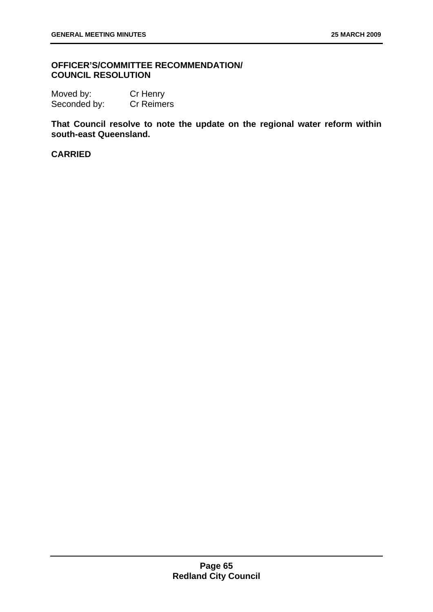# **OFFICER'S/COMMITTEE RECOMMENDATION/ COUNCIL RESOLUTION**

Moved by: Cr Henry Seconded by: Cr Reimers

**That Council resolve to note the update on the regional water reform within south-east Queensland.** 

# **CARRIED**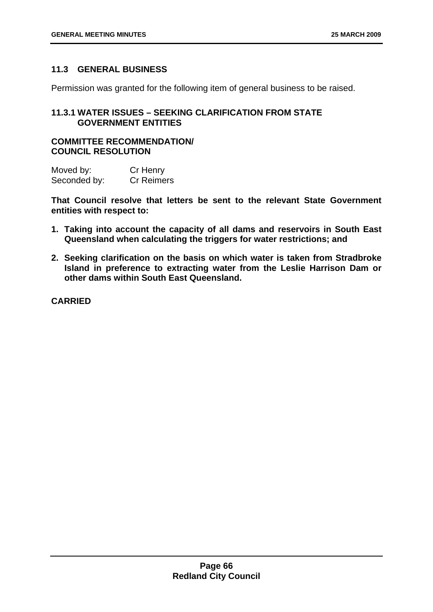# **11.3 GENERAL BUSINESS**

Permission was granted for the following item of general business to be raised.

# **11.3.1 WATER ISSUES – SEEKING CLARIFICATION FROM STATE GOVERNMENT ENTITIES**

# **COMMITTEE RECOMMENDATION/ COUNCIL RESOLUTION**

| Moved by:    | Cr Henry          |
|--------------|-------------------|
| Seconded by: | <b>Cr Reimers</b> |

**That Council resolve that letters be sent to the relevant State Government entities with respect to:** 

- **1. Taking into account the capacity of all dams and reservoirs in South East Queensland when calculating the triggers for water restrictions; and**
- **2. Seeking clarification on the basis on which water is taken from Stradbroke Island in preference to extracting water from the Leslie Harrison Dam or other dams within South East Queensland.**

**CARRIED**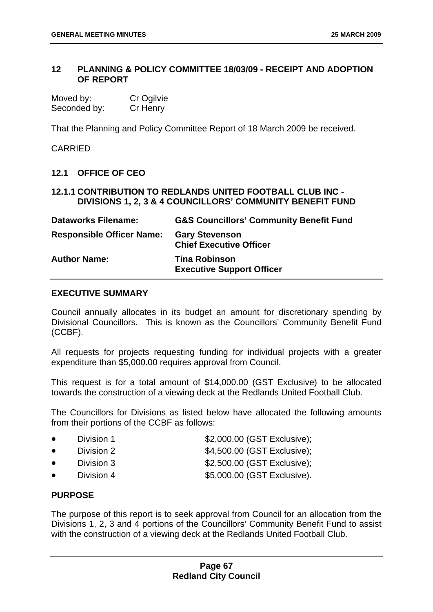# **12 PLANNING & POLICY COMMITTEE 18/03/09 - RECEIPT AND ADOPTION OF REPORT**

| Moved by:    | Cr Ogilvie |
|--------------|------------|
| Seconded by: | Cr Henry   |

That the Planning and Policy Committee Report of 18 March 2009 be received.

CARRIED

# **12.1 OFFICE OF CEO**

# **12.1.1 CONTRIBUTION TO REDLANDS UNITED FOOTBALL CLUB INC - DIVISIONS 1, 2, 3 & 4 COUNCILLORS' COMMUNITY BENEFIT FUND**

| <b>Dataworks Filename:</b>       | <b>G&amp;S Councillors' Community Benefit Fund</b>       |
|----------------------------------|----------------------------------------------------------|
| <b>Responsible Officer Name:</b> | <b>Gary Stevenson</b><br><b>Chief Executive Officer</b>  |
| <b>Author Name:</b>              | <b>Tina Robinson</b><br><b>Executive Support Officer</b> |

## **EXECUTIVE SUMMARY**

Council annually allocates in its budget an amount for discretionary spending by Divisional Councillors. This is known as the Councillors' Community Benefit Fund (CCBF).

All requests for projects requesting funding for individual projects with a greater expenditure than \$5,000.00 requires approval from Council.

This request is for a total amount of \$14,000.00 (GST Exclusive) to be allocated towards the construction of a viewing deck at the Redlands United Football Club.

The Councillors for Divisions as listed below have allocated the following amounts from their portions of the CCBF as follows:

|  | Division 1 | \$2,000.00 (GST Exclusive); |
|--|------------|-----------------------------|
|--|------------|-----------------------------|

- 
- 
- 
- **Division 2**  $$4,500.00$  (GST Exclusive);
- **Division 3**  $$2,500.00$  (GST Exclusive);
- Division 4  $$5,000.00$  (GST Exclusive).

# **PURPOSE**

The purpose of this report is to seek approval from Council for an allocation from the Divisions 1, 2, 3 and 4 portions of the Councillors' Community Benefit Fund to assist with the construction of a viewing deck at the Redlands United Football Club.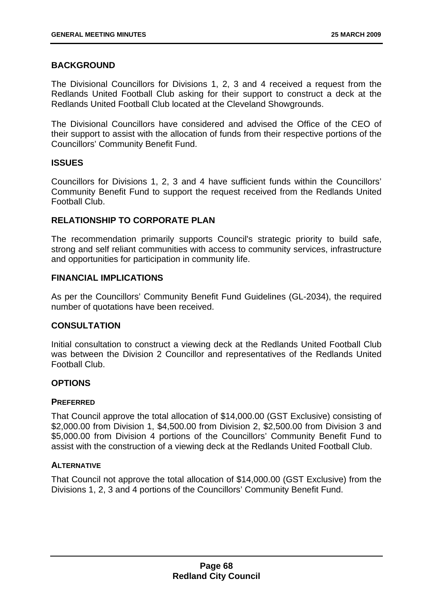# **BACKGROUND**

The Divisional Councillors for Divisions 1, 2, 3 and 4 received a request from the Redlands United Football Club asking for their support to construct a deck at the Redlands United Football Club located at the Cleveland Showgrounds.

The Divisional Councillors have considered and advised the Office of the CEO of their support to assist with the allocation of funds from their respective portions of the Councillors' Community Benefit Fund.

## **ISSUES**

Councillors for Divisions 1, 2, 3 and 4 have sufficient funds within the Councillors' Community Benefit Fund to support the request received from the Redlands United Football Club.

# **RELATIONSHIP TO CORPORATE PLAN**

The recommendation primarily supports Council's strategic priority to build safe, strong and self reliant communities with access to community services, infrastructure and opportunities for participation in community life.

## **FINANCIAL IMPLICATIONS**

As per the Councillors' Community Benefit Fund Guidelines (GL-2034), the required number of quotations have been received.

## **CONSULTATION**

Initial consultation to construct a viewing deck at the Redlands United Football Club was between the Division 2 Councillor and representatives of the Redlands United Football Club.

## **OPTIONS**

## **PREFERRED**

That Council approve the total allocation of \$14,000.00 (GST Exclusive) consisting of \$2,000.00 from Division 1, \$4,500.00 from Division 2, \$2,500.00 from Division 3 and \$5,000.00 from Division 4 portions of the Councillors' Community Benefit Fund to assist with the construction of a viewing deck at the Redlands United Football Club.

## **ALTERNATIVE**

That Council not approve the total allocation of \$14,000.00 (GST Exclusive) from the Divisions 1, 2, 3 and 4 portions of the Councillors' Community Benefit Fund.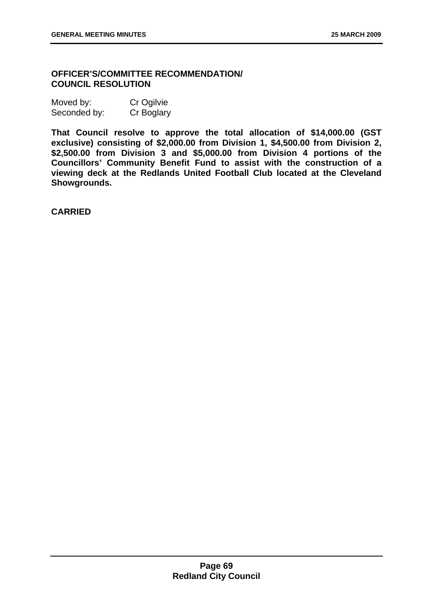# **OFFICER'S/COMMITTEE RECOMMENDATION/ COUNCIL RESOLUTION**

| Moved by:    | Cr Ogilvie |
|--------------|------------|
| Seconded by: | Cr Boglary |

**That Council resolve to approve the total allocation of \$14,000.00 (GST exclusive) consisting of \$2,000.00 from Division 1, \$4,500.00 from Division 2, \$2,500.00 from Division 3 and \$5,000.00 from Division 4 portions of the Councillors' Community Benefit Fund to assist with the construction of a viewing deck at the Redlands United Football Club located at the Cleveland Showgrounds.** 

**CARRIED**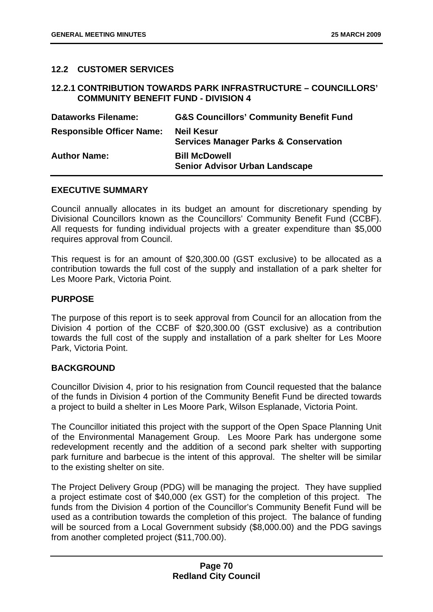# **12.2 CUSTOMER SERVICES**

## **12.2.1 CONTRIBUTION TOWARDS PARK INFRASTRUCTURE – COUNCILLORS' COMMUNITY BENEFIT FUND - DIVISION 4**

| <b>Dataworks Filename:</b>       | <b>G&amp;S Councillors' Community Benefit Fund</b>                    |
|----------------------------------|-----------------------------------------------------------------------|
| <b>Responsible Officer Name:</b> | <b>Neil Kesur</b><br><b>Services Manager Parks &amp; Conservation</b> |
| <b>Author Name:</b>              | <b>Bill McDowell</b><br><b>Senior Advisor Urban Landscape</b>         |

## **EXECUTIVE SUMMARY**

Council annually allocates in its budget an amount for discretionary spending by Divisional Councillors known as the Councillors' Community Benefit Fund (CCBF). All requests for funding individual projects with a greater expenditure than \$5,000 requires approval from Council.

This request is for an amount of \$20,300.00 (GST exclusive) to be allocated as a contribution towards the full cost of the supply and installation of a park shelter for Les Moore Park, Victoria Point.

## **PURPOSE**

The purpose of this report is to seek approval from Council for an allocation from the Division 4 portion of the CCBF of \$20,300.00 (GST exclusive) as a contribution towards the full cost of the supply and installation of a park shelter for Les Moore Park, Victoria Point.

## **BACKGROUND**

Councillor Division 4, prior to his resignation from Council requested that the balance of the funds in Division 4 portion of the Community Benefit Fund be directed towards a project to build a shelter in Les Moore Park, Wilson Esplanade, Victoria Point.

The Councillor initiated this project with the support of the Open Space Planning Unit of the Environmental Management Group. Les Moore Park has undergone some redevelopment recently and the addition of a second park shelter with supporting park furniture and barbecue is the intent of this approval. The shelter will be similar to the existing shelter on site.

The Project Delivery Group (PDG) will be managing the project. They have supplied a project estimate cost of \$40,000 (ex GST) for the completion of this project. The funds from the Division 4 portion of the Councillor's Community Benefit Fund will be used as a contribution towards the completion of this project. The balance of funding will be sourced from a Local Government subsidy (\$8,000.00) and the PDG savings from another completed project (\$11,700.00).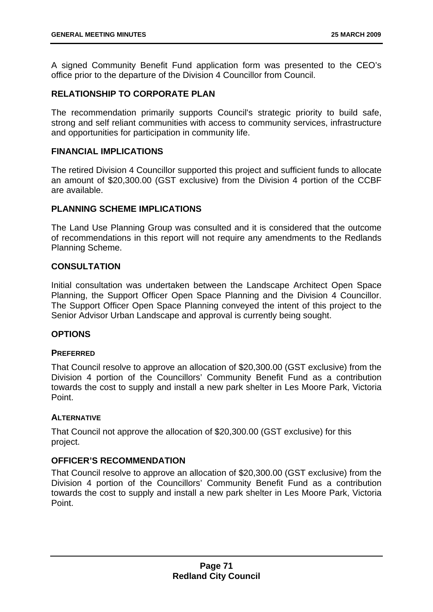A signed Community Benefit Fund application form was presented to the CEO's office prior to the departure of the Division 4 Councillor from Council.

# **RELATIONSHIP TO CORPORATE PLAN**

The recommendation primarily supports Council's strategic priority to build safe, strong and self reliant communities with access to community services, infrastructure and opportunities for participation in community life.

## **FINANCIAL IMPLICATIONS**

The retired Division 4 Councillor supported this project and sufficient funds to allocate an amount of \$20,300.00 (GST exclusive) from the Division 4 portion of the CCBF are available.

## **PLANNING SCHEME IMPLICATIONS**

The Land Use Planning Group was consulted and it is considered that the outcome of recommendations in this report will not require any amendments to the Redlands Planning Scheme.

# **CONSULTATION**

Initial consultation was undertaken between the Landscape Architect Open Space Planning, the Support Officer Open Space Planning and the Division 4 Councillor. The Support Officer Open Space Planning conveyed the intent of this project to the Senior Advisor Urban Landscape and approval is currently being sought.

## **OPTIONS**

## **PREFERRED**

That Council resolve to approve an allocation of \$20,300.00 (GST exclusive) from the Division 4 portion of the Councillors' Community Benefit Fund as a contribution towards the cost to supply and install a new park shelter in Les Moore Park, Victoria Point.

## **ALTERNATIVE**

That Council not approve the allocation of \$20,300.00 (GST exclusive) for this project.

## **OFFICER'S RECOMMENDATION**

That Council resolve to approve an allocation of \$20,300.00 (GST exclusive) from the Division 4 portion of the Councillors' Community Benefit Fund as a contribution towards the cost to supply and install a new park shelter in Les Moore Park, Victoria Point.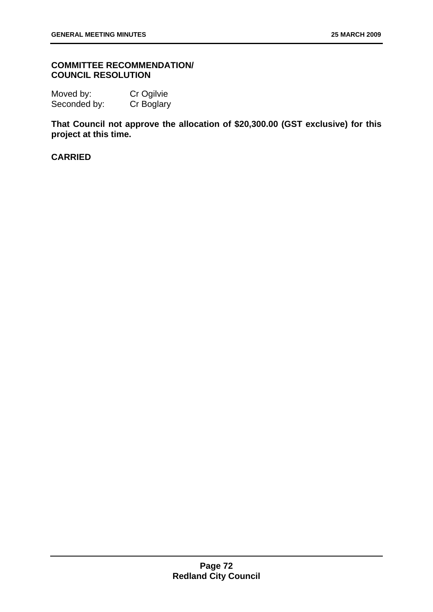## **COMMITTEE RECOMMENDATION/ COUNCIL RESOLUTION**

Moved by: Cr Ogilvie Seconded by: Cr Boglary

**That Council not approve the allocation of \$20,300.00 (GST exclusive) for this project at this time.** 

# **CARRIED**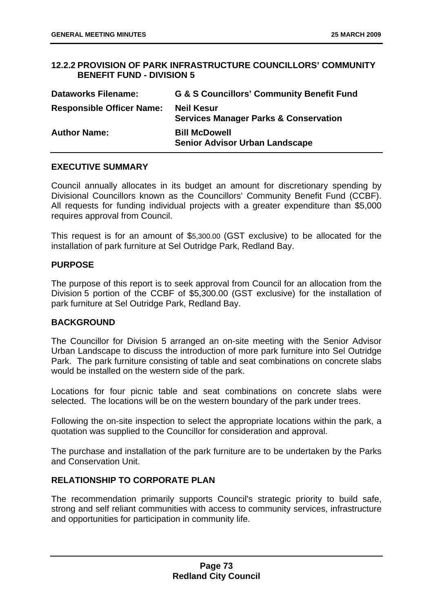## **12.2.2 PROVISION OF PARK INFRASTRUCTURE COUNCILLORS' COMMUNITY BENEFIT FUND - DIVISION 5**

| <b>Dataworks Filename:</b>       | <b>G &amp; S Councillors' Community Benefit Fund</b>                  |
|----------------------------------|-----------------------------------------------------------------------|
| <b>Responsible Officer Name:</b> | <b>Neil Kesur</b><br><b>Services Manager Parks &amp; Conservation</b> |
| <b>Author Name:</b>              | <b>Bill McDowell</b><br><b>Senior Advisor Urban Landscape</b>         |

## **EXECUTIVE SUMMARY**

Council annually allocates in its budget an amount for discretionary spending by Divisional Councillors known as the Councillors' Community Benefit Fund (CCBF). All requests for funding individual projects with a greater expenditure than \$5,000 requires approval from Council.

This request is for an amount of \$5,300.00 (GST exclusive) to be allocated for the installation of park furniture at Sel Outridge Park, Redland Bay.

## **PURPOSE**

The purpose of this report is to seek approval from Council for an allocation from the Division 5 portion of the CCBF of \$5,300.00 (GST exclusive) for the installation of park furniture at Sel Outridge Park, Redland Bay.

## **BACKGROUND**

The Councillor for Division 5 arranged an on-site meeting with the Senior Advisor Urban Landscape to discuss the introduction of more park furniture into Sel Outridge Park. The park furniture consisting of table and seat combinations on concrete slabs would be installed on the western side of the park.

Locations for four picnic table and seat combinations on concrete slabs were selected. The locations will be on the western boundary of the park under trees.

Following the on-site inspection to select the appropriate locations within the park, a quotation was supplied to the Councillor for consideration and approval.

The purchase and installation of the park furniture are to be undertaken by the Parks and Conservation Unit.

# **RELATIONSHIP TO CORPORATE PLAN**

The recommendation primarily supports Council's strategic priority to build safe, strong and self reliant communities with access to community services, infrastructure and opportunities for participation in community life.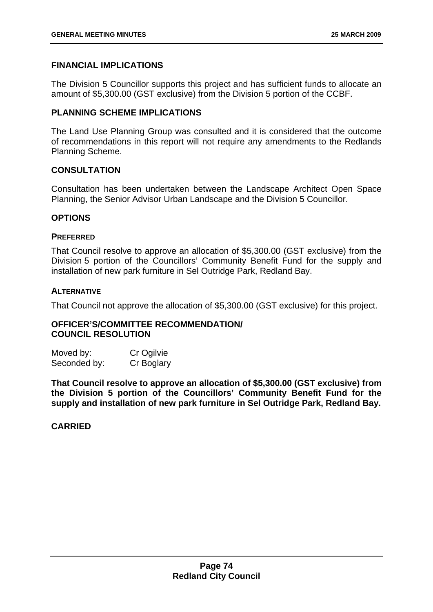## **FINANCIAL IMPLICATIONS**

The Division 5 Councillor supports this project and has sufficient funds to allocate an amount of \$5,300.00 (GST exclusive) from the Division 5 portion of the CCBF.

## **PLANNING SCHEME IMPLICATIONS**

The Land Use Planning Group was consulted and it is considered that the outcome of recommendations in this report will not require any amendments to the Redlands Planning Scheme.

## **CONSULTATION**

Consultation has been undertaken between the Landscape Architect Open Space Planning, the Senior Advisor Urban Landscape and the Division 5 Councillor.

#### **OPTIONS**

#### **PREFERRED**

That Council resolve to approve an allocation of \$5,300.00 (GST exclusive) from the Division 5 portion of the Councillors' Community Benefit Fund for the supply and installation of new park furniture in Sel Outridge Park, Redland Bay.

#### **ALTERNATIVE**

That Council not approve the allocation of \$5,300.00 (GST exclusive) for this project.

## **OFFICER'S/COMMITTEE RECOMMENDATION/ COUNCIL RESOLUTION**

Moved by: Cr Ogilvie Seconded by: Cr Boglary

**That Council resolve to approve an allocation of \$5,300.00 (GST exclusive) from the Division 5 portion of the Councillors' Community Benefit Fund for the supply and installation of new park furniture in Sel Outridge Park, Redland Bay.** 

## **CARRIED**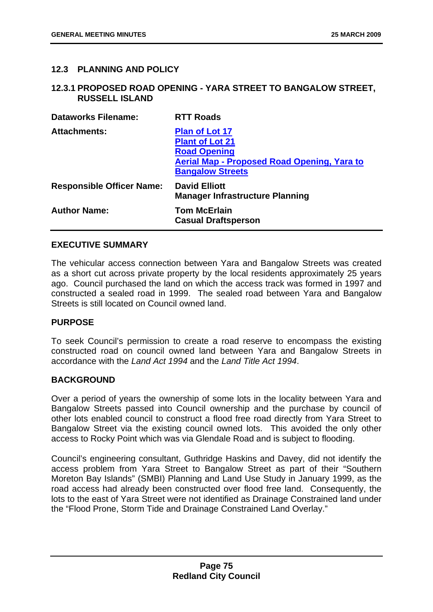## **12.3 PLANNING AND POLICY**

#### **12.3.1 PROPOSED ROAD OPENING - YARA STREET TO BANGALOW STREET, RUSSELL ISLAND**

| <b>Dataworks Filename:</b>       | <b>RTT Roads</b>                                                                                                                                 |
|----------------------------------|--------------------------------------------------------------------------------------------------------------------------------------------------|
| <b>Attachments:</b>              | <b>Plan of Lot 17</b><br><b>Plant of Lot 21</b><br><b>Road Opening</b><br>Aerial Map - Proposed Road Opening, Yara to<br><b>Bangalow Streets</b> |
| <b>Responsible Officer Name:</b> | <b>David Elliott</b><br><b>Manager Infrastructure Planning</b>                                                                                   |
| <b>Author Name:</b>              | <b>Tom McErlain</b><br><b>Casual Draftsperson</b>                                                                                                |

### **EXECUTIVE SUMMARY**

The vehicular access connection between Yara and Bangalow Streets was created as a short cut across private property by the local residents approximately 25 years ago. Council purchased the land on which the access track was formed in 1997 and constructed a sealed road in 1999. The sealed road between Yara and Bangalow Streets is still located on Council owned land.

#### **PURPOSE**

To seek Council's permission to create a road reserve to encompass the existing constructed road on council owned land between Yara and Bangalow Streets in accordance with the *Land Act 1994* and the *Land Title Act 1994*.

#### **BACKGROUND**

Over a period of years the ownership of some lots in the locality between Yara and Bangalow Streets passed into Council ownership and the purchase by council of other lots enabled council to construct a flood free road directly from Yara Street to Bangalow Street via the existing council owned lots. This avoided the only other access to Rocky Point which was via Glendale Road and is subject to flooding.

Council's engineering consultant, Guthridge Haskins and Davey, did not identify the access problem from Yara Street to Bangalow Street as part of their "Southern Moreton Bay Islands" (SMBI) Planning and Land Use Study in January 1999, as the road access had already been constructed over flood free land. Consequently, the lots to the east of Yara Street were not identified as Drainage Constrained land under the "Flood Prone, Storm Tide and Drainage Constrained Land Overlay."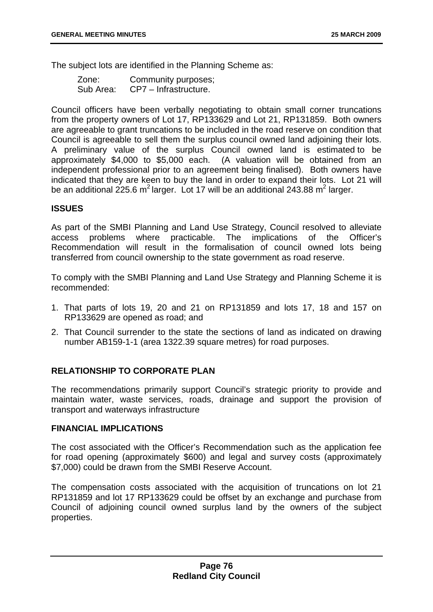The subject lots are identified in the Planning Scheme as:

| Zone:     | Community purposes;   |
|-----------|-----------------------|
| Sub Area: | CP7 – Infrastructure. |

Council officers have been verbally negotiating to obtain small corner truncations from the property owners of Lot 17, RP133629 and Lot 21, RP131859. Both owners are agreeable to grant truncations to be included in the road reserve on condition that Council is agreeable to sell them the surplus council owned land adjoining their lots. A preliminary value of the surplus Council owned land is estimated to be approximately \$4,000 to \$5,000 each. (A valuation will be obtained from an independent professional prior to an agreement being finalised). Both owners have indicated that they are keen to buy the land in order to expand their lots. Lot 21 will be an additional 225.6 m<sup>2</sup> larger. Lot 17 will be an additional 243.88 m<sup>2</sup> larger.

## **ISSUES**

As part of the SMBI Planning and Land Use Strategy, Council resolved to alleviate access problems where practicable. The implications of the Officer's Recommendation will result in the formalisation of council owned lots being transferred from council ownership to the state government as road reserve.

To comply with the SMBI Planning and Land Use Strategy and Planning Scheme it is recommended:

- 1. That parts of lots 19, 20 and 21 on RP131859 and lots 17, 18 and 157 on RP133629 are opened as road; and
- 2. That Council surrender to the state the sections of land as indicated on drawing number AB159-1-1 (area 1322.39 square metres) for road purposes.

## **RELATIONSHIP TO CORPORATE PLAN**

The recommendations primarily support Council's strategic priority to provide and maintain water, waste services, roads, drainage and support the provision of transport and waterways infrastructure

#### **FINANCIAL IMPLICATIONS**

The cost associated with the Officer's Recommendation such as the application fee for road opening (approximately \$600) and legal and survey costs (approximately \$7,000) could be drawn from the SMBI Reserve Account.

The compensation costs associated with the acquisition of truncations on lot 21 RP131859 and lot 17 RP133629 could be offset by an exchange and purchase from Council of adjoining council owned surplus land by the owners of the subject properties.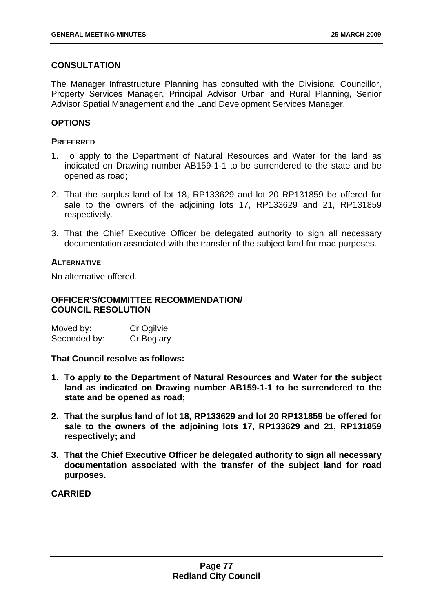# **CONSULTATION**

The Manager Infrastructure Planning has consulted with the Divisional Councillor, Property Services Manager, Principal Advisor Urban and Rural Planning, Senior Advisor Spatial Management and the Land Development Services Manager.

# **OPTIONS**

## **PREFERRED**

- 1. To apply to the Department of Natural Resources and Water for the land as indicated on Drawing number AB159-1-1 to be surrendered to the state and be opened as road;
- 2. That the surplus land of lot 18, RP133629 and lot 20 RP131859 be offered for sale to the owners of the adjoining lots 17, RP133629 and 21, RP131859 respectively.
- 3. That the Chief Executive Officer be delegated authority to sign all necessary documentation associated with the transfer of the subject land for road purposes.

## **ALTERNATIVE**

No alternative offered.

## **OFFICER'S/COMMITTEE RECOMMENDATION/ COUNCIL RESOLUTION**

| Moved by:    | Cr Ogilvie |
|--------------|------------|
| Seconded by: | Cr Boglary |

**That Council resolve as follows:** 

- **1. To apply to the Department of Natural Resources and Water for the subject land as indicated on Drawing number AB159-1-1 to be surrendered to the state and be opened as road;**
- **2. That the surplus land of lot 18, RP133629 and lot 20 RP131859 be offered for sale to the owners of the adjoining lots 17, RP133629 and 21, RP131859 respectively; and**
- **3. That the Chief Executive Officer be delegated authority to sign all necessary documentation associated with the transfer of the subject land for road purposes.**

**CARRIED**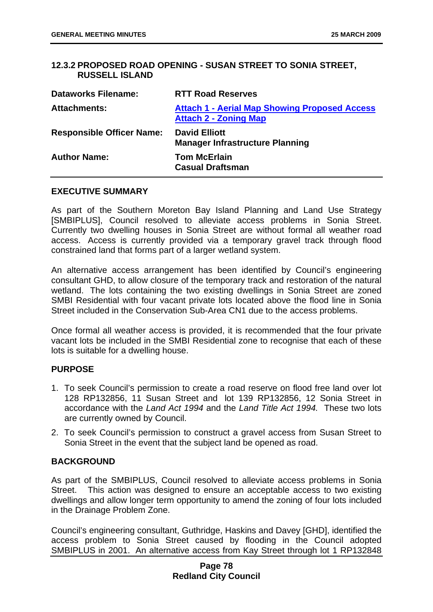## **12.3.2 PROPOSED ROAD OPENING - SUSAN STREET TO SONIA STREET, RUSSELL ISLAND**

| <b>Dataworks Filename:</b>       | <b>RTT Road Reserves</b>                                                             |
|----------------------------------|--------------------------------------------------------------------------------------|
| <b>Attachments:</b>              | <b>Attach 1 - Aerial Map Showing Proposed Access</b><br><b>Attach 2 - Zoning Map</b> |
| <b>Responsible Officer Name:</b> | <b>David Elliott</b><br><b>Manager Infrastructure Planning</b>                       |
| <b>Author Name:</b>              | <b>Tom McErlain</b><br><b>Casual Draftsman</b>                                       |

#### **EXECUTIVE SUMMARY**

As part of the Southern Moreton Bay Island Planning and Land Use Strategy [SMBIPLUS], Council resolved to alleviate access problems in Sonia Street. Currently two dwelling houses in Sonia Street are without formal all weather road access. Access is currently provided via a temporary gravel track through flood constrained land that forms part of a larger wetland system.

An alternative access arrangement has been identified by Council's engineering consultant GHD, to allow closure of the temporary track and restoration of the natural wetland. The lots containing the two existing dwellings in Sonia Street are zoned SMBI Residential with four vacant private lots located above the flood line in Sonia Street included in the Conservation Sub-Area CN1 due to the access problems.

Once formal all weather access is provided, it is recommended that the four private vacant lots be included in the SMBI Residential zone to recognise that each of these lots is suitable for a dwelling house.

#### **PURPOSE**

- 1. To seek Council's permission to create a road reserve on flood free land over lot 128 RP132856, 11 Susan Street and lot 139 RP132856, 12 Sonia Street in accordance with the *Land Act 1994* and the *Land Title Act 1994.* These two lots are currently owned by Council.
- 2. To seek Council's permission to construct a gravel access from Susan Street to Sonia Street in the event that the subject land be opened as road.

#### **BACKGROUND**

As part of the SMBIPLUS, Council resolved to alleviate access problems in Sonia Street. This action was designed to ensure an acceptable access to two existing dwellings and allow longer term opportunity to amend the zoning of four lots included in the Drainage Problem Zone.

Council's engineering consultant, Guthridge, Haskins and Davey [GHD], identified the access problem to Sonia Street caused by flooding in the Council adopted SMBIPLUS in 2001. An alternative access from Kay Street through lot 1 RP132848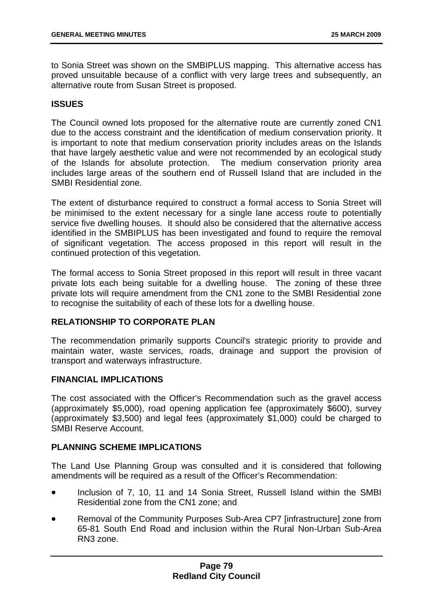to Sonia Street was shown on the SMBIPLUS mapping. This alternative access has proved unsuitable because of a conflict with very large trees and subsequently, an alternative route from Susan Street is proposed.

## **ISSUES**

The Council owned lots proposed for the alternative route are currently zoned CN1 due to the access constraint and the identification of medium conservation priority. It is important to note that medium conservation priority includes areas on the Islands that have largely aesthetic value and were not recommended by an ecological study of the Islands for absolute protection. The medium conservation priority area includes large areas of the southern end of Russell Island that are included in the SMBI Residential zone.

The extent of disturbance required to construct a formal access to Sonia Street will be minimised to the extent necessary for a single lane access route to potentially service five dwelling houses. It should also be considered that the alternative access identified in the SMBIPLUS has been investigated and found to require the removal of significant vegetation. The access proposed in this report will result in the continued protection of this vegetation.

The formal access to Sonia Street proposed in this report will result in three vacant private lots each being suitable for a dwelling house. The zoning of these three private lots will require amendment from the CN1 zone to the SMBI Residential zone to recognise the suitability of each of these lots for a dwelling house.

#### **RELATIONSHIP TO CORPORATE PLAN**

The recommendation primarily supports Council's strategic priority to provide and maintain water, waste services, roads, drainage and support the provision of transport and waterways infrastructure.

#### **FINANCIAL IMPLICATIONS**

The cost associated with the Officer's Recommendation such as the gravel access (approximately \$5,000), road opening application fee (approximately \$600), survey (approximately \$3,500) and legal fees (approximately \$1,000) could be charged to SMBI Reserve Account.

#### **PLANNING SCHEME IMPLICATIONS**

The Land Use Planning Group was consulted and it is considered that following amendments will be required as a result of the Officer's Recommendation:

- Inclusion of 7, 10, 11 and 14 Sonia Street, Russell Island within the SMBI Residential zone from the CN1 zone; and
- Removal of the Community Purposes Sub-Area CP7 [infrastructure] zone from 65-81 South End Road and inclusion within the Rural Non-Urban Sub-Area RN3 zone.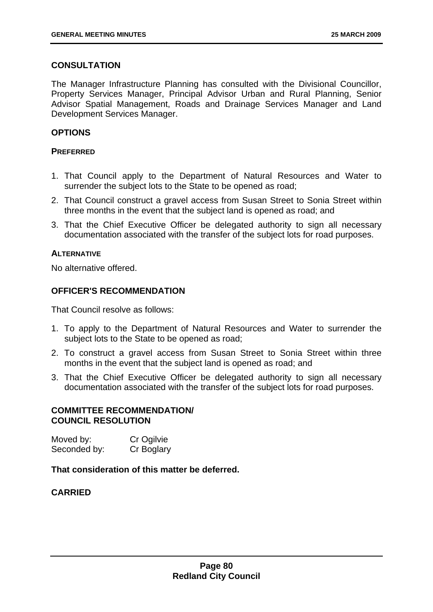## **CONSULTATION**

The Manager Infrastructure Planning has consulted with the Divisional Councillor, Property Services Manager, Principal Advisor Urban and Rural Planning, Senior Advisor Spatial Management, Roads and Drainage Services Manager and Land Development Services Manager.

## **OPTIONS**

#### **PREFERRED**

- 1. That Council apply to the Department of Natural Resources and Water to surrender the subject lots to the State to be opened as road;
- 2. That Council construct a gravel access from Susan Street to Sonia Street within three months in the event that the subject land is opened as road; and
- 3. That the Chief Executive Officer be delegated authority to sign all necessary documentation associated with the transfer of the subject lots for road purposes.

### **ALTERNATIVE**

No alternative offered.

## **OFFICER'S RECOMMENDATION**

That Council resolve as follows:

- 1. To apply to the Department of Natural Resources and Water to surrender the subject lots to the State to be opened as road;
- 2. To construct a gravel access from Susan Street to Sonia Street within three months in the event that the subject land is opened as road; and
- 3. That the Chief Executive Officer be delegated authority to sign all necessary documentation associated with the transfer of the subject lots for road purposes.

#### **COMMITTEE RECOMMENDATION/ COUNCIL RESOLUTION**

Moved by: Cr Ogilvie Seconded by: Cr Boglary

### **That consideration of this matter be deferred.**

## **CARRIED**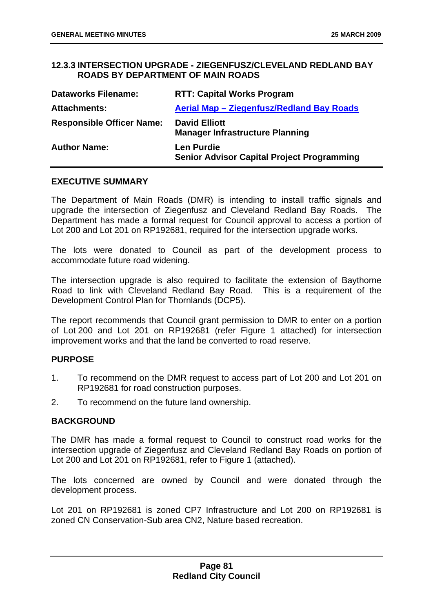### **12.3.3 INTERSECTION UPGRADE - ZIEGENFUSZ/CLEVELAND REDLAND BAY ROADS BY DEPARTMENT OF MAIN ROADS**

| <b>Dataworks Filename:</b>       | <b>RTT: Capital Works Program</b>                                      |
|----------------------------------|------------------------------------------------------------------------|
| <b>Attachments:</b>              | Aerial Map - Ziegenfusz/Redland Bay Roads                              |
| <b>Responsible Officer Name:</b> | <b>David Elliott</b><br><b>Manager Infrastructure Planning</b>         |
| <b>Author Name:</b>              | <b>Len Purdie</b><br><b>Senior Advisor Capital Project Programming</b> |

#### **EXECUTIVE SUMMARY**

The Department of Main Roads (DMR) is intending to install traffic signals and upgrade the intersection of Ziegenfusz and Cleveland Redland Bay Roads. The Department has made a formal request for Council approval to access a portion of Lot 200 and Lot 201 on RP192681, required for the intersection upgrade works.

The lots were donated to Council as part of the development process to accommodate future road widening.

The intersection upgrade is also required to facilitate the extension of Baythorne Road to link with Cleveland Redland Bay Road. This is a requirement of the Development Control Plan for Thornlands (DCP5).

The report recommends that Council grant permission to DMR to enter on a portion of Lot 200 and Lot 201 on RP192681 (refer Figure 1 attached) for intersection improvement works and that the land be converted to road reserve.

#### **PURPOSE**

- 1. To recommend on the DMR request to access part of Lot 200 and Lot 201 on RP192681 for road construction purposes.
- 2. To recommend on the future land ownership.

#### **BACKGROUND**

The DMR has made a formal request to Council to construct road works for the intersection upgrade of Ziegenfusz and Cleveland Redland Bay Roads on portion of Lot 200 and Lot 201 on RP192681, refer to Figure 1 (attached).

The lots concerned are owned by Council and were donated through the development process.

Lot 201 on RP192681 is zoned CP7 Infrastructure and Lot 200 on RP192681 is zoned CN Conservation-Sub area CN2, Nature based recreation.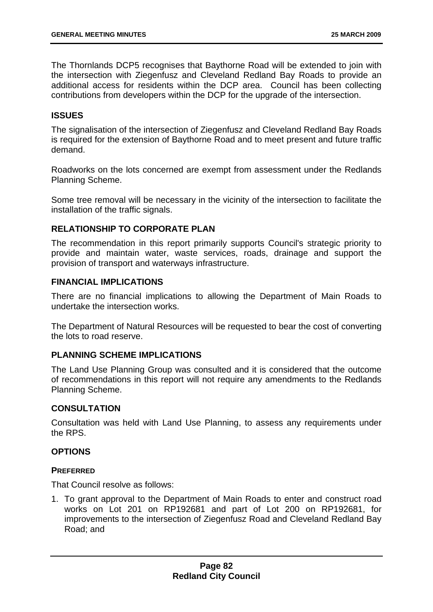The Thornlands DCP5 recognises that Baythorne Road will be extended to join with the intersection with Ziegenfusz and Cleveland Redland Bay Roads to provide an additional access for residents within the DCP area. Council has been collecting contributions from developers within the DCP for the upgrade of the intersection.

#### **ISSUES**

The signalisation of the intersection of Ziegenfusz and Cleveland Redland Bay Roads is required for the extension of Baythorne Road and to meet present and future traffic demand.

Roadworks on the lots concerned are exempt from assessment under the Redlands Planning Scheme.

Some tree removal will be necessary in the vicinity of the intersection to facilitate the installation of the traffic signals.

## **RELATIONSHIP TO CORPORATE PLAN**

The recommendation in this report primarily supports Council's strategic priority to provide and maintain water, waste services, roads, drainage and support the provision of transport and waterways infrastructure.

#### **FINANCIAL IMPLICATIONS**

There are no financial implications to allowing the Department of Main Roads to undertake the intersection works.

The Department of Natural Resources will be requested to bear the cost of converting the lots to road reserve.

## **PLANNING SCHEME IMPLICATIONS**

The Land Use Planning Group was consulted and it is considered that the outcome of recommendations in this report will not require any amendments to the Redlands Planning Scheme.

#### **CONSULTATION**

Consultation was held with Land Use Planning, to assess any requirements under the RPS.

#### **OPTIONS**

#### **PREFERRED**

That Council resolve as follows:

1. To grant approval to the Department of Main Roads to enter and construct road works on Lot 201 on RP192681 and part of Lot 200 on RP192681, for improvements to the intersection of Ziegenfusz Road and Cleveland Redland Bay Road; and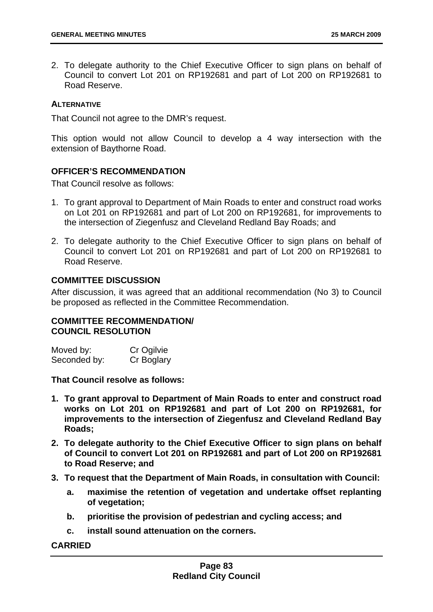2. To delegate authority to the Chief Executive Officer to sign plans on behalf of Council to convert Lot 201 on RP192681 and part of Lot 200 on RP192681 to Road Reserve.

#### **ALTERNATIVE**

That Council not agree to the DMR's request.

This option would not allow Council to develop a 4 way intersection with the extension of Baythorne Road.

### **OFFICER'S RECOMMENDATION**

That Council resolve as follows:

- 1. To grant approval to Department of Main Roads to enter and construct road works on Lot 201 on RP192681 and part of Lot 200 on RP192681, for improvements to the intersection of Ziegenfusz and Cleveland Redland Bay Roads; and
- 2. To delegate authority to the Chief Executive Officer to sign plans on behalf of Council to convert Lot 201 on RP192681 and part of Lot 200 on RP192681 to Road Reserve.

#### **COMMITTEE DISCUSSION**

After discussion, it was agreed that an additional recommendation (No 3) to Council be proposed as reflected in the Committee Recommendation.

#### **COMMITTEE RECOMMENDATION/ COUNCIL RESOLUTION**

| Moved by:    | Cr Ogilvie |
|--------------|------------|
| Seconded by: | Cr Boglary |

**That Council resolve as follows:** 

- **1. To grant approval to Department of Main Roads to enter and construct road works on Lot 201 on RP192681 and part of Lot 200 on RP192681, for improvements to the intersection of Ziegenfusz and Cleveland Redland Bay Roads;**
- **2. To delegate authority to the Chief Executive Officer to sign plans on behalf of Council to convert Lot 201 on RP192681 and part of Lot 200 on RP192681 to Road Reserve; and**
- **3. To request that the Department of Main Roads, in consultation with Council:** 
	- **a. maximise the retention of vegetation and undertake offset replanting of vegetation;**
	- **b. prioritise the provision of pedestrian and cycling access; and**
	- **c. install sound attenuation on the corners.**

#### **CARRIED**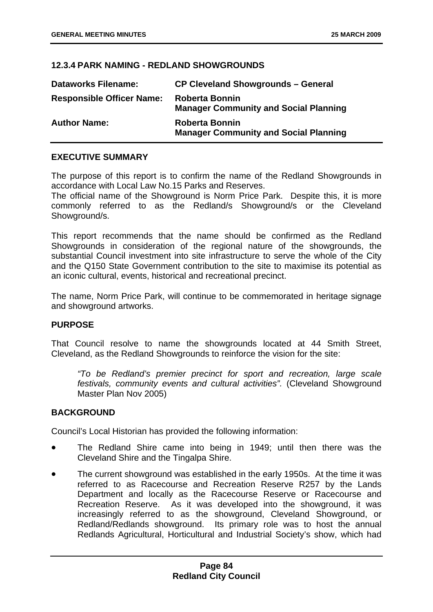## **12.3.4 PARK NAMING - REDLAND SHOWGROUNDS**

| <b>Dataworks Filename:</b>       | <b>CP Cleveland Showgrounds - General</b>                             |
|----------------------------------|-----------------------------------------------------------------------|
| <b>Responsible Officer Name:</b> | <b>Roberta Bonnin</b><br><b>Manager Community and Social Planning</b> |
| <b>Author Name:</b>              | <b>Roberta Bonnin</b><br><b>Manager Community and Social Planning</b> |

#### **EXECUTIVE SUMMARY**

The purpose of this report is to confirm the name of the Redland Showgrounds in accordance with Local Law No.15 Parks and Reserves.

The official name of the Showground is Norm Price Park. Despite this, it is more commonly referred to as the Redland/s Showground/s or the Cleveland Showground/s.

This report recommends that the name should be confirmed as the Redland Showgrounds in consideration of the regional nature of the showgrounds, the substantial Council investment into site infrastructure to serve the whole of the City and the Q150 State Government contribution to the site to maximise its potential as an iconic cultural, events, historical and recreational precinct.

The name, Norm Price Park, will continue to be commemorated in heritage signage and showground artworks.

#### **PURPOSE**

That Council resolve to name the showgrounds located at 44 Smith Street, Cleveland, as the Redland Showgrounds to reinforce the vision for the site:

*"To be Redland's premier precinct for sport and recreation, large scale festivals, community events and cultural activities".* (Cleveland Showground Master Plan Nov 2005)

#### **BACKGROUND**

Council's Local Historian has provided the following information:

- The Redland Shire came into being in 1949; until then there was the Cleveland Shire and the Tingalpa Shire.
- The current showground was established in the early 1950s. At the time it was referred to as Racecourse and Recreation Reserve R257 by the Lands Department and locally as the Racecourse Reserve or Racecourse and Recreation Reserve. As it was developed into the showground, it was increasingly referred to as the showground, Cleveland Showground, or Redland/Redlands showground. Its primary role was to host the annual Redlands Agricultural, Horticultural and Industrial Society's show, which had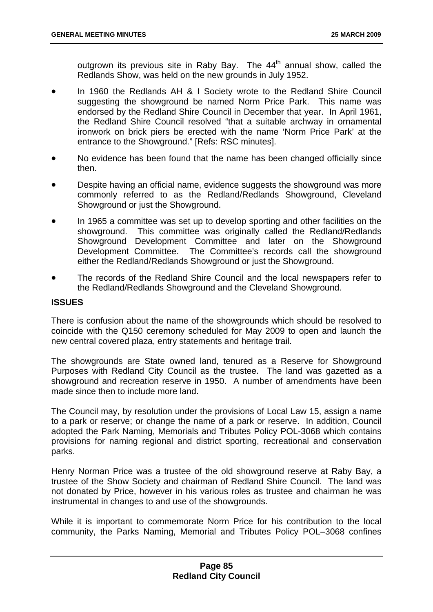outgrown its previous site in Raby Bay. The  $44<sup>th</sup>$  annual show, called the Redlands Show, was held on the new grounds in July 1952.

- In 1960 the Redlands AH & I Society wrote to the Redland Shire Council suggesting the showground be named Norm Price Park. This name was endorsed by the Redland Shire Council in December that year. In April 1961, the Redland Shire Council resolved "that a suitable archway in ornamental ironwork on brick piers be erected with the name 'Norm Price Park' at the entrance to the Showground." [Refs: RSC minutes].
- No evidence has been found that the name has been changed officially since then.
- Despite having an official name, evidence suggests the showground was more commonly referred to as the Redland/Redlands Showground, Cleveland Showground or just the Showground.
- In 1965 a committee was set up to develop sporting and other facilities on the showground. This committee was originally called the Redland/Redlands Showground Development Committee and later on the Showground Development Committee. The Committee's records call the showground either the Redland/Redlands Showground or just the Showground.
- The records of the Redland Shire Council and the local newspapers refer to the Redland/Redlands Showground and the Cleveland Showground.

#### **ISSUES**

There is confusion about the name of the showgrounds which should be resolved to coincide with the Q150 ceremony scheduled for May 2009 to open and launch the new central covered plaza, entry statements and heritage trail.

The showgrounds are State owned land, tenured as a Reserve for Showground Purposes with Redland City Council as the trustee. The land was gazetted as a showground and recreation reserve in 1950. A number of amendments have been made since then to include more land.

The Council may, by resolution under the provisions of Local Law 15, assign a name to a park or reserve; or change the name of a park or reserve. In addition, Council adopted the Park Naming, Memorials and Tributes Policy POL-3068 which contains provisions for naming regional and district sporting, recreational and conservation parks.

Henry Norman Price was a trustee of the old showground reserve at Raby Bay, a trustee of the Show Society and chairman of Redland Shire Council. The land was not donated by Price, however in his various roles as trustee and chairman he was instrumental in changes to and use of the showgrounds.

While it is important to commemorate Norm Price for his contribution to the local community, the Parks Naming, Memorial and Tributes Policy POL–3068 confines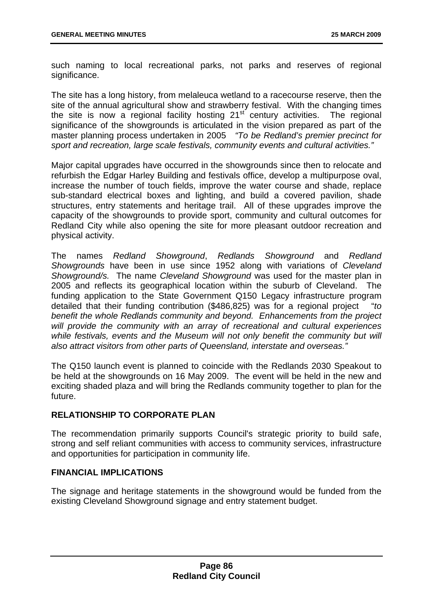such naming to local recreational parks, not parks and reserves of regional significance.

The site has a long history, from melaleuca wetland to a racecourse reserve, then the site of the annual agricultural show and strawberry festival. With the changing times the site is now a regional facility hosting  $21<sup>st</sup>$  century activities. The regional significance of the showgrounds is articulated in the vision prepared as part of the master planning process undertaken in 2005 *"To be Redland's premier precinct for sport and recreation, large scale festivals, community events and cultural activities."* 

Major capital upgrades have occurred in the showgrounds since then to relocate and refurbish the Edgar Harley Building and festivals office, develop a multipurpose oval, increase the number of touch fields, improve the water course and shade, replace sub-standard electrical boxes and lighting, and build a covered pavilion, shade structures, entry statements and heritage trail. All of these upgrades improve the capacity of the showgrounds to provide sport, community and cultural outcomes for Redland City while also opening the site for more pleasant outdoor recreation and physical activity.

The names *Redland Showground*, *Redlands Showground* and *Redland Showgrounds* have been in use since 1952 along with variations of *Cleveland Showground/s.* The name *Cleveland Showground* was used for the master plan in 2005 and reflects its geographical location within the suburb of Cleveland. The funding application to the State Government Q150 Legacy infrastructure program detailed that their funding contribution (\$486,825) was for a regional project "*to benefit the whole Redlands community and beyond. Enhancements from the project will provide the community with an array of recreational and cultural experiences*  while festivals, events and the Museum will not only benefit the community but will *also attract visitors from other parts of Queensland, interstate and overseas."* 

The Q150 launch event is planned to coincide with the Redlands 2030 Speakout to be held at the showgrounds on 16 May 2009. The event will be held in the new and exciting shaded plaza and will bring the Redlands community together to plan for the future.

#### **RELATIONSHIP TO CORPORATE PLAN**

The recommendation primarily supports Council's strategic priority to build safe, strong and self reliant communities with access to community services, infrastructure and opportunities for participation in community life.

#### **FINANCIAL IMPLICATIONS**

The signage and heritage statements in the showground would be funded from the existing Cleveland Showground signage and entry statement budget.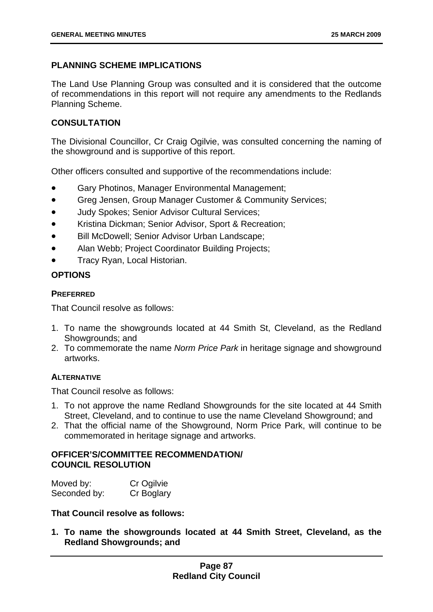# **PLANNING SCHEME IMPLICATIONS**

The Land Use Planning Group was consulted and it is considered that the outcome of recommendations in this report will not require any amendments to the Redlands Planning Scheme.

## **CONSULTATION**

The Divisional Councillor, Cr Craig Ogilvie, was consulted concerning the naming of the showground and is supportive of this report.

Other officers consulted and supportive of the recommendations include:

- Gary Photinos, Manager Environmental Management;
- Greg Jensen, Group Manager Customer & Community Services;
- Judy Spokes; Senior Advisor Cultural Services;
- Kristina Dickman; Senior Advisor, Sport & Recreation;
- Bill McDowell; Senior Advisor Urban Landscape;
- Alan Webb; Project Coordinator Building Projects;
- Tracy Ryan, Local Historian.

# **OPTIONS**

## **PREFERRED**

That Council resolve as follows:

- 1. To name the showgrounds located at 44 Smith St, Cleveland, as the Redland Showgrounds; and
- 2. To commemorate the name *Norm Price Park* in heritage signage and showground artworks.

## **ALTERNATIVE**

That Council resolve as follows:

- 1. To not approve the name Redland Showgrounds for the site located at 44 Smith Street, Cleveland, and to continue to use the name Cleveland Showground; and
- 2. That the official name of the Showground, Norm Price Park, will continue to be commemorated in heritage signage and artworks.

## **OFFICER'S/COMMITTEE RECOMMENDATION/ COUNCIL RESOLUTION**

| Moved by:    | Cr Ogilvie |
|--------------|------------|
| Seconded by: | Cr Boglary |

**That Council resolve as follows:** 

**1. To name the showgrounds located at 44 Smith Street, Cleveland, as the Redland Showgrounds; and**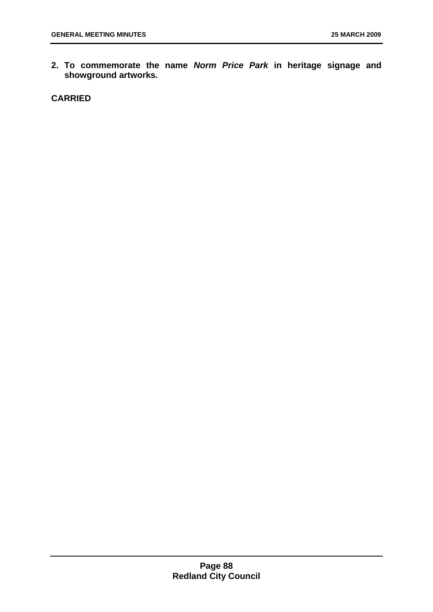**2. To commemorate the name** *Norm Price Park* **in heritage signage and showground artworks.** 

**CARRIED**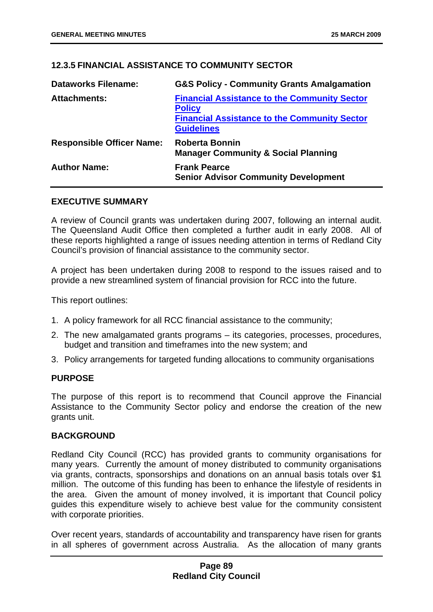# **12.3.5 FINANCIAL ASSISTANCE TO COMMUNITY SECTOR**

| <b>Dataworks Filename:</b>       | <b>G&amp;S Policy - Community Grants Amalgamation</b>                                                                                            |
|----------------------------------|--------------------------------------------------------------------------------------------------------------------------------------------------|
| <b>Attachments:</b>              | <b>Financial Assistance to the Community Sector</b><br><b>Policy</b><br><b>Financial Assistance to the Community Sector</b><br><b>Guidelines</b> |
| <b>Responsible Officer Name:</b> | <b>Roberta Bonnin</b><br><b>Manager Community &amp; Social Planning</b>                                                                          |
| <b>Author Name:</b>              | <b>Frank Pearce</b><br><b>Senior Advisor Community Development</b>                                                                               |

#### **EXECUTIVE SUMMARY**

A review of Council grants was undertaken during 2007, following an internal audit. The Queensland Audit Office then completed a further audit in early 2008. All of these reports highlighted a range of issues needing attention in terms of Redland City Council's provision of financial assistance to the community sector.

A project has been undertaken during 2008 to respond to the issues raised and to provide a new streamlined system of financial provision for RCC into the future.

This report outlines:

- 1. A policy framework for all RCC financial assistance to the community;
- 2. The new amalgamated grants programs its categories, processes, procedures, budget and transition and timeframes into the new system; and
- 3. Policy arrangements for targeted funding allocations to community organisations

#### **PURPOSE**

The purpose of this report is to recommend that Council approve the Financial Assistance to the Community Sector policy and endorse the creation of the new grants unit.

#### **BACKGROUND**

Redland City Council (RCC) has provided grants to community organisations for many years. Currently the amount of money distributed to community organisations via grants, contracts, sponsorships and donations on an annual basis totals over \$1 million. The outcome of this funding has been to enhance the lifestyle of residents in the area. Given the amount of money involved, it is important that Council policy guides this expenditure wisely to achieve best value for the community consistent with corporate priorities.

Over recent years, standards of accountability and transparency have risen for grants in all spheres of government across Australia. As the allocation of many grants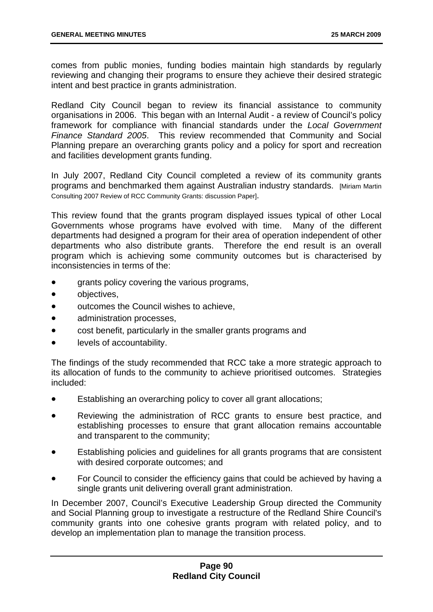comes from public monies, funding bodies maintain high standards by regularly reviewing and changing their programs to ensure they achieve their desired strategic intent and best practice in grants administration.

Redland City Council began to review its financial assistance to community organisations in 2006. This began with an Internal Audit - a review of Council's policy framework for compliance with financial standards under the *Local Government Finance Standard 2005*. This review recommended that Community and Social Planning prepare an overarching grants policy and a policy for sport and recreation and facilities development grants funding.

In July 2007, Redland City Council completed a review of its community grants programs and benchmarked them against Australian industry standards. [Miriam Martin Consulting 2007 Review of RCC Community Grants: discussion Paper].

This review found that the grants program displayed issues typical of other Local Governments whose programs have evolved with time. Many of the different departments had designed a program for their area of operation independent of other departments who also distribute grants. Therefore the end result is an overall program which is achieving some community outcomes but is characterised by inconsistencies in terms of the:

- grants policy covering the various programs,
- objectives,
- outcomes the Council wishes to achieve,
- administration processes,
- cost benefit, particularly in the smaller grants programs and
- levels of accountability.

The findings of the study recommended that RCC take a more strategic approach to its allocation of funds to the community to achieve prioritised outcomes. Strategies included:

- Establishing an overarching policy to cover all grant allocations;
- Reviewing the administration of RCC grants to ensure best practice, and establishing processes to ensure that grant allocation remains accountable and transparent to the community;
- Establishing policies and guidelines for all grants programs that are consistent with desired corporate outcomes; and
- For Council to consider the efficiency gains that could be achieved by having a single grants unit delivering overall grant administration.

In December 2007, Council's Executive Leadership Group directed the Community and Social Planning group to investigate a restructure of the Redland Shire Council's community grants into one cohesive grants program with related policy, and to develop an implementation plan to manage the transition process.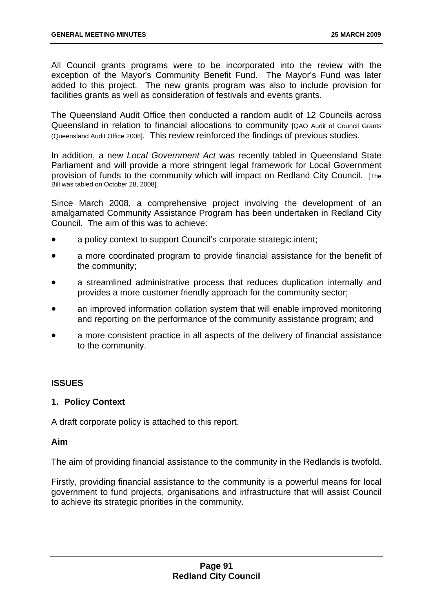All Council grants programs were to be incorporated into the review with the exception of the Mayor's Community Benefit Fund. The Mayor's Fund was later added to this project. The new grants program was also to include provision for facilities grants as well as consideration of festivals and events grants.

The Queensland Audit Office then conducted a random audit of 12 Councils across Queensland in relation to financial allocations to community [QAO Audit of Council Grants (Queensland Audit Office 2008]. This review reinforced the findings of previous studies.

In addition, a new *Local Government Act* was recently tabled in Queensland State Parliament and will provide a more stringent legal framework for Local Government provision of funds to the community which will impact on Redland City Council. [The Bill was tabled on October 28, 2008].

Since March 2008, a comprehensive project involving the development of an amalgamated Community Assistance Program has been undertaken in Redland City Council. The aim of this was to achieve:

- a policy context to support Council's corporate strategic intent;
- a more coordinated program to provide financial assistance for the benefit of the community;
- a streamlined administrative process that reduces duplication internally and provides a more customer friendly approach for the community sector;
- an improved information collation system that will enable improved monitoring and reporting on the performance of the community assistance program; and
- a more consistent practice in all aspects of the delivery of financial assistance to the community.

#### **ISSUES**

#### **1. Policy Context**

A draft corporate policy is attached to this report.

#### **Aim**

The aim of providing financial assistance to the community in the Redlands is twofold.

Firstly, providing financial assistance to the community is a powerful means for local government to fund projects, organisations and infrastructure that will assist Council to achieve its strategic priorities in the community.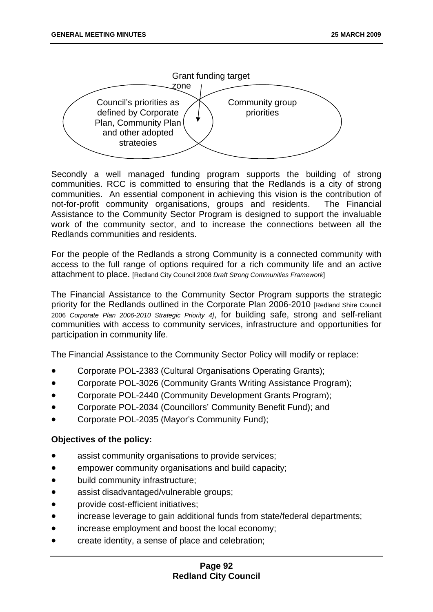

Secondly a well managed funding program supports the building of strong communities. RCC is committed to ensuring that the Redlands is a city of strong communities. An essential component in achieving this vision is the contribution of not-for-profit community organisations, groups and residents. The Financial Assistance to the Community Sector Program is designed to support the invaluable work of the community sector, and to increase the connections between all the Redlands communities and residents.

For the people of the Redlands a strong Community is a connected community with access to the full range of options required for a rich community life and an active attachment to place. [Redland City Council 2008 *Draft Strong Communities Framework*]

The Financial Assistance to the Community Sector Program supports the strategic priority for the Redlands outlined in the Corporate Plan 2006-2010 [Redland Shire Council 2006 *Corporate Plan 2006-2010 Strategic Priority 4]*, for building safe, strong and self-reliant communities with access to community services, infrastructure and opportunities for participation in community life.

The Financial Assistance to the Community Sector Policy will modify or replace:

- Corporate POL-2383 (Cultural Organisations Operating Grants);
- Corporate POL-3026 (Community Grants Writing Assistance Program);
- Corporate POL-2440 (Community Development Grants Program);
- Corporate POL-2034 (Councillors' Community Benefit Fund); and
- Corporate POL-2035 (Mayor's Community Fund);

## **Objectives of the policy:**

- assist community organisations to provide services;
- empower community organisations and build capacity;
- build community infrastructure;
- assist disadvantaged/vulnerable groups;
- provide cost-efficient initiatives;
- increase leverage to gain additional funds from state/federal departments;
- increase employment and boost the local economy;
- create identity, a sense of place and celebration;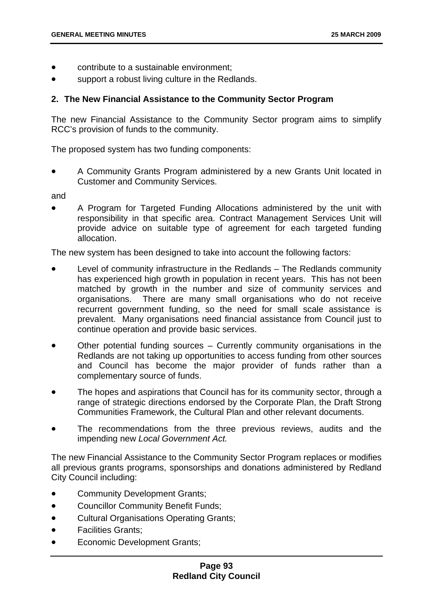- contribute to a sustainable environment;
- support a robust living culture in the Redlands.

### **2. The New Financial Assistance to the Community Sector Program**

The new Financial Assistance to the Community Sector program aims to simplify RCC's provision of funds to the community.

The proposed system has two funding components:

• A Community Grants Program administered by a new Grants Unit located in Customer and Community Services.

and

• A Program for Targeted Funding Allocations administered by the unit with responsibility in that specific area. Contract Management Services Unit will provide advice on suitable type of agreement for each targeted funding allocation.

The new system has been designed to take into account the following factors:

- Level of community infrastructure in the Redlands The Redlands community has experienced high growth in population in recent years. This has not been matched by growth in the number and size of community services and organisations. There are many small organisations who do not receive recurrent government funding, so the need for small scale assistance is prevalent. Many organisations need financial assistance from Council just to continue operation and provide basic services.
- Other potential funding sources Currently community organisations in the Redlands are not taking up opportunities to access funding from other sources and Council has become the major provider of funds rather than a complementary source of funds.
- The hopes and aspirations that Council has for its community sector, through a range of strategic directions endorsed by the Corporate Plan, the Draft Strong Communities Framework, the Cultural Plan and other relevant documents.
- The recommendations from the three previous reviews, audits and the impending new *Local Government Act.*

The new Financial Assistance to the Community Sector Program replaces or modifies all previous grants programs, sponsorships and donations administered by Redland City Council including:

- Community Development Grants;
- Councillor Community Benefit Funds;
- Cultural Organisations Operating Grants;
- Facilities Grants;
- Economic Development Grants;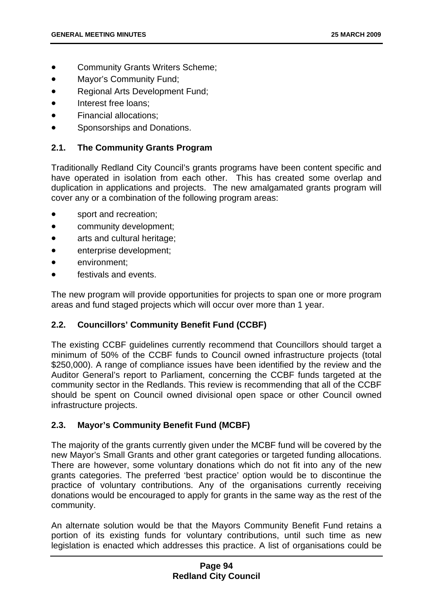- Community Grants Writers Scheme;
- Mayor's Community Fund;
- Regional Arts Development Fund;
- Interest free loans:
- Financial allocations;
- Sponsorships and Donations.

### **2.1. The Community Grants Program**

Traditionally Redland City Council's grants programs have been content specific and have operated in isolation from each other. This has created some overlap and duplication in applications and projects. The new amalgamated grants program will cover any or a combination of the following program areas:

- sport and recreation;
- community development;
- arts and cultural heritage;
- enterprise development;
- environment;
- festivals and events.

The new program will provide opportunities for projects to span one or more program areas and fund staged projects which will occur over more than 1 year.

## **2.2. Councillors' Community Benefit Fund (CCBF)**

The existing CCBF guidelines currently recommend that Councillors should target a minimum of 50% of the CCBF funds to Council owned infrastructure projects (total \$250,000). A range of compliance issues have been identified by the review and the Auditor General's report to Parliament, concerning the CCBF funds targeted at the community sector in the Redlands. This review is recommending that all of the CCBF should be spent on Council owned divisional open space or other Council owned infrastructure projects.

## **2.3. Mayor's Community Benefit Fund (MCBF)**

The majority of the grants currently given under the MCBF fund will be covered by the new Mayor's Small Grants and other grant categories or targeted funding allocations. There are however, some voluntary donations which do not fit into any of the new grants categories. The preferred 'best practice' option would be to discontinue the practice of voluntary contributions. Any of the organisations currently receiving donations would be encouraged to apply for grants in the same way as the rest of the community.

An alternate solution would be that the Mayors Community Benefit Fund retains a portion of its existing funds for voluntary contributions, until such time as new legislation is enacted which addresses this practice. A list of organisations could be

## **Page 94 Redland City Council**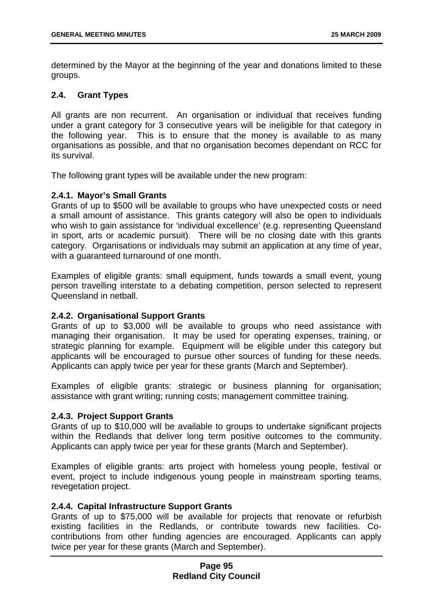determined by the Mayor at the beginning of the year and donations limited to these groups.

## **2.4. Grant Types**

All grants are non recurrent. An organisation or individual that receives funding under a grant category for 3 consecutive years will be ineligible for that category in the following year. This is to ensure that the money is available to as many organisations as possible, and that no organisation becomes dependant on RCC for its survival.

The following grant types will be available under the new program:

#### **2.4.1. Mayor's Small Grants**

Grants of up to \$500 will be available to groups who have unexpected costs or need a small amount of assistance. This grants category will also be open to individuals who wish to gain assistance for 'individual excellence' (e.g. representing Queensland in sport, arts or academic pursuit). There will be no closing date with this grants category. Organisations or individuals may submit an application at any time of year, with a guaranteed turnaround of one month.

Examples of eligible grants: small equipment, funds towards a small event, young person travelling interstate to a debating competition, person selected to represent Queensland in netball.

#### **2.4.2. Organisational Support Grants**

Grants of up to \$3,000 will be available to groups who need assistance with managing their organisation. It may be used for operating expenses, training, or strategic planning for example. Equipment will be eligible under this category but applicants will be encouraged to pursue other sources of funding for these needs. Applicants can apply twice per year for these grants (March and September).

Examples of eligible grants: strategic or business planning for organisation; assistance with grant writing; running costs; management committee training.

#### **2.4.3. Project Support Grants**

Grants of up to \$10,000 will be available to groups to undertake significant projects within the Redlands that deliver long term positive outcomes to the community. Applicants can apply twice per year for these grants (March and September).

Examples of eligible grants: arts project with homeless young people, festival or event, project to include indigenous young people in mainstream sporting teams, revegetation project.

### **2.4.4. Capital Infrastructure Support Grants**

Grants of up to \$75,000 will be available for projects that renovate or refurbish existing facilities in the Redlands, or contribute towards new facilities. Cocontributions from other funding agencies are encouraged. Applicants can apply twice per year for these grants (March and September).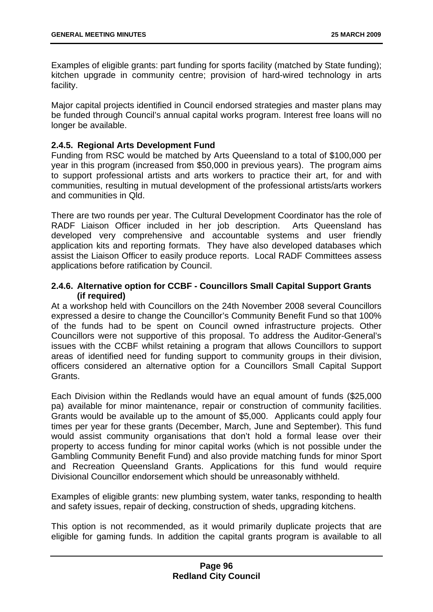Examples of eligible grants: part funding for sports facility (matched by State funding); kitchen upgrade in community centre; provision of hard-wired technology in arts facility.

Major capital projects identified in Council endorsed strategies and master plans may be funded through Council's annual capital works program. Interest free loans will no longer be available.

## **2.4.5. Regional Arts Development Fund**

Funding from RSC would be matched by Arts Queensland to a total of \$100,000 per year in this program (increased from \$50,000 in previous years). The program aims to support professional artists and arts workers to practice their art, for and with communities, resulting in mutual development of the professional artists/arts workers and communities in Qld.

There are two rounds per year. The Cultural Development Coordinator has the role of RADF Liaison Officer included in her job description. Arts Queensland has developed very comprehensive and accountable systems and user friendly application kits and reporting formats. They have also developed databases which assist the Liaison Officer to easily produce reports. Local RADF Committees assess applications before ratification by Council.

## **2.4.6. Alternative option for CCBF - Councillors Small Capital Support Grants (if required)**

At a workshop held with Councillors on the 24th November 2008 several Councillors expressed a desire to change the Councillor's Community Benefit Fund so that 100% of the funds had to be spent on Council owned infrastructure projects. Other Councillors were not supportive of this proposal. To address the Auditor-General's issues with the CCBF whilst retaining a program that allows Councillors to support areas of identified need for funding support to community groups in their division, officers considered an alternative option for a Councillors Small Capital Support Grants.

Each Division within the Redlands would have an equal amount of funds (\$25,000 pa) available for minor maintenance, repair or construction of community facilities. Grants would be available up to the amount of \$5,000. Applicants could apply four times per year for these grants (December, March, June and September). This fund would assist community organisations that don't hold a formal lease over their property to access funding for minor capital works (which is not possible under the Gambling Community Benefit Fund) and also provide matching funds for minor Sport and Recreation Queensland Grants. Applications for this fund would require Divisional Councillor endorsement which should be unreasonably withheld.

Examples of eligible grants: new plumbing system, water tanks, responding to health and safety issues, repair of decking, construction of sheds, upgrading kitchens.

This option is not recommended, as it would primarily duplicate projects that are eligible for gaming funds. In addition the capital grants program is available to all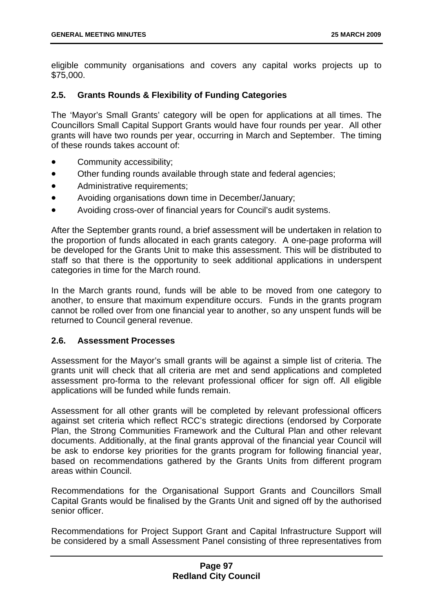eligible community organisations and covers any capital works projects up to \$75,000.

## **2.5. Grants Rounds & Flexibility of Funding Categories**

The 'Mayor's Small Grants' category will be open for applications at all times. The Councillors Small Capital Support Grants would have four rounds per year. All other grants will have two rounds per year, occurring in March and September. The timing of these rounds takes account of:

- Community accessibility;
- Other funding rounds available through state and federal agencies;
- Administrative requirements;
- Avoiding organisations down time in December/January;
- Avoiding cross-over of financial years for Council's audit systems.

After the September grants round, a brief assessment will be undertaken in relation to the proportion of funds allocated in each grants category. A one-page proforma will be developed for the Grants Unit to make this assessment. This will be distributed to staff so that there is the opportunity to seek additional applications in underspent categories in time for the March round.

In the March grants round, funds will be able to be moved from one category to another, to ensure that maximum expenditure occurs. Funds in the grants program cannot be rolled over from one financial year to another, so any unspent funds will be returned to Council general revenue.

#### **2.6. Assessment Processes**

Assessment for the Mayor's small grants will be against a simple list of criteria. The grants unit will check that all criteria are met and send applications and completed assessment pro-forma to the relevant professional officer for sign off. All eligible applications will be funded while funds remain.

Assessment for all other grants will be completed by relevant professional officers against set criteria which reflect RCC's strategic directions (endorsed by Corporate Plan, the Strong Communities Framework and the Cultural Plan and other relevant documents. Additionally, at the final grants approval of the financial year Council will be ask to endorse key priorities for the grants program for following financial year, based on recommendations gathered by the Grants Units from different program areas within Council.

Recommendations for the Organisational Support Grants and Councillors Small Capital Grants would be finalised by the Grants Unit and signed off by the authorised senior officer.

Recommendations for Project Support Grant and Capital Infrastructure Support will be considered by a small Assessment Panel consisting of three representatives from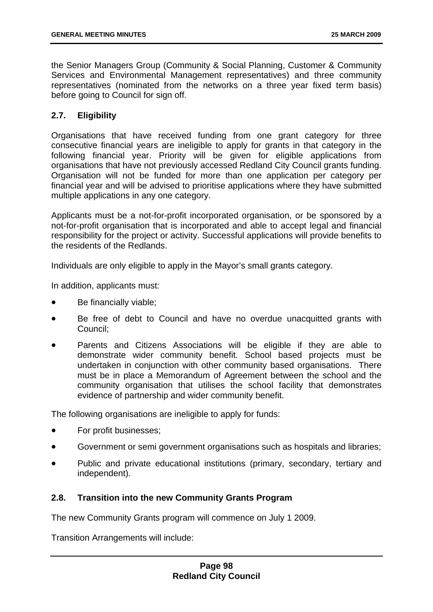the Senior Managers Group (Community & Social Planning, Customer & Community Services and Environmental Management representatives) and three community representatives (nominated from the networks on a three year fixed term basis) before going to Council for sign off.

## **2.7. Eligibility**

Organisations that have received funding from one grant category for three consecutive financial years are ineligible to apply for grants in that category in the following financial year. Priority will be given for eligible applications from organisations that have not previously accessed Redland City Council grants funding. Organisation will not be funded for more than one application per category per financial year and will be advised to prioritise applications where they have submitted multiple applications in any one category.

Applicants must be a not-for-profit incorporated organisation, or be sponsored by a not-for-profit organisation that is incorporated and able to accept legal and financial responsibility for the project or activity. Successful applications will provide benefits to the residents of the Redlands.

Individuals are only eligible to apply in the Mayor's small grants category.

In addition, applicants must:

- Be financially viable;
- Be free of debt to Council and have no overdue unacquitted grants with Council;
- Parents and Citizens Associations will be eligible if they are able to demonstrate wider community benefit. School based projects must be undertaken in conjunction with other community based organisations. There must be in place a Memorandum of Agreement between the school and the community organisation that utilises the school facility that demonstrates evidence of partnership and wider community benefit.

The following organisations are ineligible to apply for funds:

- For profit businesses;
- Government or semi government organisations such as hospitals and libraries;
- Public and private educational institutions (primary, secondary, tertiary and independent).

#### **2.8. Transition into the new Community Grants Program**

The new Community Grants program will commence on July 1 2009.

Transition Arrangements will include: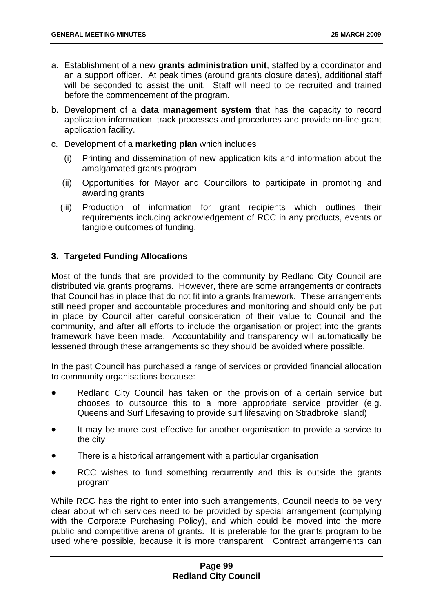- a. Establishment of a new **grants administration unit**, staffed by a coordinator and an a support officer. At peak times (around grants closure dates), additional staff will be seconded to assist the unit. Staff will need to be recruited and trained before the commencement of the program.
- b. Development of a **data management system** that has the capacity to record application information, track processes and procedures and provide on-line grant application facility.
- c. Development of a **marketing plan** which includes
	- (i) Printing and dissemination of new application kits and information about the amalgamated grants program
	- (ii) Opportunities for Mayor and Councillors to participate in promoting and awarding grants
	- (iii) Production of information for grant recipients which outlines their requirements including acknowledgement of RCC in any products, events or tangible outcomes of funding.

## **3. Targeted Funding Allocations**

Most of the funds that are provided to the community by Redland City Council are distributed via grants programs. However, there are some arrangements or contracts that Council has in place that do not fit into a grants framework. These arrangements still need proper and accountable procedures and monitoring and should only be put in place by Council after careful consideration of their value to Council and the community, and after all efforts to include the organisation or project into the grants framework have been made. Accountability and transparency will automatically be lessened through these arrangements so they should be avoided where possible.

In the past Council has purchased a range of services or provided financial allocation to community organisations because:

- Redland City Council has taken on the provision of a certain service but chooses to outsource this to a more appropriate service provider (e.g. Queensland Surf Lifesaving to provide surf lifesaving on Stradbroke Island)
- It may be more cost effective for another organisation to provide a service to the city
- There is a historical arrangement with a particular organisation
- RCC wishes to fund something recurrently and this is outside the grants program

While RCC has the right to enter into such arrangements, Council needs to be very clear about which services need to be provided by special arrangement (complying with the Corporate Purchasing Policy), and which could be moved into the more public and competitive arena of grants. It is preferable for the grants program to be used where possible, because it is more transparent. Contract arrangements can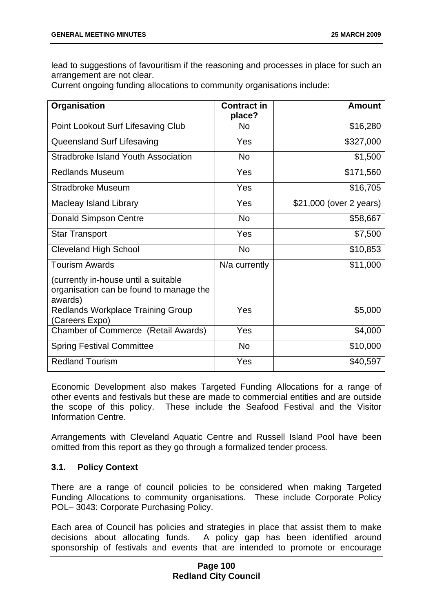lead to suggestions of favouritism if the reasoning and processes in place for such an arrangement are not clear.

Current ongoing funding allocations to community organisations include:

| Organisation                                                                               | <b>Contract in</b><br>place? | <b>Amount</b>           |
|--------------------------------------------------------------------------------------------|------------------------------|-------------------------|
| Point Lookout Surf Lifesaving Club                                                         | <b>No</b>                    | \$16,280                |
| Queensland Surf Lifesaving                                                                 | Yes                          | \$327,000               |
| Stradbroke Island Youth Association                                                        | <b>No</b>                    | \$1,500                 |
| <b>Redlands Museum</b>                                                                     | Yes                          | \$171,560               |
| <b>Stradbroke Museum</b>                                                                   | Yes                          | \$16,705                |
| <b>Macleay Island Library</b>                                                              | Yes                          | \$21,000 (over 2 years) |
| <b>Donald Simpson Centre</b>                                                               | <b>No</b>                    | \$58,667                |
| <b>Star Transport</b>                                                                      | Yes                          | \$7,500                 |
| <b>Cleveland High School</b>                                                               | <b>No</b>                    | \$10,853                |
| <b>Tourism Awards</b>                                                                      | N/a currently                | \$11,000                |
| (currently in-house until a suitable<br>organisation can be found to manage the<br>awards) |                              |                         |
| <b>Redlands Workplace Training Group</b><br>(Careers Expo)                                 | Yes                          | \$5,000                 |
| <b>Chamber of Commerce (Retail Awards)</b>                                                 | Yes                          | \$4,000                 |
| <b>Spring Festival Committee</b>                                                           | <b>No</b>                    | \$10,000                |
| <b>Redland Tourism</b>                                                                     | Yes                          | \$40,597                |

Economic Development also makes Targeted Funding Allocations for a range of other events and festivals but these are made to commercial entities and are outside the scope of this policy. These include the Seafood Festival and the Visitor Information Centre.

Arrangements with Cleveland Aquatic Centre and Russell Island Pool have been omitted from this report as they go through a formalized tender process.

## **3.1. Policy Context**

There are a range of council policies to be considered when making Targeted Funding Allocations to community organisations. These include Corporate Policy POL– 3043: Corporate Purchasing Policy.

Each area of Council has policies and strategies in place that assist them to make decisions about allocating funds. A policy gap has been identified around sponsorship of festivals and events that are intended to promote or encourage

## **Page 100 Redland City Council**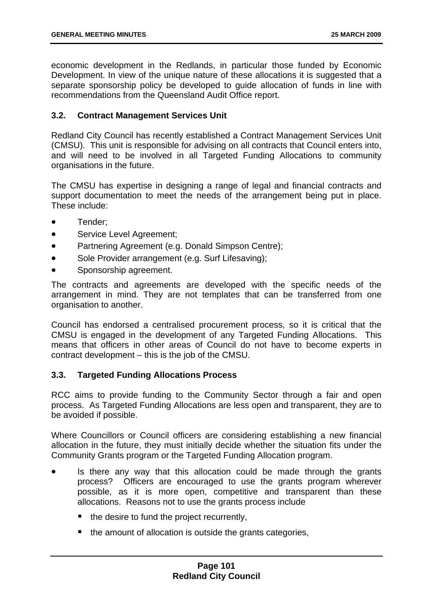economic development in the Redlands, in particular those funded by Economic Development. In view of the unique nature of these allocations it is suggested that a separate sponsorship policy be developed to guide allocation of funds in line with recommendations from the Queensland Audit Office report.

## **3.2. Contract Management Services Unit**

Redland City Council has recently established a Contract Management Services Unit (CMSU). This unit is responsible for advising on all contracts that Council enters into, and will need to be involved in all Targeted Funding Allocations to community organisations in the future.

The CMSU has expertise in designing a range of legal and financial contracts and support documentation to meet the needs of the arrangement being put in place. These include:

- Tender;
- Service Level Agreement;
- Partnering Agreement (e.g. Donald Simpson Centre);
- Sole Provider arrangement (e.g. Surf Lifesaving);
- Sponsorship agreement.

The contracts and agreements are developed with the specific needs of the arrangement in mind. They are not templates that can be transferred from one organisation to another.

Council has endorsed a centralised procurement process, so it is critical that the CMSU is engaged in the development of any Targeted Funding Allocations. This means that officers in other areas of Council do not have to become experts in contract development – this is the job of the CMSU.

#### **3.3. Targeted Funding Allocations Process**

RCC aims to provide funding to the Community Sector through a fair and open process. As Targeted Funding Allocations are less open and transparent, they are to be avoided if possible.

Where Councillors or Council officers are considering establishing a new financial allocation in the future, they must initially decide whether the situation fits under the Community Grants program or the Targeted Funding Allocation program.

- Is there any way that this allocation could be made through the grants process? Officers are encouraged to use the grants program wherever possible, as it is more open, competitive and transparent than these allocations. Reasons not to use the grants process include
	- the desire to fund the project recurrently,
	- $\blacksquare$  the amount of allocation is outside the grants categories,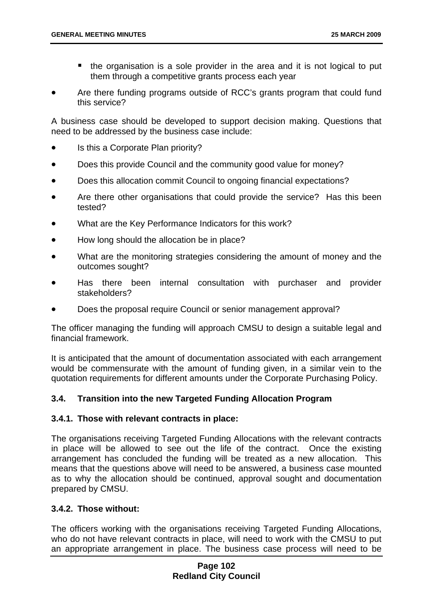- the organisation is a sole provider in the area and it is not logical to put them through a competitive grants process each year
- Are there funding programs outside of RCC's grants program that could fund this service?

A business case should be developed to support decision making. Questions that need to be addressed by the business case include:

- Is this a Corporate Plan priority?
- Does this provide Council and the community good value for money?
- Does this allocation commit Council to ongoing financial expectations?
- Are there other organisations that could provide the service? Has this been tested?
- What are the Key Performance Indicators for this work?
- How long should the allocation be in place?
- What are the monitoring strategies considering the amount of money and the outcomes sought?
- Has there been internal consultation with purchaser and provider stakeholders?
- Does the proposal require Council or senior management approval?

The officer managing the funding will approach CMSU to design a suitable legal and financial framework.

It is anticipated that the amount of documentation associated with each arrangement would be commensurate with the amount of funding given, in a similar vein to the quotation requirements for different amounts under the Corporate Purchasing Policy.

## **3.4. Transition into the new Targeted Funding Allocation Program**

#### **3.4.1. Those with relevant contracts in place:**

The organisations receiving Targeted Funding Allocations with the relevant contracts in place will be allowed to see out the life of the contract. Once the existing arrangement has concluded the funding will be treated as a new allocation. This means that the questions above will need to be answered, a business case mounted as to why the allocation should be continued, approval sought and documentation prepared by CMSU.

#### **3.4.2. Those without:**

The officers working with the organisations receiving Targeted Funding Allocations, who do not have relevant contracts in place, will need to work with the CMSU to put an appropriate arrangement in place. The business case process will need to be

## **Page 102 Redland City Council**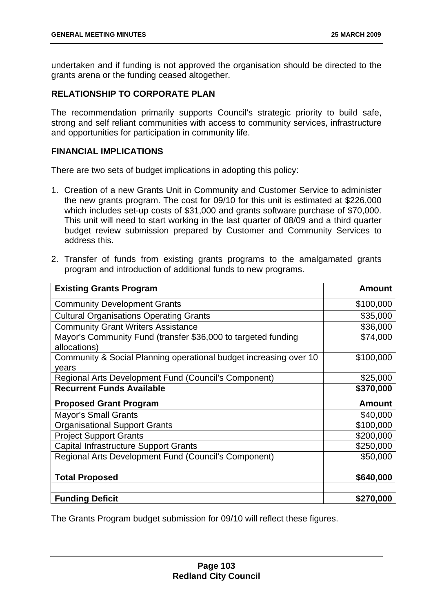undertaken and if funding is not approved the organisation should be directed to the grants arena or the funding ceased altogether.

# **RELATIONSHIP TO CORPORATE PLAN**

The recommendation primarily supports Council's strategic priority to build safe, strong and self reliant communities with access to community services, infrastructure and opportunities for participation in community life.

## **FINANCIAL IMPLICATIONS**

There are two sets of budget implications in adopting this policy:

- 1. Creation of a new Grants Unit in Community and Customer Service to administer the new grants program. The cost for 09/10 for this unit is estimated at \$226,000 which includes set-up costs of \$31,000 and grants software purchase of \$70,000. This unit will need to start working in the last quarter of 08/09 and a third quarter budget review submission prepared by Customer and Community Services to address this.
- 2. Transfer of funds from existing grants programs to the amalgamated grants program and introduction of additional funds to new programs.

| <b>Existing Grants Program</b>                                                | <b>Amount</b> |
|-------------------------------------------------------------------------------|---------------|
| <b>Community Development Grants</b>                                           | \$100,000     |
| <b>Cultural Organisations Operating Grants</b>                                | \$35,000      |
| <b>Community Grant Writers Assistance</b>                                     | \$36,000      |
| Mayor's Community Fund (transfer \$36,000 to targeted funding<br>allocations) | \$74,000      |
| Community & Social Planning operational budget increasing over 10             | \$100,000     |
| years                                                                         |               |
| Regional Arts Development Fund (Council's Component)                          | \$25,000      |
| <b>Recurrent Funds Available</b>                                              | \$370,000     |
|                                                                               |               |
| <b>Proposed Grant Program</b>                                                 | <b>Amount</b> |
| <b>Mayor's Small Grants</b>                                                   | \$40,000      |
| <b>Organisational Support Grants</b>                                          | \$100,000     |
| <b>Project Support Grants</b>                                                 | \$200,000     |
| <b>Capital Infrastructure Support Grants</b>                                  | \$250,000     |
| Regional Arts Development Fund (Council's Component)                          | \$50,000      |
| <b>Total Proposed</b>                                                         | \$640,000     |

The Grants Program budget submission for 09/10 will reflect these figures.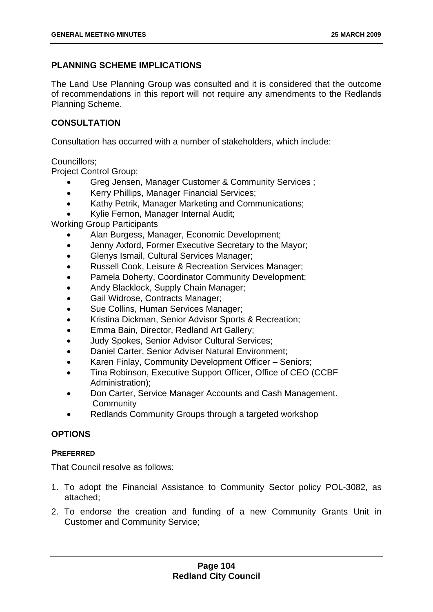# **PLANNING SCHEME IMPLICATIONS**

The Land Use Planning Group was consulted and it is considered that the outcome of recommendations in this report will not require any amendments to the Redlands Planning Scheme.

## **CONSULTATION**

Consultation has occurred with a number of stakeholders, which include:

Councillors;

Project Control Group;

- Greg Jensen, Manager Customer & Community Services ;
- Kerry Phillips, Manager Financial Services;
- Kathy Petrik, Manager Marketing and Communications;
- Kylie Fernon, Manager Internal Audit;

Working Group Participants

- Alan Burgess, Manager, Economic Development;
- Jenny Axford, Former Executive Secretary to the Mayor;
- Glenys Ismail, Cultural Services Manager;
- Russell Cook, Leisure & Recreation Services Manager;
- Pamela Doherty, Coordinator Community Development;
- Andy Blacklock, Supply Chain Manager;
- Gail Widrose, Contracts Manager;
- Sue Collins, Human Services Manager;
- Kristina Dickman, Senior Advisor Sports & Recreation;
- Emma Bain, Director, Redland Art Gallery;
- Judy Spokes, Senior Advisor Cultural Services;
- Daniel Carter, Senior Adviser Natural Environment;
- Karen Finlay, Community Development Officer Seniors;
- Tina Robinson, Executive Support Officer, Office of CEO (CCBF Administration);
- Don Carter, Service Manager Accounts and Cash Management. **Community**
- Redlands Community Groups through a targeted workshop

## **OPTIONS**

## **PREFERRED**

That Council resolve as follows:

- 1. To adopt the Financial Assistance to Community Sector policy POL-3082, as attached;
- 2. To endorse the creation and funding of a new Community Grants Unit in Customer and Community Service;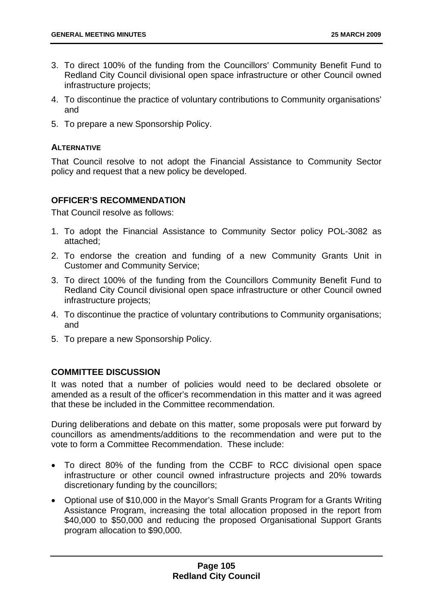- 3. To direct 100% of the funding from the Councillors' Community Benefit Fund to Redland City Council divisional open space infrastructure or other Council owned infrastructure projects;
- 4. To discontinue the practice of voluntary contributions to Community organisations' and
- 5. To prepare a new Sponsorship Policy.

## **ALTERNATIVE**

That Council resolve to not adopt the Financial Assistance to Community Sector policy and request that a new policy be developed.

## **OFFICER'S RECOMMENDATION**

That Council resolve as follows:

- 1. To adopt the Financial Assistance to Community Sector policy POL-3082 as attached;
- 2. To endorse the creation and funding of a new Community Grants Unit in Customer and Community Service;
- 3. To direct 100% of the funding from the Councillors Community Benefit Fund to Redland City Council divisional open space infrastructure or other Council owned infrastructure projects;
- 4. To discontinue the practice of voluntary contributions to Community organisations; and
- 5. To prepare a new Sponsorship Policy.

#### **COMMITTEE DISCUSSION**

It was noted that a number of policies would need to be declared obsolete or amended as a result of the officer's recommendation in this matter and it was agreed that these be included in the Committee recommendation.

During deliberations and debate on this matter, some proposals were put forward by councillors as amendments/additions to the recommendation and were put to the vote to form a Committee Recommendation. These include:

- To direct 80% of the funding from the CCBF to RCC divisional open space infrastructure or other council owned infrastructure projects and 20% towards discretionary funding by the councillors;
- Optional use of \$10,000 in the Mayor's Small Grants Program for a Grants Writing Assistance Program, increasing the total allocation proposed in the report from \$40,000 to \$50,000 and reducing the proposed Organisational Support Grants program allocation to \$90,000.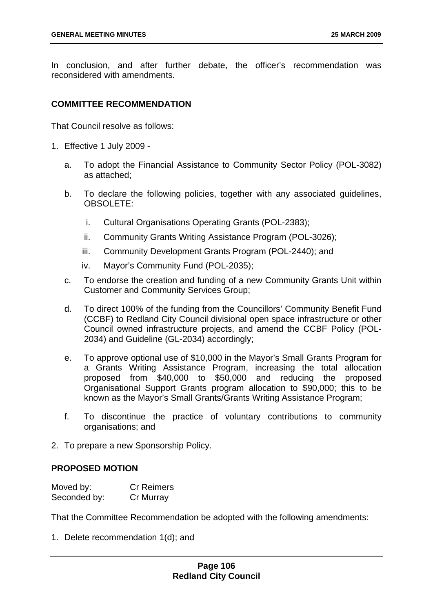In conclusion, and after further debate, the officer's recommendation was reconsidered with amendments.

## **COMMITTEE RECOMMENDATION**

That Council resolve as follows:

- 1. Effective 1 July 2009
	- a. To adopt the Financial Assistance to Community Sector Policy (POL-3082) as attached;
	- b. To declare the following policies, together with any associated guidelines, OBSOLETE:
		- i. Cultural Organisations Operating Grants (POL-2383);
		- ii. Community Grants Writing Assistance Program (POL-3026);
		- iii. Community Development Grants Program (POL-2440); and
		- iv. Mayor's Community Fund (POL-2035);
	- c. To endorse the creation and funding of a new Community Grants Unit within Customer and Community Services Group;
	- d. To direct 100% of the funding from the Councillors' Community Benefit Fund (CCBF) to Redland City Council divisional open space infrastructure or other Council owned infrastructure projects, and amend the CCBF Policy (POL-2034) and Guideline (GL-2034) accordingly;
	- e. To approve optional use of \$10,000 in the Mayor's Small Grants Program for a Grants Writing Assistance Program, increasing the total allocation proposed from \$40,000 to \$50,000 and reducing the proposed Organisational Support Grants program allocation to \$90,000; this to be known as the Mayor's Small Grants/Grants Writing Assistance Program;
	- f. To discontinue the practice of voluntary contributions to community organisations; and
- 2. To prepare a new Sponsorship Policy.

#### **PROPOSED MOTION**

| Moved by:    | <b>Cr Reimers</b> |
|--------------|-------------------|
| Seconded by: | Cr Murray         |

That the Committee Recommendation be adopted with the following amendments:

1. Delete recommendation 1(d); and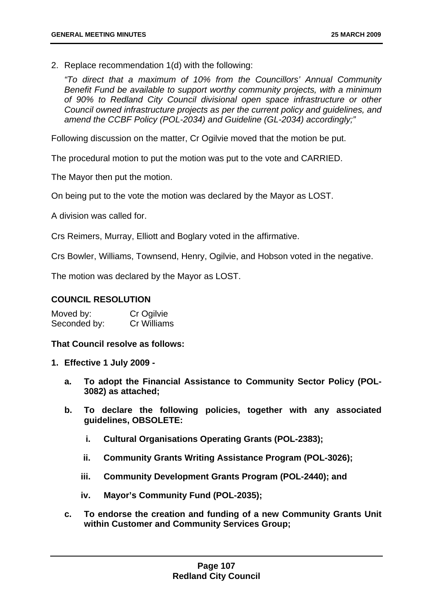2. Replace recommendation 1(d) with the following:

*"To direct that a maximum of 10% from the Councillors' Annual Community Benefit Fund be available to support worthy community projects, with a minimum of 90% to Redland City Council divisional open space infrastructure or other Council owned infrastructure projects as per the current policy and guidelines, and amend the CCBF Policy (POL-2034) and Guideline (GL-2034) accordingly;"* 

Following discussion on the matter, Cr Ogilvie moved that the motion be put.

The procedural motion to put the motion was put to the vote and CARRIED.

The Mayor then put the motion.

On being put to the vote the motion was declared by the Mayor as LOST.

A division was called for.

Crs Reimers, Murray, Elliott and Boglary voted in the affirmative.

Crs Bowler, Williams, Townsend, Henry, Ogilvie, and Hobson voted in the negative.

The motion was declared by the Mayor as LOST.

## **COUNCIL RESOLUTION**

Moved by: Cr Ogilvie Seconded by: Cr Williams

#### **That Council resolve as follows:**

- **1. Effective 1 July 2009** 
	- **a. To adopt the Financial Assistance to Community Sector Policy (POL-3082) as attached;**
	- **b. To declare the following policies, together with any associated guidelines, OBSOLETE:** 
		- **i. Cultural Organisations Operating Grants (POL-2383);**
		- **ii. Community Grants Writing Assistance Program (POL-3026);**
		- **iii. Community Development Grants Program (POL-2440); and**
		- **iv. Mayor's Community Fund (POL-2035);**
	- **c. To endorse the creation and funding of a new Community Grants Unit within Customer and Community Services Group;**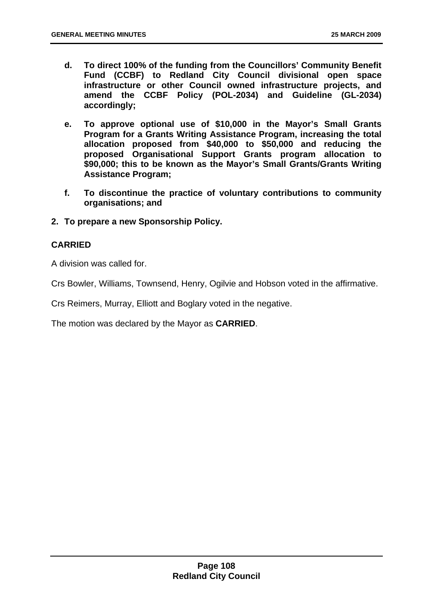- **d. To direct 100% of the funding from the Councillors' Community Benefit Fund (CCBF) to Redland City Council divisional open space infrastructure or other Council owned infrastructure projects, and amend the CCBF Policy (POL-2034) and Guideline (GL-2034) accordingly;**
- **e. To approve optional use of \$10,000 in the Mayor's Small Grants Program for a Grants Writing Assistance Program, increasing the total allocation proposed from \$40,000 to \$50,000 and reducing the proposed Organisational Support Grants program allocation to \$90,000; this to be known as the Mayor's Small Grants/Grants Writing Assistance Program;**
- **f. To discontinue the practice of voluntary contributions to community organisations; and**
- **2. To prepare a new Sponsorship Policy.**

## **CARRIED**

A division was called for.

Crs Bowler, Williams, Townsend, Henry, Ogilvie and Hobson voted in the affirmative.

Crs Reimers, Murray, Elliott and Boglary voted in the negative.

The motion was declared by the Mayor as **CARRIED**.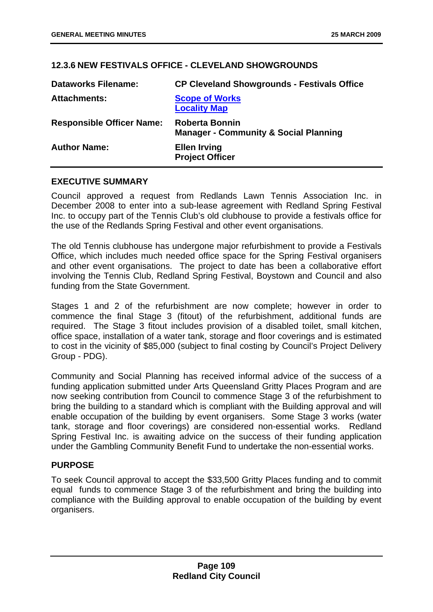# <span id="page-109-0"></span>**12.3.6 NEW FESTIVALS OFFICE - CLEVELAND SHOWGROUNDS**

| <b>Dataworks Filename:</b>       | <b>CP Cleveland Showgrounds - Festivals Office</b>                        |
|----------------------------------|---------------------------------------------------------------------------|
| <b>Attachments:</b>              | <b>Scope of Works</b><br><b>Locality Map</b>                              |
| <b>Responsible Officer Name:</b> | <b>Roberta Bonnin</b><br><b>Manager - Community &amp; Social Planning</b> |
| <b>Author Name:</b>              | <b>Ellen Irving</b><br><b>Project Officer</b>                             |

### **EXECUTIVE SUMMARY**

Council approved a request from Redlands Lawn Tennis Association Inc. in December 2008 to enter into a sub-lease agreement with Redland Spring Festival Inc. to occupy part of the Tennis Club's old clubhouse to provide a festivals office for the use of the Redlands Spring Festival and other event organisations.

The old Tennis clubhouse has undergone major refurbishment to provide a Festivals Office, which includes much needed office space for the Spring Festival organisers and other event organisations. The project to date has been a collaborative effort involving the Tennis Club, Redland Spring Festival, Boystown and Council and also funding from the State Government.

Stages 1 and 2 of the refurbishment are now complete; however in order to commence the final Stage 3 (fitout) of the refurbishment, additional funds are required. The Stage 3 fitout includes provision of a disabled toilet, small kitchen, office space, installation of a water tank, storage and floor coverings and is estimated to cost in the vicinity of \$85,000 (subject to final costing by Council's Project Delivery Group - PDG).

Community and Social Planning has received informal advice of the success of a funding application submitted under Arts Queensland Gritty Places Program and are now seeking contribution from Council to commence Stage 3 of the refurbishment to bring the building to a standard which is compliant with the Building approval and will enable occupation of the building by event organisers. Some Stage 3 works (water tank, storage and floor coverings) are considered non-essential works. Redland Spring Festival Inc. is awaiting advice on the success of their funding application under the Gambling Community Benefit Fund to undertake the non-essential works.

## **PURPOSE**

To seek Council approval to accept the \$33,500 Gritty Places funding and to commit equal funds to commence Stage 3 of the refurbishment and bring the building into compliance with the Building approval to enable occupation of the building by event organisers.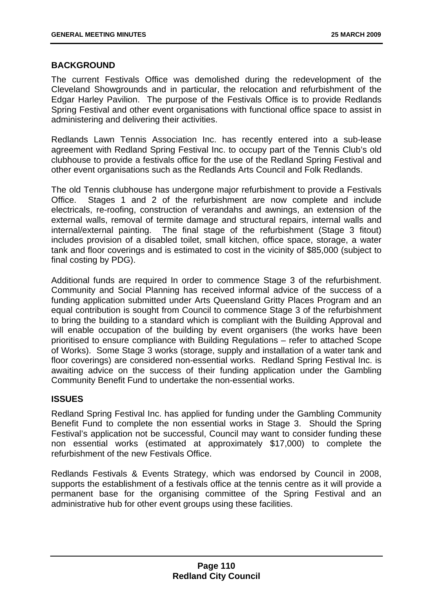### **BACKGROUND**

The current Festivals Office was demolished during the redevelopment of the Cleveland Showgrounds and in particular, the relocation and refurbishment of the Edgar Harley Pavilion. The purpose of the Festivals Office is to provide Redlands Spring Festival and other event organisations with functional office space to assist in administering and delivering their activities.

Redlands Lawn Tennis Association Inc. has recently entered into a sub-lease agreement with Redland Spring Festival Inc. to occupy part of the Tennis Club's old clubhouse to provide a festivals office for the use of the Redland Spring Festival and other event organisations such as the Redlands Arts Council and Folk Redlands.

The old Tennis clubhouse has undergone major refurbishment to provide a Festivals Office. Stages 1 and 2 of the refurbishment are now complete and include electricals, re-roofing, construction of verandahs and awnings, an extension of the external walls, removal of termite damage and structural repairs, internal walls and internal/external painting. The final stage of the refurbishment (Stage 3 fitout) includes provision of a disabled toilet, small kitchen, office space, storage, a water tank and floor coverings and is estimated to cost in the vicinity of \$85,000 (subject to final costing by PDG).

Additional funds are required In order to commence Stage 3 of the refurbishment. Community and Social Planning has received informal advice of the success of a funding application submitted under Arts Queensland Gritty Places Program and an equal contribution is sought from Council to commence Stage 3 of the refurbishment to bring the building to a standard which is compliant with the Building Approval and will enable occupation of the building by event organisers (the works have been prioritised to ensure compliance with Building Regulations – refer to attached Scope of Works). Some Stage 3 works (storage, supply and installation of a water tank and floor coverings) are considered non-essential works. Redland Spring Festival Inc. is awaiting advice on the success of their funding application under the Gambling Community Benefit Fund to undertake the non-essential works.

## **ISSUES**

Redland Spring Festival Inc. has applied for funding under the Gambling Community Benefit Fund to complete the non essential works in Stage 3. Should the Spring Festival's application not be successful, Council may want to consider funding these non essential works (estimated at approximately \$17,000) to complete the refurbishment of the new Festivals Office.

Redlands Festivals & Events Strategy, which was endorsed by Council in 2008, supports the establishment of a festivals office at the tennis centre as it will provide a permanent base for the organising committee of the Spring Festival and an administrative hub for other event groups using these facilities.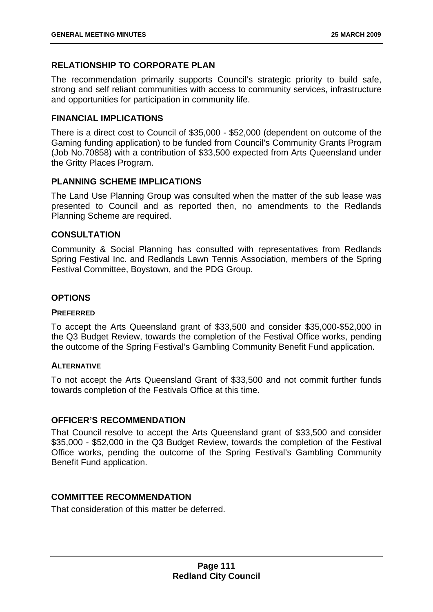# **RELATIONSHIP TO CORPORATE PLAN**

The recommendation primarily supports Council's strategic priority to build safe, strong and self reliant communities with access to community services, infrastructure and opportunities for participation in community life.

### **FINANCIAL IMPLICATIONS**

There is a direct cost to Council of \$35,000 - \$52,000 (dependent on outcome of the Gaming funding application) to be funded from Council's Community Grants Program (Job No.70858) with a contribution of \$33,500 expected from Arts Queensland under the Gritty Places Program.

### **PLANNING SCHEME IMPLICATIONS**

The Land Use Planning Group was consulted when the matter of the sub lease was presented to Council and as reported then, no amendments to the Redlands Planning Scheme are required.

### **CONSULTATION**

Community & Social Planning has consulted with representatives from Redlands Spring Festival Inc. and Redlands Lawn Tennis Association, members of the Spring Festival Committee, Boystown, and the PDG Group.

### **OPTIONS**

### **PREFERRED**

To accept the Arts Queensland grant of \$33,500 and consider \$35,000-\$52,000 in the Q3 Budget Review, towards the completion of the Festival Office works, pending the outcome of the Spring Festival's Gambling Community Benefit Fund application.

### **ALTERNATIVE**

To not accept the Arts Queensland Grant of \$33,500 and not commit further funds towards completion of the Festivals Office at this time.

### **OFFICER'S RECOMMENDATION**

That Council resolve to accept the Arts Queensland grant of \$33,500 and consider \$35,000 - \$52,000 in the Q3 Budget Review, towards the completion of the Festival Office works, pending the outcome of the Spring Festival's Gambling Community Benefit Fund application.

### **COMMITTEE RECOMMENDATION**

That consideration of this matter be deferred.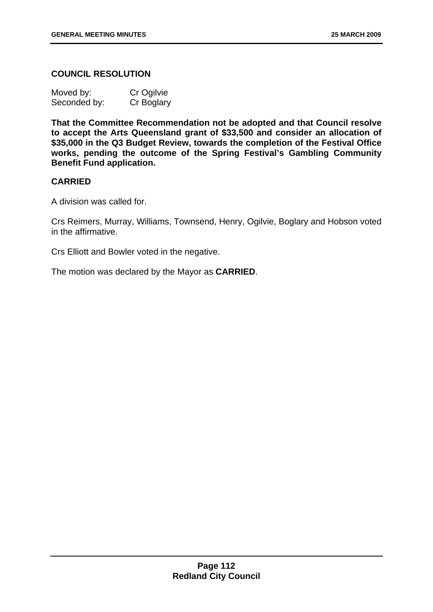## **COUNCIL RESOLUTION**

| Moved by:    | Cr Ogilvie |
|--------------|------------|
| Seconded by: | Cr Boglary |

**That the Committee Recommendation not be adopted and that Council resolve to accept the Arts Queensland grant of \$33,500 and consider an allocation of \$35,000 in the Q3 Budget Review, towards the completion of the Festival Office works, pending the outcome of the Spring Festival's Gambling Community Benefit Fund application.** 

### **CARRIED**

A division was called for.

Crs Reimers, Murray, Williams, Townsend, Henry, Ogilvie, Boglary and Hobson voted in the affirmative.

Crs Elliott and Bowler voted in the negative.

The motion was declared by the Mayor as **CARRIED**.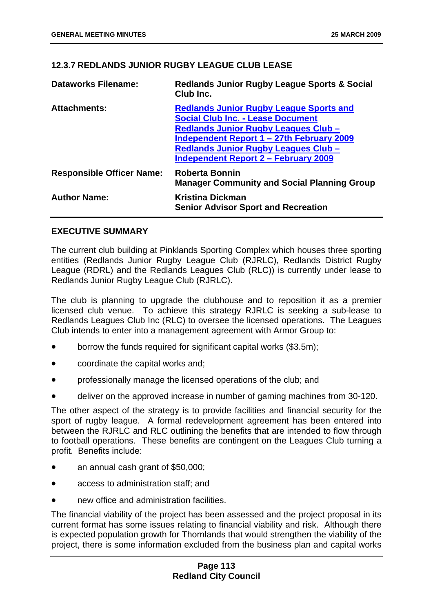# <span id="page-113-0"></span>**12.3.7 REDLANDS JUNIOR RUGBY LEAGUE CLUB LEASE**

| <b>Dataworks Filename:</b>       | <b>Redlands Junior Rugby League Sports &amp; Social</b><br>Club Inc.                                                                                                                                                                                                          |
|----------------------------------|-------------------------------------------------------------------------------------------------------------------------------------------------------------------------------------------------------------------------------------------------------------------------------|
| <b>Attachments:</b>              | <b>Redlands Junior Rugby League Sports and</b><br><b>Social Club Inc. - Lease Document</b><br>Redlands Junior Rugby Leagues Club -<br>Independent Report 1 – 27th February 2009<br><b>Redlands Junior Rugby Leagues Club -</b><br><b>Independent Report 2 - February 2009</b> |
| <b>Responsible Officer Name:</b> | <b>Roberta Bonnin</b><br><b>Manager Community and Social Planning Group</b>                                                                                                                                                                                                   |
| <b>Author Name:</b>              | <b>Kristina Dickman</b><br><b>Senior Advisor Sport and Recreation</b>                                                                                                                                                                                                         |

## **EXECUTIVE SUMMARY**

The current club building at Pinklands Sporting Complex which houses three sporting entities (Redlands Junior Rugby League Club (RJRLC), Redlands District Rugby League (RDRL) and the Redlands Leagues Club (RLC)) is currently under lease to Redlands Junior Rugby League Club (RJRLC).

The club is planning to upgrade the clubhouse and to reposition it as a premier licensed club venue. To achieve this strategy RJRLC is seeking a sub-lease to Redlands Leagues Club Inc (RLC) to oversee the licensed operations. The Leagues Club intends to enter into a management agreement with Armor Group to:

- borrow the funds required for significant capital works (\$3.5m);
- coordinate the capital works and;
- professionally manage the licensed operations of the club; and
- deliver on the approved increase in number of gaming machines from 30-120.

The other aspect of the strategy is to provide facilities and financial security for the sport of rugby league. A formal redevelopment agreement has been entered into between the RJRLC and RLC outlining the benefits that are intended to flow through to football operations. These benefits are contingent on the Leagues Club turning a profit. Benefits include:

- an annual cash grant of \$50,000;
- access to administration staff; and
- new office and administration facilities.

The financial viability of the project has been assessed and the project proposal in its current format has some issues relating to financial viability and risk. Although there is expected population growth for Thornlands that would strengthen the viability of the project, there is some information excluded from the business plan and capital works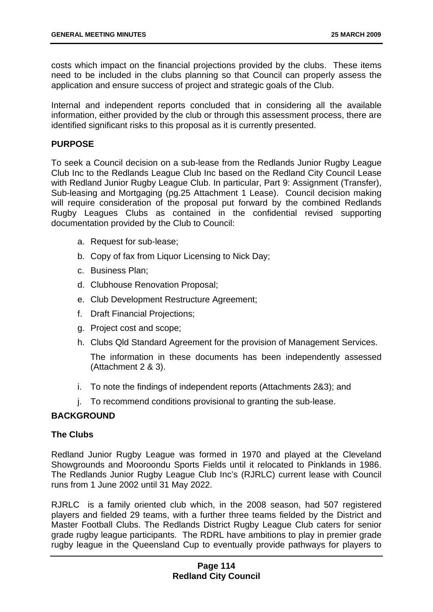costs which impact on the financial projections provided by the clubs. These items need to be included in the clubs planning so that Council can properly assess the application and ensure success of project and strategic goals of the Club.

Internal and independent reports concluded that in considering all the available information, either provided by the club or through this assessment process, there are identified significant risks to this proposal as it is currently presented.

### **PURPOSE**

To seek a Council decision on a sub-lease from the Redlands Junior Rugby League Club Inc to the Redlands League Club Inc based on the Redland City Council Lease with Redland Junior Rugby League Club. In particular, Part 9: Assignment (Transfer), Sub-leasing and Mortgaging (pg.25 Attachment 1 Lease). Council decision making will require consideration of the proposal put forward by the combined Redlands Rugby Leagues Clubs as contained in the confidential revised supporting documentation provided by the Club to Council:

- a. Request for sub-lease;
- b. Copy of fax from Liquor Licensing to Nick Day;
- c. Business Plan;
- d. Clubhouse Renovation Proposal;
- e. Club Development Restructure Agreement;
- f. Draft Financial Projections;
- g. Project cost and scope;
- h. Clubs Qld Standard Agreement for the provision of Management Services. The information in these documents has been independently assessed (Attachment 2 & 3).
- i. To note the findings of independent reports (Attachments 2&3); and
- j. To recommend conditions provisional to granting the sub-lease.

## **BACKGROUND**

### **The Clubs**

Redland Junior Rugby League was formed in 1970 and played at the Cleveland Showgrounds and Mooroondu Sports Fields until it relocated to Pinklands in 1986. The Redlands Junior Rugby League Club Inc's (RJRLC) current lease with Council runs from 1 June 2002 until 31 May 2022.

RJRLC is a family oriented club which, in the 2008 season, had 507 registered players and fielded 29 teams, with a further three teams fielded by the District and Master Football Clubs. The Redlands District Rugby League Club caters for senior grade rugby league participants. The RDRL have ambitions to play in premier grade rugby league in the Queensland Cup to eventually provide pathways for players to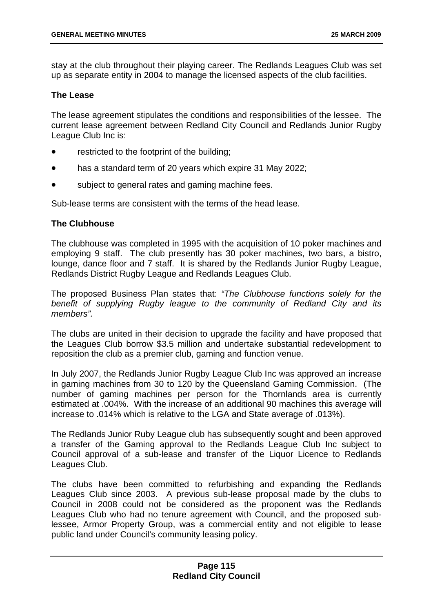stay at the club throughout their playing career. The Redlands Leagues Club was set up as separate entity in 2004 to manage the licensed aspects of the club facilities.

### **The Lease**

The lease agreement stipulates the conditions and responsibilities of the lessee. The current lease agreement between Redland City Council and Redlands Junior Rugby League Club Inc is:

- restricted to the footprint of the building;
- has a standard term of 20 years which expire 31 May 2022;
- subject to general rates and gaming machine fees.

Sub-lease terms are consistent with the terms of the head lease.

### **The Clubhouse**

The clubhouse was completed in 1995 with the acquisition of 10 poker machines and employing 9 staff. The club presently has 30 poker machines, two bars, a bistro, lounge, dance floor and 7 staff. It is shared by the Redlands Junior Rugby League, Redlands District Rugby League and Redlands Leagues Club.

The proposed Business Plan states that: *"The Clubhouse functions solely for the benefit of supplying Rugby league to the community of Redland City and its members".* 

The clubs are united in their decision to upgrade the facility and have proposed that the Leagues Club borrow \$3.5 million and undertake substantial redevelopment to reposition the club as a premier club, gaming and function venue.

In July 2007, the Redlands Junior Rugby League Club Inc was approved an increase in gaming machines from 30 to 120 by the Queensland Gaming Commission. (The number of gaming machines per person for the Thornlands area is currently estimated at .004%. With the increase of an additional 90 machines this average will increase to .014% which is relative to the LGA and State average of .013%).

The Redlands Junior Ruby League club has subsequently sought and been approved a transfer of the Gaming approval to the Redlands League Club Inc subject to Council approval of a sub-lease and transfer of the Liquor Licence to Redlands Leagues Club.

[The clubs have been committed to refurbishing and expanding the Redlands](#page-5-0)  [Leagues Club since 2003. A previous sub-lease proposal made by the clubs to](#page-5-0)  [Council in 2008 could not be considered as the proponent was the Redlands](#page-5-0)  [Leagues Club who had no tenure agreement with Council, and the proposed sub](#page-5-0)[lessee, Armor Property Group, was a commercial entity and not eligible to lease](#page-5-0)  [public land under Council's community leasing policy.](#page-5-0)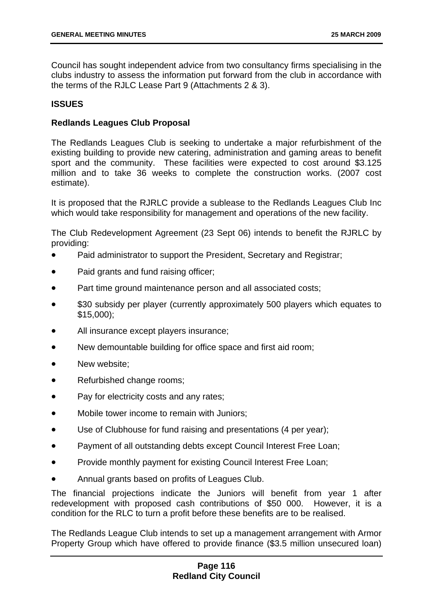[Council has sought independent advice from two consultancy firms specialising in the](#page-5-0)  [clubs industry to assess the information put forward from the club in accordance with](#page-5-0)  [the terms of the RJLC Lease Part 9 \(Attachments 2 & 3\).](#page-5-0) 

### **[ISSUES](#page-5-0)**

### **[Redlands Leagues Club Proposal](#page-5-0)**

[The Redlands Leagues Club is seeking to undertake a major refurbishment of the](#page-6-0)  [existing building to provide new catering, administration and gaming areas to benefit](#page-6-0)  [sport and the community. These facilities were expected to cost around \\$3.125](#page-6-0)  [million and to take 36 weeks to complete the construction works. \(2007 cost](#page-6-0)  [estimate\).](#page-6-0) 

[It is proposed that the RJRLC provide a sublease to the Redlands Leagues Club Inc](#page-6-0)  which would take responsibility for management and operations of the new facility.

[The Club Redevelopment Agreement \(23 Sept 06\) intends to benefit the RJRLC by](#page-6-0)  [providing:](#page-6-0) 

- [Paid administrator to support the President, Secretary and Registrar;](#page-7-0)
- [Paid grants and fund raising officer;](#page-7-0)
- [Part time ground maintenance person and all associated costs;](#page-7-0)
- [\\$30 subsidy per player \(currently approximately 500 players which equates to](#page-7-0)  [\\$15,000\);](#page-7-0)
- [All insurance except players insurance;](#page-8-0)
- [New demountable building for office space and first aid room;](#page-8-0)
- [New website;](#page-8-0)
- [Refurbished change rooms;](#page-9-0)
- [Pay for electricity costs and any rates;](#page-9-0)
- [Mobile tower income to remain with Juniors;](#page-9-0)
- [Use of Clubhouse for fund raising and presentations \(4 per year\);](#page-10-0)
- [Payment of all outstanding debts except Council Interest Free Loan;](#page-10-0)
- [Provide monthly payment for existing Council Interest Free Loan;](#page-10-0)
- [Annual grants based on profits of Leagues Club.](#page-11-0)

[The financial projections indicate the Juniors will benefit from year 1 after](#page-11-0)  [redevelopment with proposed cash contributions of \\$50 000. However, it is a](#page-11-0)  [condition for the RLC to turn a profit before these benefits are to be realised.](#page-11-0) 

[The Redlands League Club intends to set up a management arrangement with Armor](#page-20-0)  [Property Group which have offered to provide finance \(\\$3.5 million unsecured loan\)](#page-20-0)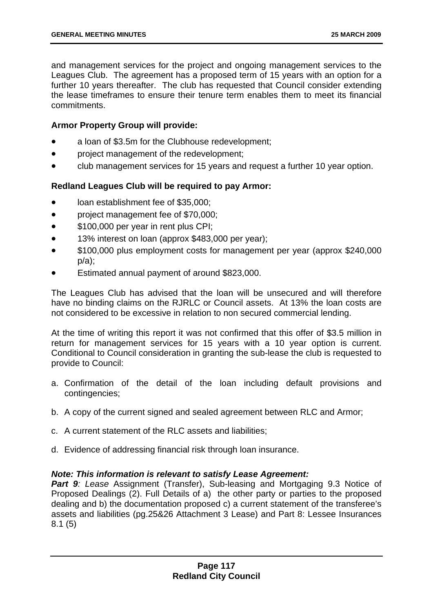[and management services for the project and ongoing management services to the](#page-20-0)  [Leagues Club. The agreement has a proposed term of 15 years with an option for a](#page-20-0)  [further 10 years thereafter. The club has requested that Council consider extending](#page-20-0)  [the lease timeframes to ensure their tenure term enables them to meet its financial](#page-20-0)  [commitments.](#page-20-0) 

### **[Armor Property Group will provide:](#page-21-0)**

- [a loan of \\$3.5m for the Clubhouse redevelopment;](#page-21-0)
- [project management of the redevelopment;](#page-25-0)
- [•](#page-31-0) [club management services for 15 years and request a further 10 year option.](#page-25-0)

### **[Redland Leagues Club will be required to pay Armor:](#page-43-0)**

- [loan establishment fee of \\$35,000;](#page-51-0)
- [project management fee of \\$70,000;](#page-51-0)
- [\\$100,000 per year in rent plus CPI;](#page-51-0)
- [13% interest on loan \(approx \\$483,000 per year\);](#page-54-0)
- [\\$100,000 plus employment costs for management per year \(approx \\$240,000](#page-58-0)  [p/a\);](#page-58-0)
- [•](#page-62-0) [Estimated annual payment of around \\$823,000.](#page-62-0)

[The Leagues Club has advised that the loan will be unsecured and will therefore](#page-66-0)  [have no binding claims on the RJRLC or Council assets. At 13% the loan costs are](#page-66-0)  [not considered to be excessive in relation to non secured commercial lending.](#page-66-0) 

[At the time of writing this report it was not confirmed that this offer of \\$3.5 million in](#page-67-0)  [return for management services for 15 years with a 10 year option is current.](#page-67-0)  [Conditional to Council consideration in granting the sub-lease the club is requested to](#page-67-0)  [provide to Council:](#page-67-0) 

- [a. Confirmation of the detail of the loan including default provisions and](#page-67-0)  [contingencies;](#page-67-0)
- [b. A copy of the current signed and sealed agreement between RLC and Armor;](#page-70-0)
- [c. A current statement of the RLC assets and liabilities;](#page-70-0)
- [d. Evidence of addressing financial risk through loan insurance.](#page-73-0)

### *[Note: This information is relevant to satisfy Lease Agreement:](#page-75-0)*

**Part 9**: Lease Assignment (Transfer), Sub-leasing and Mortgaging 9.3 Notice of [Proposed Dealings \(2\). Full Details of a\) the other party or parties to the proposed](#page-78-0)  [dealing and b\) the documentation proposed c\) a current statement of the transferee's](#page-78-0)  [assets and liabilities \(pg.25&26 Attachment 3 Lease\) and Part 8: Lessee Insurances](#page-78-0)  [8.1 \(5\)](#page-78-0)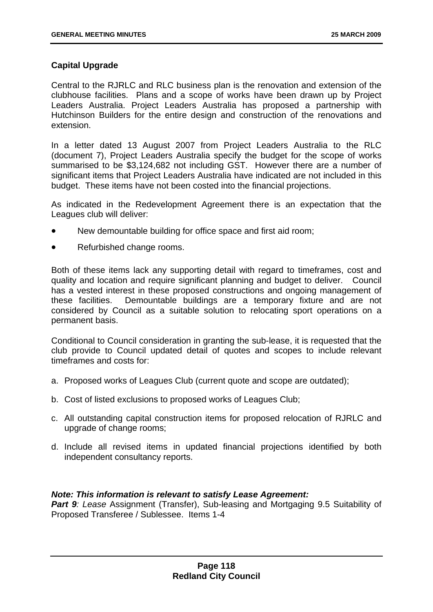# **[Capital Upgrade](#page-84-0)**

[Central to the RJRLC and RLC business plan is the renovation and extension of the](#page-109-0)  [clubhouse facilities. Plans and a scope of works have been drawn up by Project](#page-109-0)  [Leaders Australia. Project Leaders Australia has proposed a partnership with](#page-109-0)  [Hutchinson Builders for the entire design and construction of the renovations and](#page-109-0)  [extension.](#page-109-0) 

[In a letter dated 13 August 2007 from Project Leaders Australia to the RLC](#page-125-0)  [\(document 7\), Project Leaders Australia specify the budget for the scope of works](#page-125-0)  [summarised to be \\$3,124,682 not including GST. However there are a number of](#page-125-0)  [significant items that Project Leaders Australia have indicated are not included in this](#page-125-0)  [budget. These items have not been costed into the financial projections.](#page-125-0) 

[As indicated in the Redevelopment Agreement there is an expectation that the](#page-136-0)  [Leagues club will deliver:](#page-136-0) 

- [New demountable building for office space and first aid room;](#page-137-0)
- [Refurbished change rooms.](#page-137-0)

[Both of these items lack any supporting detail with regard to timeframes, cost and](#page-137-0)  [quality and location and require significant planning and budget to deliver. Council](#page-137-0)  [has a vested interest in these proposed constructions and ongoing management of](#page-137-0)  [these facilities. Demountable buildings are a temporary fixture and are not](#page-137-0)  [considered by Council as a suitable solution to relocating sport operations on a](#page-137-0)  [permanent basis.](#page-137-0) 

[Conditional to Council consideration in granting the sub-lease, it is requested that the](#page-145-0)  [club provide to Council updated detail of quotes and scopes to include relevant](#page-145-0)  [timeframes and costs for:](#page-145-0) 

- [a. Proposed works of Leagues Club \(current quote and scope are outdated\);](#page-148-0)
- [b. Cost of listed exclusions to proposed works of Leagues Club;](#page-150-0)
- [c. All outstanding capital construction items for proposed relocation of RJRLC and](#page-152-0)  [upgrade of change rooms;](#page-152-0)
- [d. Include all revised items in updated financial projections identified by both](#page-152-0)  [independent consultancy reports.](#page-152-0)

### *[Note: This information is relevant to satisfy Lease Agreement:](#page-155-0)*

**Part 9**: Lease Assignment (Transfer), Sub-leasing and Mortgaging 9.5 Suitability of [Proposed Transferee / Sublessee. Items 1-4](#page-155-0)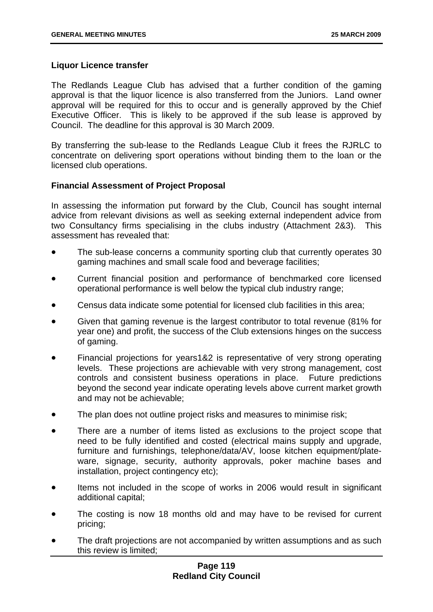### **[Liquor Licence transfer](#page-159-0)**

[The Redlands League Club has advised that a further condition of the gaming](#page-160-0)  [approval is that the liquor licence is also transferred from the Juniors. Land owner](#page-160-0)  [approval will be required for this to occur and is generally approved by the Chief](#page-160-0)  [Executive Officer. This is likely to be approved if the sub lease is approved by](#page-160-0)  [Council. The deadline for this approval is 30 March 2009.](#page-160-0) 

By transferring the sub-lease to the Redlands League Club it frees the RJRLC to concentrate on delivering sport operations without binding them to the loan or the licensed club operations.

### **Financial Assessment of Project Proposal**

In assessing the information put forward by the Club, Council has sought internal advice from relevant divisions as well as seeking external independent advice from two Consultancy firms specialising in the clubs industry (Attachment 2&3). This assessment has revealed that:

- The sub-lease concerns a community sporting club that currently operates 30 gaming machines and small scale food and beverage facilities;
- Current financial position and performance of benchmarked core licensed operational performance is well below the typical club industry range;
- Census data indicate some potential for licensed club facilities in this area;
- Given that gaming revenue is the largest contributor to total revenue (81% for year one) and profit, the success of the Club extensions hinges on the success of gaming.
- Financial projections for years1&2 is representative of very strong operating levels. These projections are achievable with very strong management, cost controls and consistent business operations in place. Future predictions beyond the second year indicate operating levels above current market growth and may not be achievable;
- The plan does not outline project risks and measures to minimise risk;
- There are a number of items listed as exclusions to the project scope that need to be fully identified and costed (electrical mains supply and upgrade, furniture and furnishings, telephone/data/AV, loose kitchen equipment/plateware, signage, security, authority approvals, poker machine bases and installation, project contingency etc);
- Items not included in the scope of works in 2006 would result in significant additional capital;
- The costing is now 18 months old and may have to be revised for current pricing;
- The draft projections are not accompanied by written assumptions and as such this review is limited;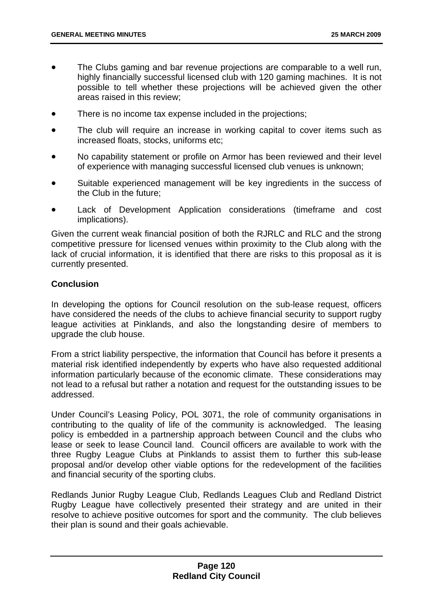- The Clubs gaming and bar revenue projections are comparable to a well run, highly financially successful licensed club with 120 gaming machines. It is not possible to tell whether these projections will be achieved given the other areas raised in this review;
- There is no income tax expense included in the projections;
- The club will require an increase in working capital to cover items such as increased floats, stocks, uniforms etc;
- No capability statement or profile on Armor has been reviewed and their level of experience with managing successful licensed club venues is unknown;
- Suitable experienced management will be key ingredients in the success of the Club in the future;
- Lack of Development Application considerations (timeframe and cost implications).

Given the current weak financial position of both the RJRLC and RLC and the strong competitive pressure for licensed venues within proximity to the Club along with the lack of crucial information, it is identified that there are risks to this proposal as it is currently presented.

### **Conclusion**

In developing the options for Council resolution on the sub-lease request, officers have considered the needs of the clubs to achieve financial security to support rugby league activities at Pinklands, and also the longstanding desire of members to upgrade the club house.

From a strict liability perspective, the information that Council has before it presents a material risk identified independently by experts who have also requested additional information particularly because of the economic climate. These considerations may not lead to a refusal but rather a notation and request for the outstanding issues to be addressed.

Under Council's Leasing Policy, POL 3071, the role of community organisations in contributing to the quality of life of the community is acknowledged. The leasing policy is embedded in a partnership approach between Council and the clubs who lease or seek to lease Council land. Council officers are available to work with the three Rugby League Clubs at Pinklands to assist them to further this sub-lease proposal and/or develop other viable options for the redevelopment of the facilities and financial security of the sporting clubs.

Redlands Junior Rugby League Club, Redlands Leagues Club and Redland District Rugby League have collectively presented their strategy and are united in their resolve to achieve positive outcomes for sport and the community. The club believes their plan is sound and their goals achievable.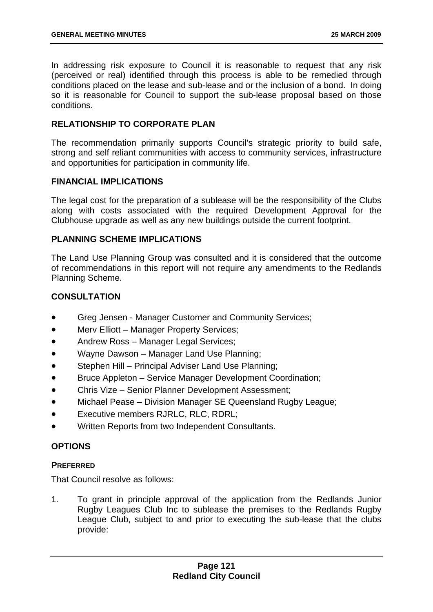In addressing risk exposure to Council it is reasonable to request that any risk (perceived or real) identified through this process is able to be remedied through conditions placed on the lease and sub-lease and or the inclusion of a bond. In doing so it is reasonable for Council to support the sub-lease proposal based on those conditions.

### **RELATIONSHIP TO CORPORATE PLAN**

The recommendation primarily supports Council's strategic priority to build safe, strong and self reliant communities with access to community services, infrastructure and opportunities for participation in community life.

### **FINANCIAL IMPLICATIONS**

The legal cost for the preparation of a sublease will be the responsibility of the Clubs along with costs associated with the required Development Approval for the Clubhouse upgrade as well as any new buildings outside the current footprint.

## **PLANNING SCHEME IMPLICATIONS**

The Land Use Planning Group was consulted and it is considered that the outcome of recommendations in this report will not require any amendments to the Redlands Planning Scheme.

### **CONSULTATION**

- Greg Jensen - Manager Customer and Community Services;
- Merv Elliott – Manager Property Services;
- Andrew Ross Manager Legal Services;
- Wayne Dawson Manager Land Use Planning;
- Stephen Hill – Principal Adviser Land Use Planning;
- Bruce Appleton Service Manager Development Coordination;
- Chris Vize – Senior Planner Development Assessment;
- Michael Pease – Division Manager SE Queensland Rugby League;
- Executive members RJRLC, RLC, RDRL;
- Written Reports from two Independent Consultants.

### **OPTIONS**

### **PREFERRED**

That Council resolve as follows:

1. To grant in principle approval of the application from the Redlands Junior Rugby Leagues Club Inc to sublease the premises to the Redlands Rugby League Club, subject to and prior to executing the sub-lease that the clubs provide: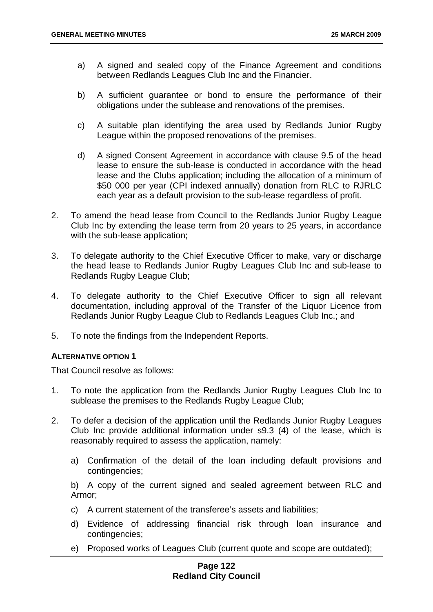- a) A signed and sealed copy of the Finance Agreement and conditions between Redlands Leagues Club Inc and the Financier.
- b) A sufficient guarantee or bond to ensure the performance of their obligations under the sublease and renovations of the premises.
- c) A suitable plan identifying the area used by Redlands Junior Rugby League within the proposed renovations of the premises.
- d) A signed Consent Agreement in accordance with clause 9.5 of the head lease to ensure the sub-lease is conducted in accordance with the head lease and the Clubs application; including the allocation of a minimum of \$50 000 per year (CPI indexed annually) donation from RLC to RJRLC each year as a default provision to the sub-lease regardless of profit.
- 2. To amend the head lease from Council to the Redlands Junior Rugby League Club Inc by extending the lease term from 20 years to 25 years, in accordance with the sub-lease application;
- 3. To delegate authority to the Chief Executive Officer to make, vary or discharge the head lease to Redlands Junior Rugby Leagues Club Inc and sub-lease to Redlands Rugby League Club;
- 4. To delegate authority to the Chief Executive Officer to sign all relevant documentation, including approval of the Transfer of the Liquor Licence from Redlands Junior Rugby League Club to Redlands Leagues Club Inc.; and
- 5. To note the findings from the Independent Reports.

### **ALTERNATIVE OPTION 1**

That Council resolve as follows:

- 1. To note the application from the Redlands Junior Rugby Leagues Club Inc to sublease the premises to the Redlands Rugby League Club;
- 2. To defer a decision of the application until the Redlands Junior Rugby Leagues Club Inc provide additional information under s9.3 (4) of the lease, which is reasonably required to assess the application, namely:
	- a) Confirmation of the detail of the loan including default provisions and contingencies;

b) A copy of the current signed and sealed agreement between RLC and Armor;

- c) A current statement of the transferee's assets and liabilities;
- d) Evidence of addressing financial risk through loan insurance and contingencies;
- e) Proposed works of Leagues Club (current quote and scope are outdated);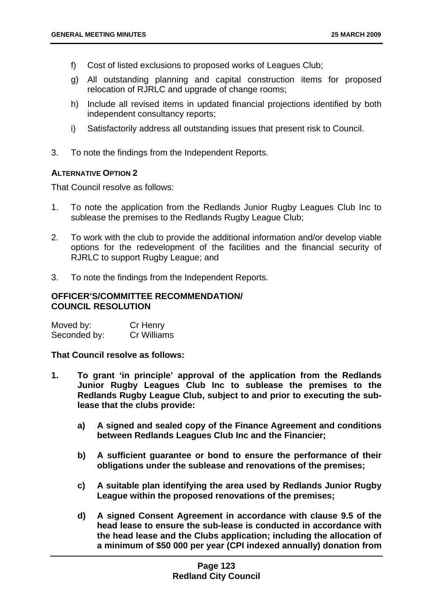- f) Cost of listed exclusions to proposed works of Leagues Club;
- g) All outstanding planning and capital construction items for proposed relocation of RJRLC and upgrade of change rooms;
- h) Include all revised items in updated financial projections identified by both independent consultancy reports;
- i) Satisfactorily address all outstanding issues that present risk to Council.
- 3. To note the findings from the Independent Reports.

### **ALTERNATIVE OPTION 2**

That Council resolve as follows:

- 1. To note the application from the Redlands Junior Rugby Leagues Club Inc to sublease the premises to the Redlands Rugby League Club;
- 2. To work with the club to provide the additional information and/or develop viable options for the redevelopment of the facilities and the financial security of RJRLC to support Rugby League; and
- 3. To note the findings from the Independent Reports.

### **OFFICER'S/COMMITTEE RECOMMENDATION/ COUNCIL RESOLUTION**

| Moved by:    | Cr Henry    |
|--------------|-------------|
| Seconded by: | Cr Williams |

**That Council resolve as follows:** 

- **1. To grant 'in principle' approval of the application from the Redlands Junior Rugby Leagues Club Inc to sublease the premises to the Redlands Rugby League Club, subject to and prior to executing the sublease that the clubs provide:** 
	- **a) A signed and sealed copy of the Finance Agreement and conditions between Redlands Leagues Club Inc and the Financier;**
	- **b) A sufficient guarantee or bond to ensure the performance of their obligations under the sublease and renovations of the premises;**
	- **c) A suitable plan identifying the area used by Redlands Junior Rugby League within the proposed renovations of the premises;**
	- **d) A signed Consent Agreement in accordance with clause 9.5 of the head lease to ensure the sub-lease is conducted in accordance with the head lease and the Clubs application; including the allocation of a minimum of \$50 000 per year (CPI indexed annually) donation from**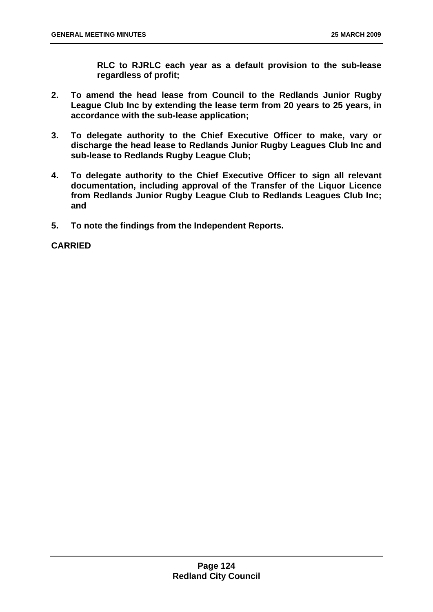**RLC to RJRLC each year as a default provision to the sub-lease regardless of profit;** 

- **2. To amend the head lease from Council to the Redlands Junior Rugby League Club Inc by extending the lease term from 20 years to 25 years, in accordance with the sub-lease application;**
- **3. To delegate authority to the Chief Executive Officer to make, vary or discharge the head lease to Redlands Junior Rugby Leagues Club Inc and sub-lease to Redlands Rugby League Club;**
- **4. To delegate authority to the Chief Executive Officer to sign all relevant documentation, including approval of the Transfer of the Liquor Licence from Redlands Junior Rugby League Club to Redlands Leagues Club Inc; and**
- **5. To note the findings from the Independent Reports.**

### **CARRIED**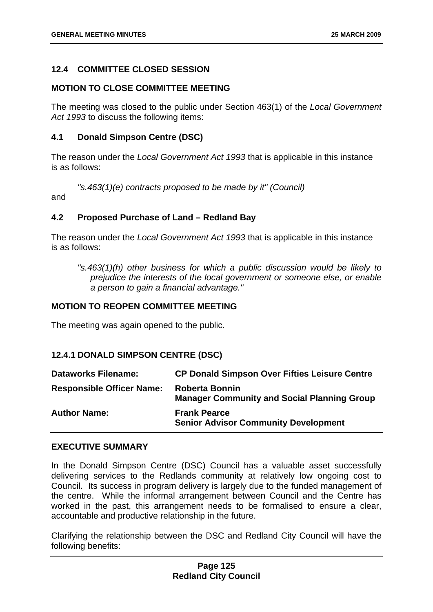### <span id="page-125-0"></span>**12.4 COMMITTEE CLOSED SESSION**

### **MOTION TO CLOSE COMMITTEE MEETING**

The meeting was closed to the public under Section 463(1) of the *Local Government Act 1993* to discuss the following items:

### **4.1 Donald Simpson Centre (DSC)**

The reason under the *Local Government Act 1993* that is applicable in this instance is as follows:

*"s.463(1)(e) contracts proposed to be made by it" (Council)* 

and

#### **4.2 Proposed Purchase of Land – Redland Bay**

The reason under the *Local Government Act 1993* that is applicable in this instance is as follows:

*"s.463(1)(h) other business for which a public discussion would be likely to prejudice the interests of the local government or someone else, or enable a person to gain a financial advantage."* 

# **MOTION TO REOPEN COMMITTEE MEETING**

The meeting was again opened to the public.

### **12.4.1 DONALD SIMPSON CENTRE (DSC)**

| <b>Dataworks Filename:</b>       | <b>CP Donald Simpson Over Fifties Leisure Centre</b>                        |
|----------------------------------|-----------------------------------------------------------------------------|
| <b>Responsible Officer Name:</b> | <b>Roberta Bonnin</b><br><b>Manager Community and Social Planning Group</b> |
| <b>Author Name:</b>              | <b>Frank Pearce</b><br><b>Senior Advisor Community Development</b>          |

#### **EXECUTIVE SUMMARY**

In the Donald Simpson Centre (DSC) Council has a valuable asset successfully delivering services to the Redlands community at relatively low ongoing cost to Council. Its success in program delivery is largely due to the funded management of the centre. While the informal arrangement between Council and the Centre has worked in the past, this arrangement needs to be formalised to ensure a clear, accountable and productive relationship in the future.

Clarifying the relationship between the DSC and Redland City Council will have the following benefits:

### **Page 125 Redland City Council**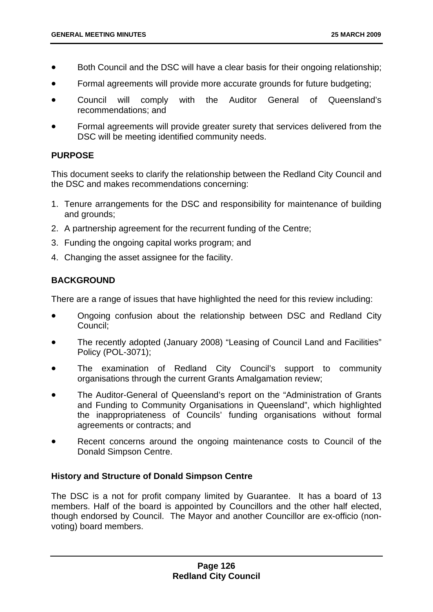- Both Council and the DSC will have a clear basis for their ongoing relationship;
- Formal agreements will provide more accurate grounds for future budgeting;
- Council will comply with the Auditor General of Queensland's recommendations; and
- Formal agreements will provide greater surety that services delivered from the DSC will be meeting identified community needs.

### **PURPOSE**

This document seeks to clarify the relationship between the Redland City Council and the DSC and makes recommendations concerning:

- 1. Tenure arrangements for the DSC and responsibility for maintenance of building and grounds;
- 2. A partnership agreement for the recurrent funding of the Centre;
- 3. Funding the ongoing capital works program; and
- 4. Changing the asset assignee for the facility.

# **BACKGROUND**

There are a range of issues that have highlighted the need for this review including:

- Ongoing confusion about the relationship between DSC and Redland City Council;
- The recently adopted (January 2008) "Leasing of Council Land and Facilities" Policy (POL-3071);
- The examination of Redland City Council's support to community organisations through the current Grants Amalgamation review;
- The Auditor-General of Queensland's report on the "Administration of Grants and Funding to Community Organisations in Queensland", which highlighted the inappropriateness of Councils' funding organisations without formal agreements or contracts; and
- Recent concerns around the ongoing maintenance costs to Council of the Donald Simpson Centre.

### **History and Structure of Donald Simpson Centre**

The DSC is a not for profit company limited by Guarantee. It has a board of 13 members. Half of the board is appointed by Councillors and the other half elected, though endorsed by Council. The Mayor and another Councillor are ex-officio (nonvoting) board members.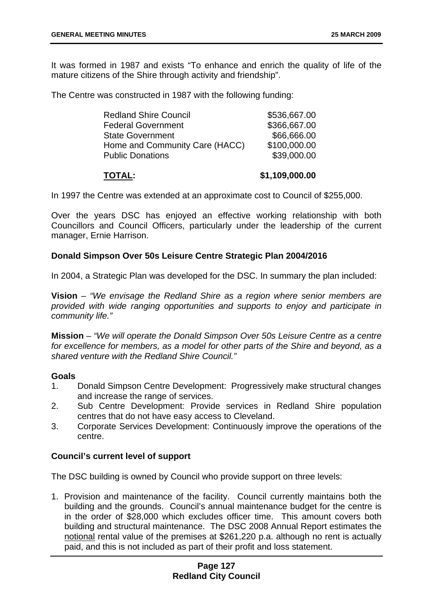It was formed in 1987 and exists "To enhance and enrich the quality of life of the mature citizens of the Shire through activity and friendship".

The Centre was constructed in 1987 with the following funding:

| <b>Redland Shire Council</b>   | \$536,667.00 |
|--------------------------------|--------------|
| <b>Federal Government</b>      | \$366,667.00 |
| <b>State Government</b>        | \$66,666.00  |
| Home and Community Care (HACC) | \$100,000.00 |
| <b>Public Donations</b>        | \$39,000.00  |
|                                |              |

# **TOTAL: \$1,109,000.00**

In 1997 the Centre was extended at an approximate cost to Council of \$255,000.

Over the years DSC has enjoyed an effective working relationship with both Councillors and Council Officers, particularly under the leadership of the current manager, Ernie Harrison.

### **Donald Simpson Over 50s Leisure Centre Strategic Plan 2004/2016**

In 2004, a Strategic Plan was developed for the DSC. In summary the plan included:

**Vision** – *"We envisage the Redland Shire as a region where senior members are provided with wide ranging opportunities and supports to enjoy and participate in community life."* 

**Mission** – *"We will operate the Donald Simpson Over 50s Leisure Centre as a centre*  for excellence for members, as a model for other parts of the Shire and beyond, as a *shared venture with the Redland Shire Council."*

### **Goals**

- 1. Donald Simpson Centre Development: Progressively make structural changes and increase the range of services.
- 2. Sub Centre Development: Provide services in Redland Shire population centres that do not have easy access to Cleveland.
- 3. Corporate Services Development: Continuously improve the operations of the centre.

### **Council's current level of support**

The DSC building is owned by Council who provide support on three levels:

1. Provision and maintenance of the facility. Council currently maintains both the building and the grounds. Council's annual maintenance budget for the centre is in the order of \$28,000 which excludes officer time. This amount covers both building and structural maintenance. The DSC 2008 Annual Report estimates the notional rental value of the premises at \$261,220 p.a. although no rent is actually paid, and this is not included as part of their profit and loss statement.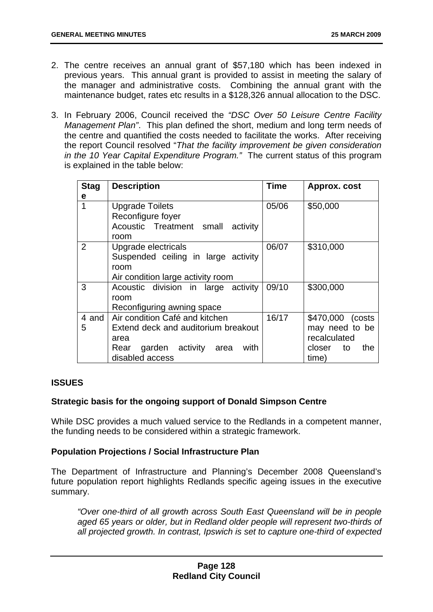- 2. The centre receives an annual grant of \$57,180 which has been indexed in previous years. This annual grant is provided to assist in meeting the salary of the manager and administrative costs. Combining the annual grant with the maintenance budget, rates etc results in a \$128,326 annual allocation to the DSC.
- 3. In February 2006, Council received the *"DSC Over 50 Leisure Centre Facility Management Plan"*. This plan defined the short, medium and long term needs of the centre and quantified the costs needed to facilitate the works. After receiving the report Council resolved "*That the facility improvement be given consideration in the 10 Year Capital Expenditure Program."* The current status of this program is explained in the table below:

| <b>Stag</b> | <b>Description</b>                      | <b>Time</b> | Approx. cost        |
|-------------|-----------------------------------------|-------------|---------------------|
| е           |                                         |             |                     |
|             | <b>Upgrade Toilets</b>                  | 05/06       | \$50,000            |
|             | Reconfigure foyer                       |             |                     |
|             | Acoustic Treatment small activity       |             |                     |
|             | room                                    |             |                     |
| 2           | Upgrade electricals                     | 06/07       | \$310,000           |
|             | Suspended ceiling in large activity     |             |                     |
|             | room                                    |             |                     |
|             | Air condition large activity room       |             |                     |
| 3           | Acoustic division in large activity     | 09/10       | \$300,000           |
|             | room                                    |             |                     |
|             | Reconfiguring awning space              |             |                     |
| 4 and       | Air condition Café and kitchen          | 16/17       | \$470,000<br>(costs |
| 5           | Extend deck and auditorium breakout     |             | may need to be      |
|             | area                                    |             | recalculated        |
|             | garden activity<br>with<br>Rear<br>area |             | the<br>closer<br>to |
|             | disabled access                         |             | time)               |

### **ISSUES**

## **Strategic basis for the ongoing support of Donald Simpson Centre**

While DSC provides a much valued service to the Redlands in a competent manner, the funding needs to be considered within a strategic framework.

### **Population Projections / Social Infrastructure Plan**

The Department of Infrastructure and Planning's December 2008 Queensland's future population report highlights Redlands specific ageing issues in the executive summary.

*"Over one-third of all growth across South East Queensland will be in people aged 65 years or older, but in Redland older people will represent two-thirds of all projected growth. In contrast, Ipswich is set to capture one-third of expected*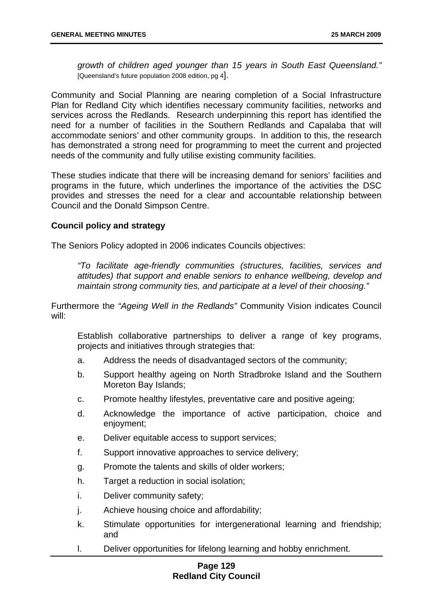*growth of children aged younger than 15 years in South East Queensland."*  [Queensland's future population 2008 edition, pg 4].

Community and Social Planning are nearing completion of a Social Infrastructure Plan for Redland City which identifies necessary community facilities, networks and services across the Redlands. Research underpinning this report has identified the need for a number of facilities in the Southern Redlands and Capalaba that will accommodate seniors' and other community groups. In addition to this, the research has demonstrated a strong need for programming to meet the current and projected needs of the community and fully utilise existing community facilities.

These studies indicate that there will be increasing demand for seniors' facilities and programs in the future, which underlines the importance of the activities the DSC provides and stresses the need for a clear and accountable relationship between Council and the Donald Simpson Centre.

### **Council policy and strategy**

The Seniors Policy adopted in 2006 indicates Councils objectives:

*"To facilitate age-friendly communities (structures, facilities, services and attitudes) that support and enable seniors to enhance wellbeing, develop and maintain strong community ties, and participate at a level of their choosing."* 

Furthermore the *"Ageing Well in the Redlands"* Community Vision indicates Council will:

Establish collaborative partnerships to deliver a range of key programs, projects and initiatives through strategies that:

- a. Address the needs of disadvantaged sectors of the community;
- b. Support healthy ageing on North Stradbroke Island and the Southern Moreton Bay Islands;
- c. Promote healthy lifestyles, preventative care and positive ageing;
- d. Acknowledge the importance of active participation, choice and enjoyment;
- e. Deliver equitable access to support services;
- f. Support innovative approaches to service delivery;
- g. Promote the talents and skills of older workers;
- h. Target a reduction in social isolation:
- i. Deliver community safety;
- j. Achieve housing choice and affordability;
- k. Stimulate opportunities for intergenerational learning and friendship; and
- l. Deliver opportunities for lifelong learning and hobby enrichment.

### **Page 129 Redland City Council**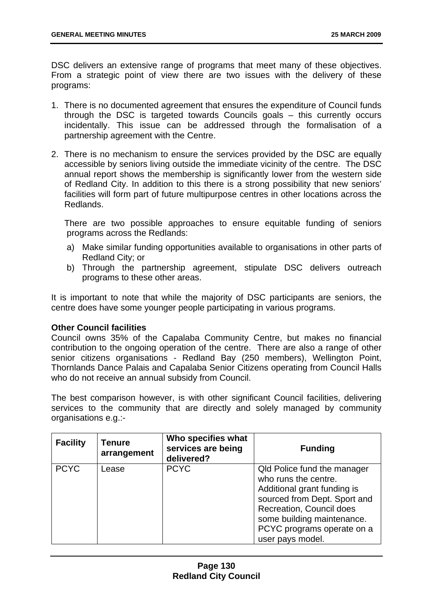DSC delivers an extensive range of programs that meet many of these objectives. From a strategic point of view there are two issues with the delivery of these programs:

- 1. There is no documented agreement that ensures the expenditure of Council funds through the DSC is targeted towards Councils goals – this currently occurs incidentally. This issue can be addressed through the formalisation of a partnership agreement with the Centre.
- 2. There is no mechanism to ensure the services provided by the DSC are equally accessible by seniors living outside the immediate vicinity of the centre. The DSC annual report shows the membership is significantly lower from the western side of Redland City. In addition to this there is a strong possibility that new seniors' facilities will form part of future multipurpose centres in other locations across the Redlands.

There are two possible approaches to ensure equitable funding of seniors programs across the Redlands:

- a) Make similar funding opportunities available to organisations in other parts of Redland City; or
- b) Through the partnership agreement, stipulate DSC delivers outreach programs to these other areas.

It is important to note that while the majority of DSC participants are seniors, the centre does have some younger people participating in various programs.

### **Other Council facilities**

Council owns 35% of the Capalaba Community Centre, but makes no financial contribution to the ongoing operation of the centre. There are also a range of other senior citizens organisations - Redland Bay (250 members), Wellington Point, Thornlands Dance Palais and Capalaba Senior Citizens operating from Council Halls who do not receive an annual subsidy from Council.

The best comparison however, is with other significant Council facilities, delivering services to the community that are directly and solely managed by community organisations e.g.:-

| <b>Facility</b> | Tenure<br>arrangement | Who specifies what<br>services are being<br>delivered? | <b>Funding</b>                                                                                                                                                                                                                 |
|-----------------|-----------------------|--------------------------------------------------------|--------------------------------------------------------------------------------------------------------------------------------------------------------------------------------------------------------------------------------|
| <b>PCYC</b>     | Lease                 | <b>PCYC</b>                                            | Qld Police fund the manager<br>who runs the centre.<br>Additional grant funding is<br>sourced from Dept. Sport and<br>Recreation, Council does<br>some building maintenance.<br>PCYC programs operate on a<br>user pays model. |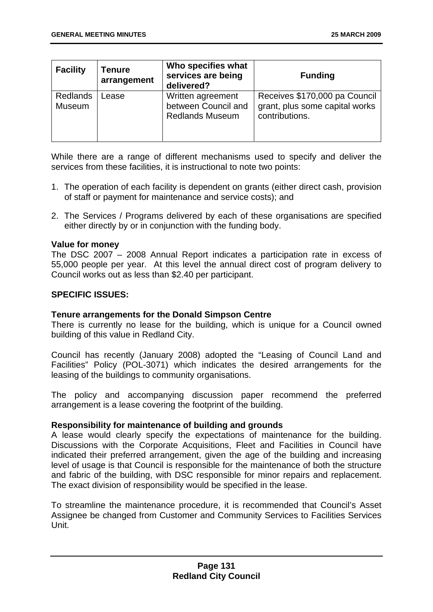| <b>Facility</b>           | <b>Tenure</b><br>arrangement | Who specifies what<br>services are being<br>delivered?             | <b>Funding</b>                                                                    |
|---------------------------|------------------------------|--------------------------------------------------------------------|-----------------------------------------------------------------------------------|
| <b>Redlands</b><br>Museum | Lease                        | Written agreement<br>between Council and<br><b>Redlands Museum</b> | Receives \$170,000 pa Council<br>grant, plus some capital works<br>contributions. |

While there are a range of different mechanisms used to specify and deliver the services from these facilities, it is instructional to note two points:

- 1. The operation of each facility is dependent on grants (either direct cash, provision of staff or payment for maintenance and service costs); and
- 2. The Services / Programs delivered by each of these organisations are specified either directly by or in conjunction with the funding body.

### **Value for money**

The DSC 2007 – 2008 Annual Report indicates a participation rate in excess of 55,000 people per year. At this level the annual direct cost of program delivery to Council works out as less than \$2.40 per participant.

### **SPECIFIC ISSUES:**

### **Tenure arrangements for the Donald Simpson Centre**

There is currently no lease for the building, which is unique for a Council owned building of this value in Redland City.

Council has recently (January 2008) adopted the "Leasing of Council Land and Facilities" Policy (POL-3071) which indicates the desired arrangements for the leasing of the buildings to community organisations.

The policy and accompanying discussion paper recommend the preferred arrangement is a lease covering the footprint of the building.

### **Responsibility for maintenance of building and grounds**

A lease would clearly specify the expectations of maintenance for the building. Discussions with the Corporate Acquisitions, Fleet and Facilities in Council have indicated their preferred arrangement, given the age of the building and increasing level of usage is that Council is responsible for the maintenance of both the structure and fabric of the building, with DSC responsible for minor repairs and replacement. The exact division of responsibility would be specified in the lease.

To streamline the maintenance procedure, it is recommended that Council's Asset Assignee be changed from Customer and Community Services to Facilities Services Unit.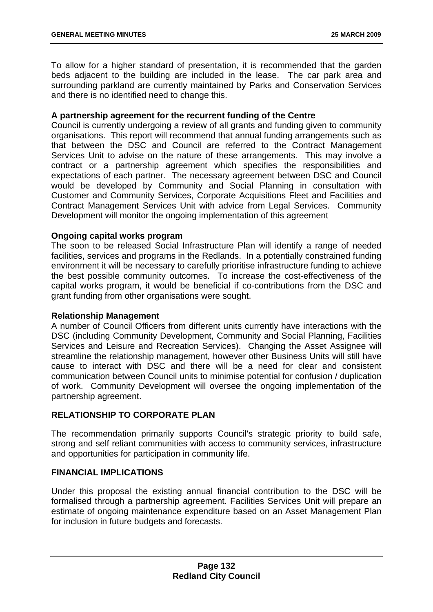To allow for a higher standard of presentation, it is recommended that the garden beds adjacent to the building are included in the lease. The car park area and surrounding parkland are currently maintained by Parks and Conservation Services and there is no identified need to change this.

### **A partnership agreement for the recurrent funding of the Centre**

Council is currently undergoing a review of all grants and funding given to community organisations. This report will recommend that annual funding arrangements such as that between the DSC and Council are referred to the Contract Management Services Unit to advise on the nature of these arrangements. This may involve a contract or a partnership agreement which specifies the responsibilities and expectations of each partner. The necessary agreement between DSC and Council would be developed by Community and Social Planning in consultation with Customer and Community Services, Corporate Acquisitions Fleet and Facilities and Contract Management Services Unit with advice from Legal Services. Community Development will monitor the ongoing implementation of this agreement

### **Ongoing capital works program**

The soon to be released Social Infrastructure Plan will identify a range of needed facilities, services and programs in the Redlands. In a potentially constrained funding environment it will be necessary to carefully prioritise infrastructure funding to achieve the best possible community outcomes. To increase the cost-effectiveness of the capital works program, it would be beneficial if co-contributions from the DSC and grant funding from other organisations were sought.

### **Relationship Management**

A number of Council Officers from different units currently have interactions with the DSC (including Community Development, Community and Social Planning, Facilities Services and Leisure and Recreation Services). Changing the Asset Assignee will streamline the relationship management, however other Business Units will still have cause to interact with DSC and there will be a need for clear and consistent communication between Council units to minimise potential for confusion / duplication of work. Community Development will oversee the ongoing implementation of the partnership agreement.

### **RELATIONSHIP TO CORPORATE PLAN**

The recommendation primarily supports Council's strategic priority to build safe, strong and self reliant communities with access to community services, infrastructure and opportunities for participation in community life.

### **FINANCIAL IMPLICATIONS**

Under this proposal the existing annual financial contribution to the DSC will be formalised through a partnership agreement. Facilities Services Unit will prepare an estimate of ongoing maintenance expenditure based on an Asset Management Plan for inclusion in future budgets and forecasts.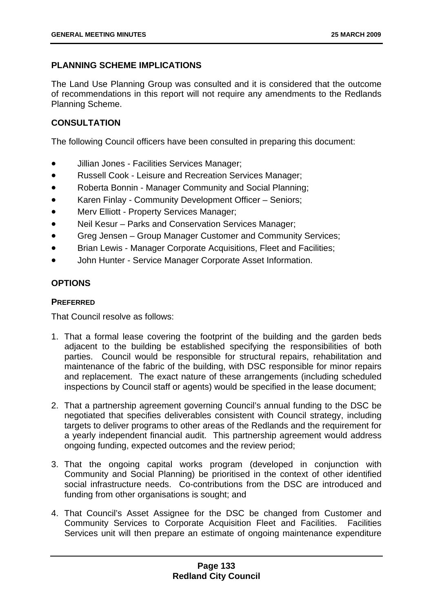# **PLANNING SCHEME IMPLICATIONS**

The Land Use Planning Group was consulted and it is considered that the outcome of recommendations in this report will not require any amendments to the Redlands Planning Scheme.

# **CONSULTATION**

The following Council officers have been consulted in preparing this document:

- Jillian Jones Facilities Services Manager;
- Russell Cook Leisure and Recreation Services Manager;
- Roberta Bonnin Manager Community and Social Planning;
- Karen Finlay Community Development Officer Seniors;
- Mery Elliott Property Services Manager:
- Neil Kesur Parks and Conservation Services Manager;
- Greg Jensen Group Manager Customer and Community Services;
- Brian Lewis Manager Corporate Acquisitions, Fleet and Facilities;
- John Hunter Service Manager Corporate Asset Information.

# **OPTIONS**

# **PREFERRED**

That Council resolve as follows:

- 1. That a formal lease covering the footprint of the building and the garden beds adjacent to the building be established specifying the responsibilities of both parties. Council would be responsible for structural repairs, rehabilitation and maintenance of the fabric of the building, with DSC responsible for minor repairs and replacement. The exact nature of these arrangements (including scheduled inspections by Council staff or agents) would be specified in the lease document;
- 2. That a partnership agreement governing Council's annual funding to the DSC be negotiated that specifies deliverables consistent with Council strategy, including targets to deliver programs to other areas of the Redlands and the requirement for a yearly independent financial audit. This partnership agreement would address ongoing funding, expected outcomes and the review period;
- 3. That the ongoing capital works program (developed in conjunction with Community and Social Planning) be prioritised in the context of other identified social infrastructure needs. Co-contributions from the DSC are introduced and funding from other organisations is sought; and
- 4. That Council's Asset Assignee for the DSC be changed from Customer and Community Services to Corporate Acquisition Fleet and Facilities. Facilities Services unit will then prepare an estimate of ongoing maintenance expenditure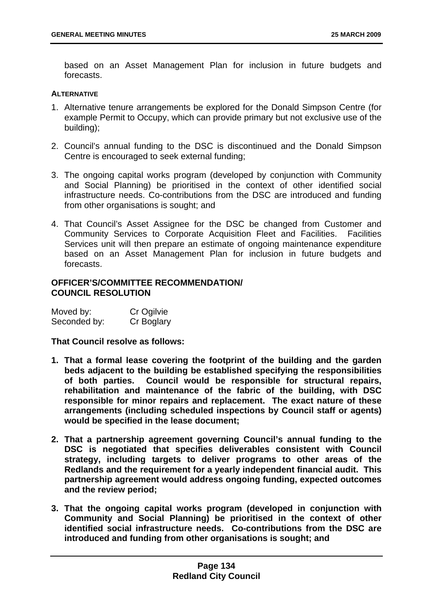based on an Asset Management Plan for inclusion in future budgets and forecasts.

#### **ALTERNATIVE**

- 1. Alternative tenure arrangements be explored for the Donald Simpson Centre (for example Permit to Occupy, which can provide primary but not exclusive use of the building);
- 2. Council's annual funding to the DSC is discontinued and the Donald Simpson Centre is encouraged to seek external funding;
- 3. The ongoing capital works program (developed by conjunction with Community and Social Planning) be prioritised in the context of other identified social infrastructure needs. Co-contributions from the DSC are introduced and funding from other organisations is sought; and
- 4. That Council's Asset Assignee for the DSC be changed from Customer and Community Services to Corporate Acquisition Fleet and Facilities. Facilities Services unit will then prepare an estimate of ongoing maintenance expenditure based on an Asset Management Plan for inclusion in future budgets and forecasts.

### **OFFICER'S/COMMITTEE RECOMMENDATION/ COUNCIL RESOLUTION**

| Moved by:    | Cr Ogilvie |
|--------------|------------|
| Seconded by: | Cr Boglary |

**That Council resolve as follows:** 

- **1. That a formal lease covering the footprint of the building and the garden beds adjacent to the building be established specifying the responsibilities of both parties. Council would be responsible for structural repairs, rehabilitation and maintenance of the fabric of the building, with DSC responsible for minor repairs and replacement. The exact nature of these arrangements (including scheduled inspections by Council staff or agents) would be specified in the lease document;**
- **2. That a partnership agreement governing Council's annual funding to the DSC is negotiated that specifies deliverables consistent with Council strategy, including targets to deliver programs to other areas of the Redlands and the requirement for a yearly independent financial audit. This partnership agreement would address ongoing funding, expected outcomes and the review period;**
- **3. That the ongoing capital works program (developed in conjunction with Community and Social Planning) be prioritised in the context of other identified social infrastructure needs. Co-contributions from the DSC are introduced and funding from other organisations is sought; and**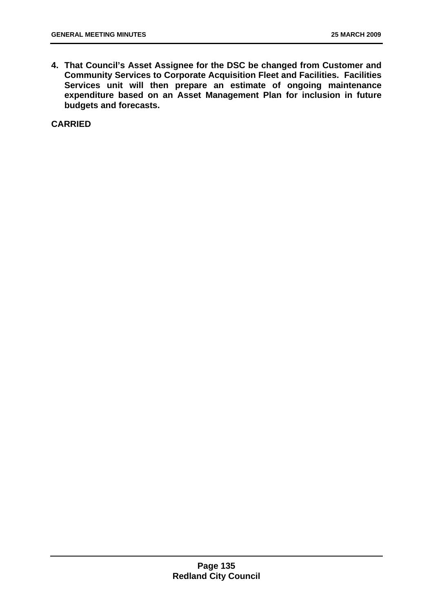**4. That Council's Asset Assignee for the DSC be changed from Customer and Community Services to Corporate Acquisition Fleet and Facilities. Facilities Services unit will then prepare an estimate of ongoing maintenance expenditure based on an Asset Management Plan for inclusion in future budgets and forecasts.** 

**CARRIED**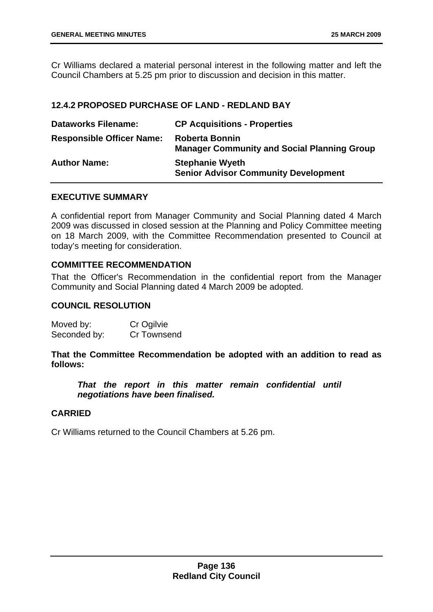<span id="page-136-0"></span>Cr Williams declared a material personal interest in the following matter and left the Council Chambers at 5.25 pm prior to discussion and decision in this matter.

## **12.4.2 PROPOSED PURCHASE OF LAND - REDLAND BAY**

| <b>Dataworks Filename:</b>       | <b>CP Acquisitions - Properties</b>                                         |
|----------------------------------|-----------------------------------------------------------------------------|
| <b>Responsible Officer Name:</b> | <b>Roberta Bonnin</b><br><b>Manager Community and Social Planning Group</b> |
| <b>Author Name:</b>              | <b>Stephanie Wyeth</b><br><b>Senior Advisor Community Development</b>       |

### **EXECUTIVE SUMMARY**

A confidential report from Manager Community and Social Planning dated 4 March 2009 was discussed in closed session at the Planning and Policy Committee meeting on 18 March 2009, with the Committee Recommendation presented to Council at today's meeting for consideration.

### **COMMITTEE RECOMMENDATION**

That the Officer's Recommendation in the confidential report from the Manager Community and Social Planning dated 4 March 2009 be adopted.

### **COUNCIL RESOLUTION**

| Moved by:    | Cr Ogilvie  |
|--------------|-------------|
| Seconded by: | Cr Townsend |

### **That the Committee Recommendation be adopted with an addition to read as follows:**

*That the report in this matter remain confidential until negotiations have been finalised.* 

### **CARRIED**

Cr Williams returned to the Council Chambers at 5.26 pm.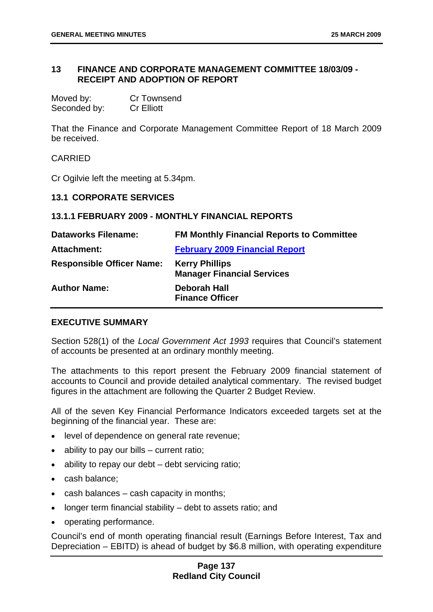### <span id="page-137-0"></span>**13 FINANCE AND CORPORATE MANAGEMENT COMMITTEE 18/03/09 - RECEIPT AND ADOPTION OF REPORT**

| Moved by:    | <b>Cr Townsend</b> |
|--------------|--------------------|
| Seconded by: | <b>Cr Elliott</b>  |

That the Finance and Corporate Management Committee Report of 18 March 2009 be received.

CARRIED

Cr Ogilvie left the meeting at 5.34pm.

#### **13.1 CORPORATE SERVICES**

#### **13.1.1 FEBRUARY 2009 - MONTHLY FINANCIAL REPORTS**

| <b>Dataworks Filename:</b>       | <b>FM Monthly Financial Reports to Committee</b>           |
|----------------------------------|------------------------------------------------------------|
| Attachment:                      | <b>February 2009 Financial Report</b>                      |
| <b>Responsible Officer Name:</b> | <b>Kerry Phillips</b><br><b>Manager Financial Services</b> |
| <b>Author Name:</b>              | <b>Deborah Hall</b><br><b>Finance Officer</b>              |

#### **EXECUTIVE SUMMARY**

Section 528(1) of the *Local Government Act 1993* requires that Council's statement of accounts be presented at an ordinary monthly meeting.

The attachments to this report present the February 2009 financial statement of accounts to Council and provide detailed analytical commentary. The revised budget figures in the attachment are following the Quarter 2 Budget Review.

All of the seven Key Financial Performance Indicators exceeded targets set at the beginning of the financial year. These are:

- level of dependence on general rate revenue;
- ability to pay our bills current ratio;
- ability to repay our debt debt servicing ratio;
- cash balance;
- cash balances cash capacity in months;
- longer term financial stability debt to assets ratio; and
- operating performance.

Council's end of month operating financial result (Earnings Before Interest, Tax and Depreciation – EBITD) is ahead of budget by \$6.8 million, with operating expenditure

### **Page 137 Redland City Council**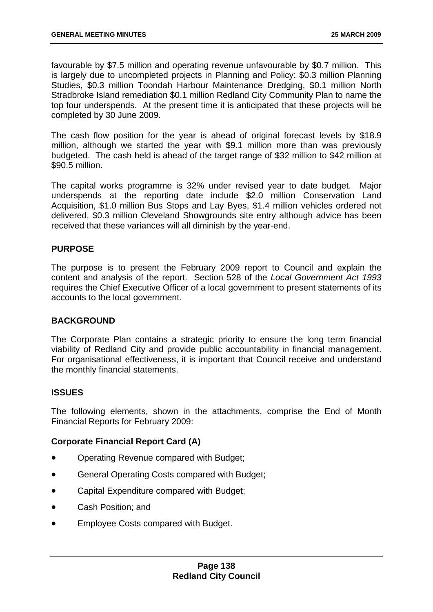favourable by \$7.5 million and operating revenue unfavourable by \$0.7 million. This is largely due to uncompleted projects in Planning and Policy: \$0.3 million Planning Studies, \$0.3 million Toondah Harbour Maintenance Dredging, \$0.1 million North Stradbroke Island remediation \$0.1 million Redland City Community Plan to name the top four underspends. At the present time it is anticipated that these projects will be completed by 30 June 2009.

The cash flow position for the year is ahead of original forecast levels by \$18.9 million, although we started the year with \$9.1 million more than was previously budgeted. The cash held is ahead of the target range of \$32 million to \$42 million at \$90.5 million.

The capital works programme is 32% under revised year to date budget. Major underspends at the reporting date include \$2.0 million Conservation Land Acquisition, \$1.0 million Bus Stops and Lay Byes, \$1.4 million vehicles ordered not delivered, \$0.3 million Cleveland Showgrounds site entry although advice has been received that these variances will all diminish by the year-end.

### **PURPOSE**

The purpose is to present the February 2009 report to Council and explain the content and analysis of the report. Section 528 of the *Local Government Act 1993* requires the Chief Executive Officer of a local government to present statements of its accounts to the local government.

### **BACKGROUND**

The Corporate Plan contains a strategic priority to ensure the long term financial viability of Redland City and provide public accountability in financial management. For organisational effectiveness, it is important that Council receive and understand the monthly financial statements.

### **ISSUES**

The following elements, shown in the attachments, comprise the End of Month Financial Reports for February 2009:

### **Corporate Financial Report Card (A)**

- Operating Revenue compared with Budget;
- General Operating Costs compared with Budget;
- Capital Expenditure compared with Budget;
- Cash Position; and
- Employee Costs compared with Budget.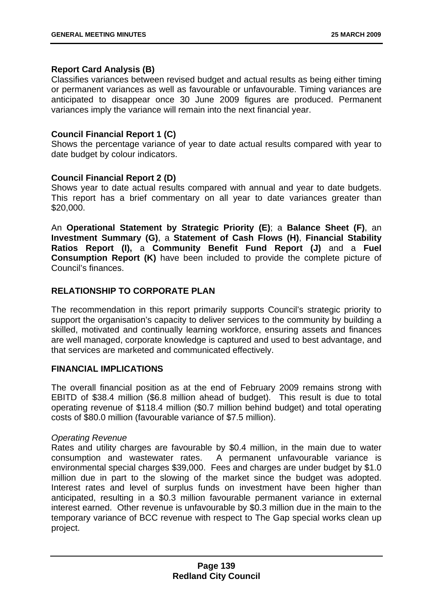#### **Report Card Analysis (B)**

Classifies variances between revised budget and actual results as being either timing or permanent variances as well as favourable or unfavourable. Timing variances are anticipated to disappear once 30 June 2009 figures are produced. Permanent variances imply the variance will remain into the next financial year.

### **Council Financial Report 1 (C)**

Shows the percentage variance of year to date actual results compared with year to date budget by colour indicators.

### **Council Financial Report 2 (D)**

Shows year to date actual results compared with annual and year to date budgets. This report has a brief commentary on all year to date variances greater than \$20,000.

An **Operational Statement by Strategic Priority (E)**; a **Balance Sheet (F)**, an **Investment Summary (G)**, a **Statement of Cash Flows (H)**, **Financial Stability Ratios Report (I),** a **Community Benefit Fund Report (J)** and a **Fuel Consumption Report (K)** have been included to provide the complete picture of Council's finances.

### **RELATIONSHIP TO CORPORATE PLAN**

The recommendation in this report primarily supports Council's strategic priority to support the organisation's capacity to deliver services to the community by building a skilled, motivated and continually learning workforce, ensuring assets and finances are well managed, corporate knowledge is captured and used to best advantage, and that services are marketed and communicated effectively.

### **FINANCIAL IMPLICATIONS**

The overall financial position as at the end of February 2009 remains strong with EBITD of \$38.4 million (\$6.8 million ahead of budget). This result is due to total operating revenue of \$118.4 million (\$0.7 million behind budget) and total operating costs of \$80.0 million (favourable variance of \$7.5 million).

#### *Operating Revenue*

Rates and utility charges are favourable by \$0.4 million, in the main due to water consumption and wastewater rates. A permanent unfavourable variance is environmental special charges \$39,000. Fees and charges are under budget by \$1.0 million due in part to the slowing of the market since the budget was adopted. Interest rates and level of surplus funds on investment have been higher than anticipated, resulting in a \$0.3 million favourable permanent variance in external interest earned. Other revenue is unfavourable by \$0.3 million due in the main to the temporary variance of BCC revenue with respect to The Gap special works clean up project.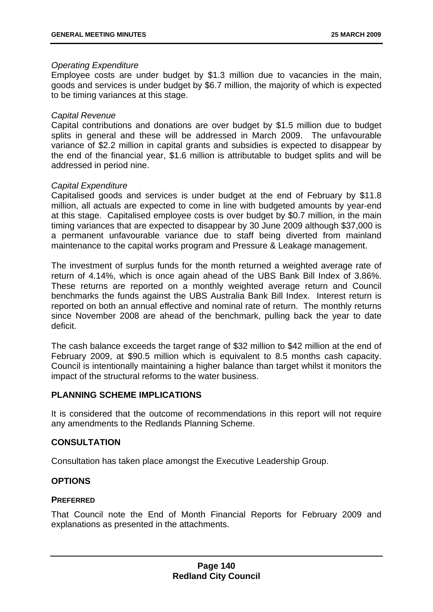#### *Operating Expenditure*

Employee costs are under budget by \$1.3 million due to vacancies in the main, goods and services is under budget by \$6.7 million, the majority of which is expected to be timing variances at this stage.

### *Capital Revenue*

Capital contributions and donations are over budget by \$1.5 million due to budget splits in general and these will be addressed in March 2009. The unfavourable variance of \$2.2 million in capital grants and subsidies is expected to disappear by the end of the financial year, \$1.6 million is attributable to budget splits and will be addressed in period nine.

#### *Capital Expenditure*

Capitalised goods and services is under budget at the end of February by \$11.8 million, all actuals are expected to come in line with budgeted amounts by year-end at this stage. Capitalised employee costs is over budget by \$0.7 million, in the main timing variances that are expected to disappear by 30 June 2009 although \$37,000 is a permanent unfavourable variance due to staff being diverted from mainland maintenance to the capital works program and Pressure & Leakage management.

The investment of surplus funds for the month returned a weighted average rate of return of 4.14%, which is once again ahead of the UBS Bank Bill Index of 3.86%. These returns are reported on a monthly weighted average return and Council benchmarks the funds against the UBS Australia Bank Bill Index. Interest return is reported on both an annual effective and nominal rate of return. The monthly returns since November 2008 are ahead of the benchmark, pulling back the year to date deficit.

The cash balance exceeds the target range of \$32 million to \$42 million at the end of February 2009, at \$90.5 million which is equivalent to 8.5 months cash capacity. Council is intentionally maintaining a higher balance than target whilst it monitors the impact of the structural reforms to the water business.

### **PLANNING SCHEME IMPLICATIONS**

It is considered that the outcome of recommendations in this report will not require any amendments to the Redlands Planning Scheme.

### **CONSULTATION**

Consultation has taken place amongst the Executive Leadership Group.

### **OPTIONS**

### **PREFERRED**

That Council note the End of Month Financial Reports for February 2009 and explanations as presented in the attachments.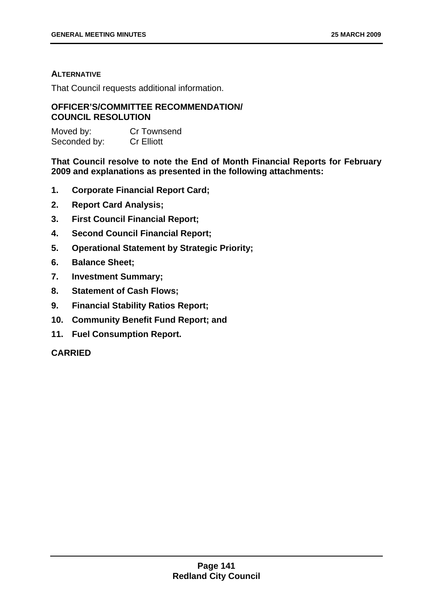### **ALTERNATIVE**

That Council requests additional information.

### **OFFICER'S/COMMITTEE RECOMMENDATION/ COUNCIL RESOLUTION**

| Moved by:    | <b>Cr Townsend</b> |
|--------------|--------------------|
| Seconded by: | <b>Cr Elliott</b>  |

**That Council resolve to note the End of Month Financial Reports for February 2009 and explanations as presented in the following attachments:** 

- **1. Corporate Financial Report Card;**
- **2. Report Card Analysis;**
- **3. First Council Financial Report;**
- **4. Second Council Financial Report;**
- **5. Operational Statement by Strategic Priority;**
- **6. Balance Sheet;**
- **7. Investment Summary;**
- **8. Statement of Cash Flows;**
- **9. Financial Stability Ratios Report;**
- **10. Community Benefit Fund Report; and**
- **11. Fuel Consumption Report.**

### **CARRIED**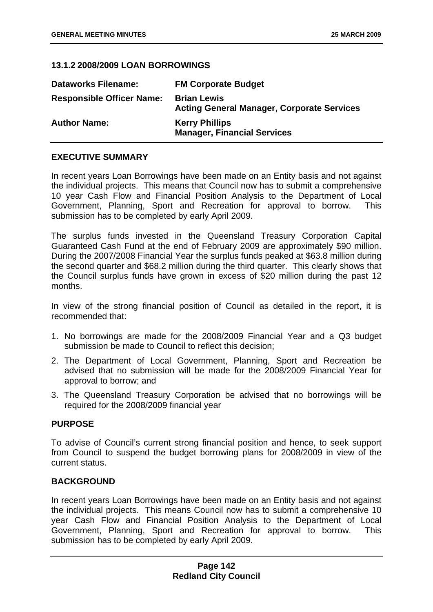### <span id="page-142-0"></span>**13.1.2 2008/2009 LOAN BORROWINGS**

| <b>Dataworks Filename:</b>       | <b>FM Corporate Budget</b>                                              |
|----------------------------------|-------------------------------------------------------------------------|
| <b>Responsible Officer Name:</b> | <b>Brian Lewis</b><br><b>Acting General Manager, Corporate Services</b> |
| <b>Author Name:</b>              | <b>Kerry Phillips</b><br><b>Manager, Financial Services</b>             |

### **EXECUTIVE SUMMARY**

In recent years Loan Borrowings have been made on an Entity basis and not against the individual projects. This means that Council now has to submit a comprehensive 10 year Cash Flow and Financial Position Analysis to the Department of Local Government, Planning, Sport and Recreation for approval to borrow. This submission has to be completed by early April 2009.

The surplus funds invested in the Queensland Treasury Corporation Capital Guaranteed Cash Fund at the end of February 2009 are approximately \$90 million. During the 2007/2008 Financial Year the surplus funds peaked at \$63.8 million during the second quarter and \$68.2 million during the third quarter. This clearly shows that the Council surplus funds have grown in excess of \$20 million during the past 12 months.

In view of the strong financial position of Council as detailed in the report, it is recommended that:

- 1. No borrowings are made for the 2008/2009 Financial Year and a Q3 budget submission be made to Council to reflect this decision;
- 2. The Department of Local Government, Planning, Sport and Recreation be advised that no submission will be made for the 2008/2009 Financial Year for approval to borrow; and
- 3. The Queensland Treasury Corporation be advised that no borrowings will be required for the 2008/2009 financial year

### **PURPOSE**

To advise of Council's current strong financial position and hence, to seek support from Council to suspend the budget borrowing plans for 2008/2009 in view of the current status.

### **BACKGROUND**

In recent years Loan Borrowings have been made on an Entity basis and not against the individual projects. This means Council now has to submit a comprehensive 10 year Cash Flow and Financial Position Analysis to the Department of Local Government, Planning, Sport and Recreation for approval to borrow. This submission has to be completed by early April 2009.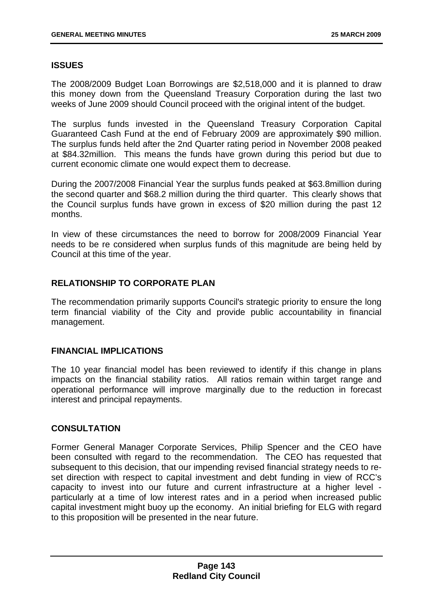### **ISSUES**

The 2008/2009 Budget Loan Borrowings are \$2,518,000 and it is planned to draw this money down from the Queensland Treasury Corporation during the last two weeks of June 2009 should Council proceed with the original intent of the budget.

The surplus funds invested in the Queensland Treasury Corporation Capital Guaranteed Cash Fund at the end of February 2009 are approximately \$90 million. The surplus funds held after the 2nd Quarter rating period in November 2008 peaked at \$84.32million. This means the funds have grown during this period but due to current economic climate one would expect them to decrease.

During the 2007/2008 Financial Year the surplus funds peaked at \$63.8million during the second quarter and \$68.2 million during the third quarter. This clearly shows that the Council surplus funds have grown in excess of \$20 million during the past 12 months.

In view of these circumstances the need to borrow for 2008/2009 Financial Year needs to be re considered when surplus funds of this magnitude are being held by Council at this time of the year.

### **RELATIONSHIP TO CORPORATE PLAN**

The recommendation primarily supports Council's strategic priority to ensure the long term financial viability of the City and provide public accountability in financial management.

### **FINANCIAL IMPLICATIONS**

The 10 year financial model has been reviewed to identify if this change in plans impacts on the financial stability ratios. All ratios remain within target range and operational performance will improve marginally due to the reduction in forecast interest and principal repayments.

## **CONSULTATION**

Former General Manager Corporate Services, Philip Spencer and the CEO have been consulted with regard to the recommendation. The CEO has requested that subsequent to this decision, that our impending revised financial strategy needs to reset direction with respect to capital investment and debt funding in view of RCC's capacity to invest into our future and current infrastructure at a higher level particularly at a time of low interest rates and in a period when increased public capital investment might buoy up the economy. An initial briefing for ELG with regard to this proposition will be presented in the near future.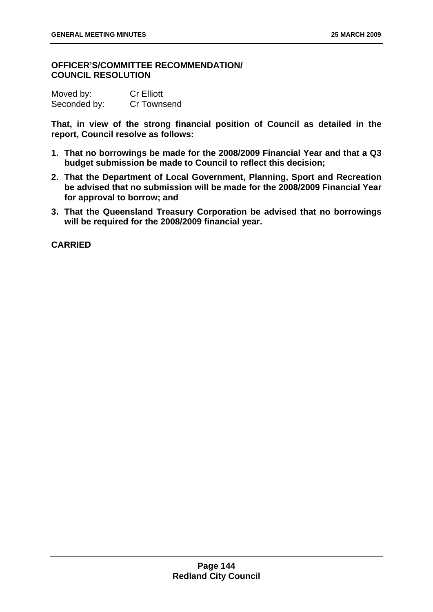## **OFFICER'S/COMMITTEE RECOMMENDATION/ COUNCIL RESOLUTION**

| Moved by:    | <b>Cr Elliott</b> |
|--------------|-------------------|
| Seconded by: | Cr Townsend       |

**That, in view of the strong financial position of Council as detailed in the report, Council resolve as follows:** 

- **1. That no borrowings be made for the 2008/2009 Financial Year and that a Q3 budget submission be made to Council to reflect this decision;**
- **2. That the Department of Local Government, Planning, Sport and Recreation be advised that no submission will be made for the 2008/2009 Financial Year for approval to borrow; and**
- **3. That the Queensland Treasury Corporation be advised that no borrowings will be required for the 2008/2009 financial year.**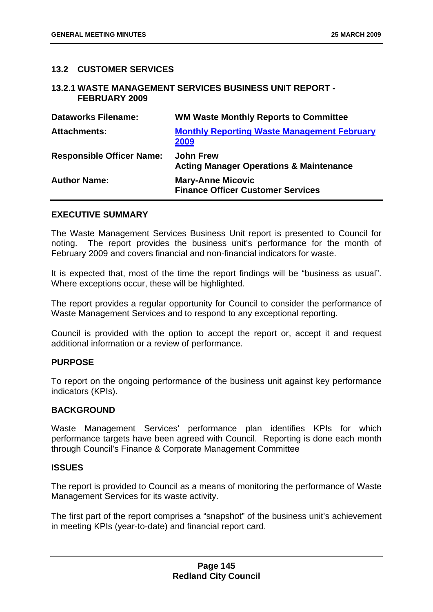## **13.2 CUSTOMER SERVICES**

#### **13.2.1 WASTE MANAGEMENT SERVICES BUSINESS UNIT REPORT - FEBRUARY 2009**

| <b>Dataworks Filename:</b>       | <b>WM Waste Monthly Reports to Committee</b>                           |
|----------------------------------|------------------------------------------------------------------------|
| <b>Attachments:</b>              | <b>Monthly Reporting Waste Management February</b><br>2009             |
| <b>Responsible Officer Name:</b> | <b>John Frew</b><br><b>Acting Manager Operations &amp; Maintenance</b> |
| <b>Author Name:</b>              | <b>Mary-Anne Micovic</b><br><b>Finance Officer Customer Services</b>   |

#### **EXECUTIVE SUMMARY**

The Waste Management Services Business Unit report is presented to Council for noting. The report provides the business unit's performance for the month of February 2009 and covers financial and non-financial indicators for waste.

It is expected that, most of the time the report findings will be "business as usual". Where exceptions occur, these will be highlighted.

The report provides a regular opportunity for Council to consider the performance of Waste Management Services and to respond to any exceptional reporting.

Council is provided with the option to accept the report or, accept it and request additional information or a review of performance.

## **PURPOSE**

To report on the ongoing performance of the business unit against key performance indicators (KPIs).

## **BACKGROUND**

Waste Management Services' performance plan identifies KPIs for which performance targets have been agreed with Council. Reporting is done each month through Council's Finance & Corporate Management Committee

#### **ISSUES**

The report is provided to Council as a means of monitoring the performance of Waste Management Services for its waste activity.

The first part of the report comprises a "snapshot" of the business unit's achievement in meeting KPIs (year-to-date) and financial report card.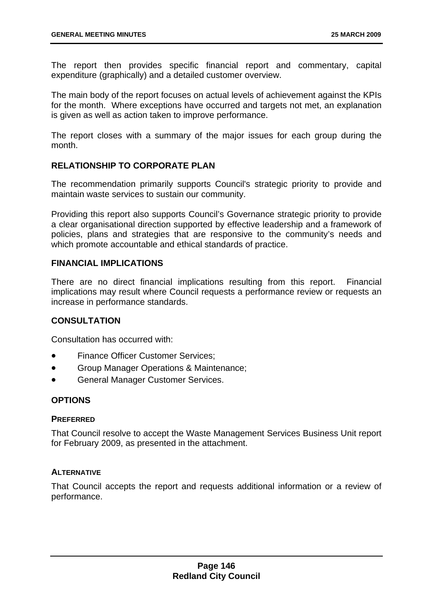The report then provides specific financial report and commentary, capital expenditure (graphically) and a detailed customer overview.

The main body of the report focuses on actual levels of achievement against the KPIs for the month. Where exceptions have occurred and targets not met, an explanation is given as well as action taken to improve performance.

The report closes with a summary of the major issues for each group during the month.

## **RELATIONSHIP TO CORPORATE PLAN**

The recommendation primarily supports Council's strategic priority to provide and maintain waste services to sustain our community.

Providing this report also supports Council's Governance strategic priority to provide a clear organisational direction supported by effective leadership and a framework of policies, plans and strategies that are responsive to the community's needs and which promote accountable and ethical standards of practice.

## **FINANCIAL IMPLICATIONS**

There are no direct financial implications resulting from this report. Financial implications may result where Council requests a performance review or requests an increase in performance standards.

## **CONSULTATION**

Consultation has occurred with:

- Finance Officer Customer Services:
- Group Manager Operations & Maintenance;
- General Manager Customer Services.

## **OPTIONS**

## **PREFERRED**

That Council resolve to accept the Waste Management Services Business Unit report for February 2009, as presented in the attachment.

## **ALTERNATIVE**

That Council accepts the report and requests additional information or a review of performance.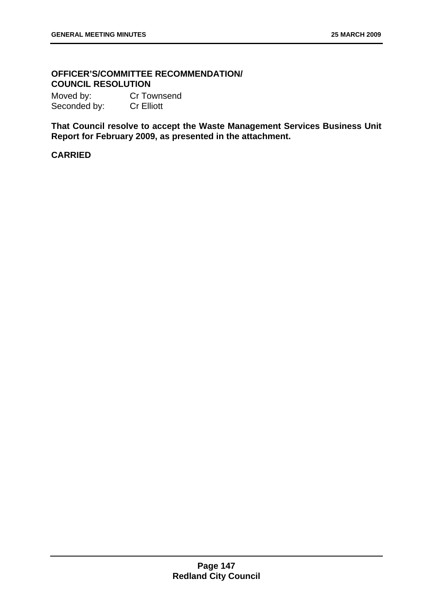# **OFFICER'S/COMMITTEE RECOMMENDATION/ COUNCIL RESOLUTION**

Moved by: Cr Townsend Seconded by: Cr Elliott

**That Council resolve to accept the Waste Management Services Business Unit Report for February 2009, as presented in the attachment.**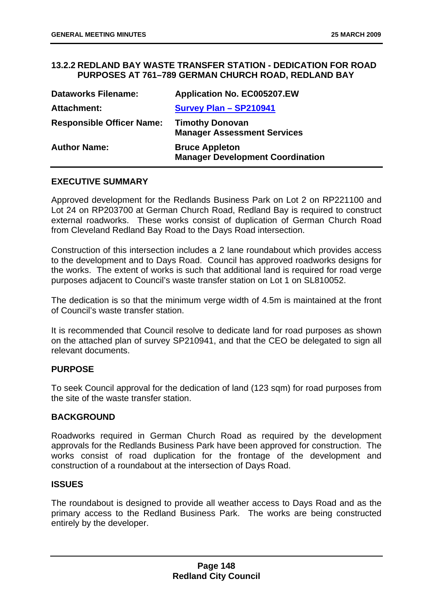## **13.2.2 REDLAND BAY WASTE TRANSFER STATION - DEDICATION FOR ROAD PURPOSES AT 761–789 GERMAN CHURCH ROAD, REDLAND BAY**

| <b>Dataworks Filename:</b>       | <b>Application No. EC005207.EW</b>                               |
|----------------------------------|------------------------------------------------------------------|
| Attachment:                      | <b>Survey Plan - SP210941</b>                                    |
| <b>Responsible Officer Name:</b> | <b>Timothy Donovan</b><br><b>Manager Assessment Services</b>     |
| <b>Author Name:</b>              | <b>Bruce Appleton</b><br><b>Manager Development Coordination</b> |

## **EXECUTIVE SUMMARY**

Approved development for the Redlands Business Park on Lot 2 on RP221100 and Lot 24 on RP203700 at German Church Road, Redland Bay is required to construct external roadworks. These works consist of duplication of German Church Road from Cleveland Redland Bay Road to the Days Road intersection.

Construction of this intersection includes a 2 lane roundabout which provides access to the development and to Days Road. Council has approved roadworks designs for the works. The extent of works is such that additional land is required for road verge purposes adjacent to Council's waste transfer station on Lot 1 on SL810052.

The dedication is so that the minimum verge width of 4.5m is maintained at the front of Council's waste transfer station.

It is recommended that Council resolve to dedicate land for road purposes as shown on the attached plan of survey SP210941, and that the CEO be delegated to sign all relevant documents.

## **PURPOSE**

To seek Council approval for the dedication of land (123 sqm) for road purposes from the site of the waste transfer station.

## **BACKGROUND**

Roadworks required in German Church Road as required by the development approvals for the Redlands Business Park have been approved for construction. The works consist of road duplication for the frontage of the development and construction of a roundabout at the intersection of Days Road.

#### **ISSUES**

The roundabout is designed to provide all weather access to Days Road and as the primary access to the Redland Business Park. The works are being constructed entirely by the developer.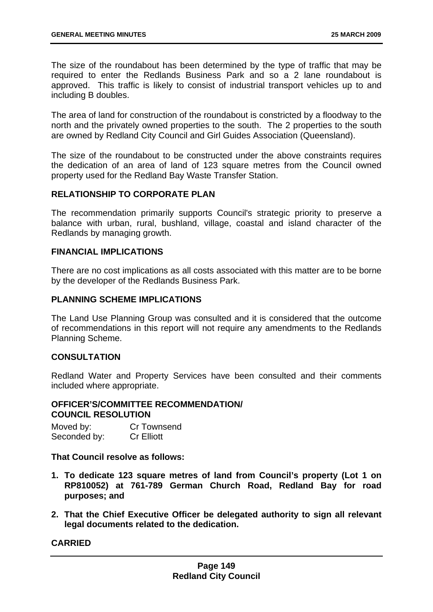The size of the roundabout has been determined by the type of traffic that may be required to enter the Redlands Business Park and so a 2 lane roundabout is approved. This traffic is likely to consist of industrial transport vehicles up to and including B doubles.

The area of land for construction of the roundabout is constricted by a floodway to the north and the privately owned properties to the south. The 2 properties to the south are owned by Redland City Council and Girl Guides Association (Queensland).

The size of the roundabout to be constructed under the above constraints requires the dedication of an area of land of 123 square metres from the Council owned property used for the Redland Bay Waste Transfer Station.

## **RELATIONSHIP TO CORPORATE PLAN**

The recommendation primarily supports Council's strategic priority to preserve a balance with urban, rural, bushland, village, coastal and island character of the Redlands by managing growth.

## **FINANCIAL IMPLICATIONS**

There are no cost implications as all costs associated with this matter are to be borne by the developer of the Redlands Business Park.

## **PLANNING SCHEME IMPLICATIONS**

The Land Use Planning Group was consulted and it is considered that the outcome of recommendations in this report will not require any amendments to the Redlands Planning Scheme.

## **CONSULTATION**

Redland Water and Property Services have been consulted and their comments included where appropriate.

## **OFFICER'S/COMMITTEE RECOMMENDATION/ COUNCIL RESOLUTION**

Moved by: Cr Townsend Seconded by: Cr Elliott

**That Council resolve as follows:** 

- **1. To dedicate 123 square metres of land from Council's property (Lot 1 on RP810052) at 761-789 German Church Road, Redland Bay for road purposes; and**
- **2. That the Chief Executive Officer be delegated authority to sign all relevant legal documents related to the dedication.**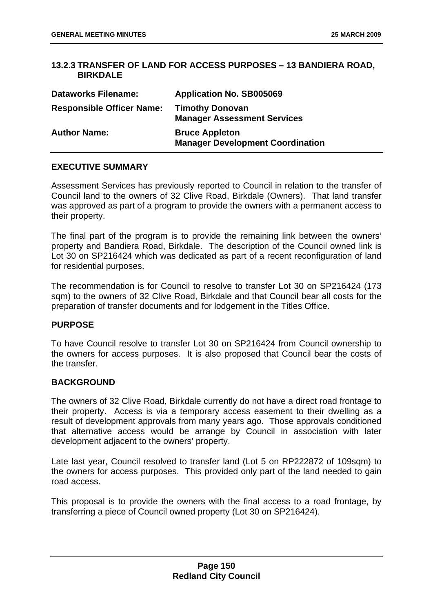## **13.2.3 TRANSFER OF LAND FOR ACCESS PURPOSES – 13 BANDIERA ROAD, BIRKDALE**

| <b>Dataworks Filename:</b>       | <b>Application No. SB005069</b>                                  |
|----------------------------------|------------------------------------------------------------------|
| <b>Responsible Officer Name:</b> | <b>Timothy Donovan</b><br><b>Manager Assessment Services</b>     |
| <b>Author Name:</b>              | <b>Bruce Appleton</b><br><b>Manager Development Coordination</b> |

## **EXECUTIVE SUMMARY**

Assessment Services has previously reported to Council in relation to the transfer of Council land to the owners of 32 Clive Road, Birkdale (Owners). That land transfer was approved as part of a program to provide the owners with a permanent access to their property.

The final part of the program is to provide the remaining link between the owners' property and Bandiera Road, Birkdale. The description of the Council owned link is Lot 30 on SP216424 which was dedicated as part of a recent reconfiguration of land for residential purposes.

The recommendation is for Council to resolve to transfer Lot 30 on SP216424 (173 sqm) to the owners of 32 Clive Road, Birkdale and that Council bear all costs for the preparation of transfer documents and for lodgement in the Titles Office.

## **PURPOSE**

To have Council resolve to transfer Lot 30 on SP216424 from Council ownership to the owners for access purposes. It is also proposed that Council bear the costs of the transfer.

## **BACKGROUND**

The owners of 32 Clive Road, Birkdale currently do not have a direct road frontage to their property. Access is via a temporary access easement to their dwelling as a result of development approvals from many years ago. Those approvals conditioned that alternative access would be arrange by Council in association with later development adjacent to the owners' property.

Late last year, Council resolved to transfer land (Lot 5 on RP222872 of 109sqm) to the owners for access purposes. This provided only part of the land needed to gain road access.

This proposal is to provide the owners with the final access to a road frontage, by transferring a piece of Council owned property (Lot 30 on SP216424).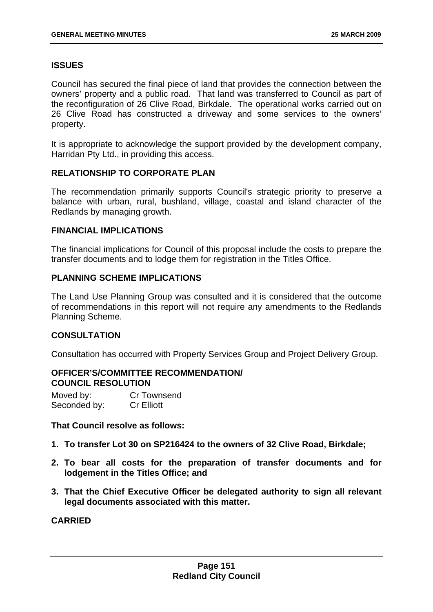# **ISSUES**

Council has secured the final piece of land that provides the connection between the owners' property and a public road. That land was transferred to Council as part of the reconfiguration of 26 Clive Road, Birkdale. The operational works carried out on 26 Clive Road has constructed a driveway and some services to the owners' property.

It is appropriate to acknowledge the support provided by the development company, Harridan Pty Ltd., in providing this access.

## **RELATIONSHIP TO CORPORATE PLAN**

The recommendation primarily supports Council's strategic priority to preserve a balance with urban, rural, bushland, village, coastal and island character of the Redlands by managing growth.

## **FINANCIAL IMPLICATIONS**

The financial implications for Council of this proposal include the costs to prepare the transfer documents and to lodge them for registration in the Titles Office.

## **PLANNING SCHEME IMPLICATIONS**

The Land Use Planning Group was consulted and it is considered that the outcome of recommendations in this report will not require any amendments to the Redlands Planning Scheme.

## **CONSULTATION**

Consultation has occurred with Property Services Group and Project Delivery Group.

## **OFFICER'S/COMMITTEE RECOMMENDATION/ COUNCIL RESOLUTION**

Moved by: Cr Townsend Seconded by: Cr Elliott

**That Council resolve as follows:** 

- **1. To transfer Lot 30 on SP216424 to the owners of 32 Clive Road, Birkdale;**
- **2. To bear all costs for the preparation of transfer documents and for lodgement in the Titles Office; and**
- **3. That the Chief Executive Officer be delegated authority to sign all relevant legal documents associated with this matter.**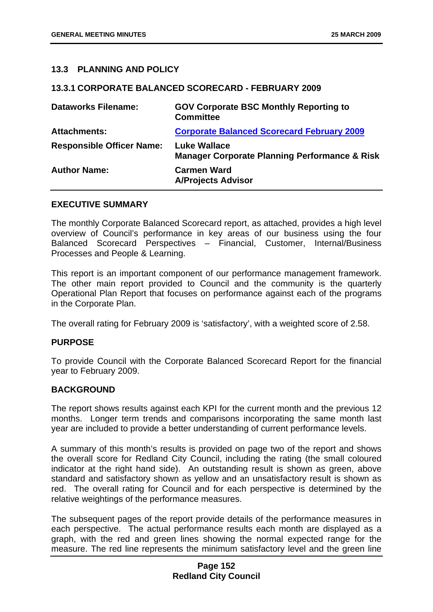## **13.3 PLANNING AND POLICY**

#### **13.3.1 CORPORATE BALANCED SCORECARD - FEBRUARY 2009**

| <b>Dataworks Filename:</b>       | <b>GOV Corporate BSC Monthly Reporting to</b><br><b>Committee</b>               |
|----------------------------------|---------------------------------------------------------------------------------|
| <b>Attachments:</b>              | <b>Corporate Balanced Scorecard February 2009</b>                               |
| <b>Responsible Officer Name:</b> | <b>Luke Wallace</b><br><b>Manager Corporate Planning Performance &amp; Risk</b> |
| <b>Author Name:</b>              | <b>Carmen Ward</b><br><b>A/Projects Advisor</b>                                 |

#### **EXECUTIVE SUMMARY**

The monthly Corporate Balanced Scorecard report, as attached, provides a high level overview of Council's performance in key areas of our business using the four Balanced Scorecard Perspectives – Financial, Customer, Internal/Business Processes and People & Learning.

This report is an important component of our performance management framework. The other main report provided to Council and the community is the quarterly Operational Plan Report that focuses on performance against each of the programs in the Corporate Plan.

The overall rating for February 2009 is 'satisfactory', with a weighted score of 2.58.

## **PURPOSE**

To provide Council with the Corporate Balanced Scorecard Report for the financial year to February 2009.

## **BACKGROUND**

The report shows results against each KPI for the current month and the previous 12 months. Longer term trends and comparisons incorporating the same month last year are included to provide a better understanding of current performance levels.

A summary of this month's results is provided on page two of the report and shows the overall score for Redland City Council, including the rating (the small coloured indicator at the right hand side). An outstanding result is shown as green, above standard and satisfactory shown as yellow and an unsatisfactory result is shown as red. The overall rating for Council and for each perspective is determined by the relative weightings of the performance measures.

The subsequent pages of the report provide details of the performance measures in each perspective. The actual performance results each month are displayed as a graph, with the red and green lines showing the normal expected range for the measure. The red line represents the minimum satisfactory level and the green line

## **Page 152 Redland City Council**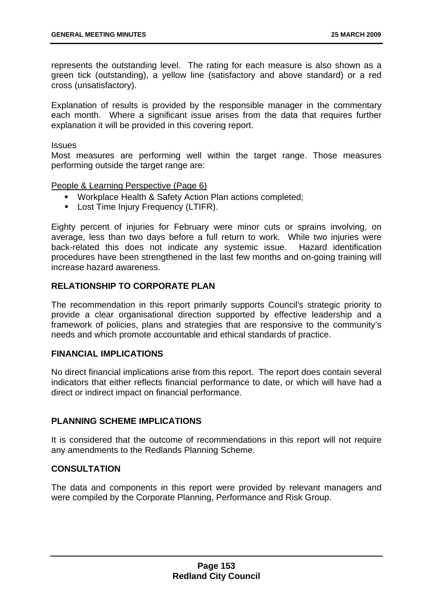represents the outstanding level. The rating for each measure is also shown as a green tick (outstanding), a yellow line (satisfactory and above standard) or a red cross (unsatisfactory).

Explanation of results is provided by the responsible manager in the commentary each month. Where a significant issue arises from the data that requires further explanation it will be provided in this covering report.

#### Issues

Most measures are performing well within the target range. Those measures performing outside the target range are:

People & Learning Perspective (Page 6)

- **Workplace Health & Safety Action Plan actions completed;**
- **Lost Time Injury Frequency (LTIFR).**

Eighty percent of injuries for February were minor cuts or sprains involving, on average, less than two days before a full return to work. While two injuries were back-related this does not indicate any systemic issue. Hazard identification procedures have been strengthened in the last few months and on-going training will increase hazard awareness.

## **RELATIONSHIP TO CORPORATE PLAN**

The recommendation in this report primarily supports Council's strategic priority to provide a clear organisational direction supported by effective leadership and a framework of policies, plans and strategies that are responsive to the community's needs and which promote accountable and ethical standards of practice.

## **FINANCIAL IMPLICATIONS**

No direct financial implications arise from this report. The report does contain several indicators that either reflects financial performance to date, or which will have had a direct or indirect impact on financial performance.

## **PLANNING SCHEME IMPLICATIONS**

It is considered that the outcome of recommendations in this report will not require any amendments to the Redlands Planning Scheme.

## **CONSULTATION**

The data and components in this report were provided by relevant managers and were compiled by the Corporate Planning, Performance and Risk Group.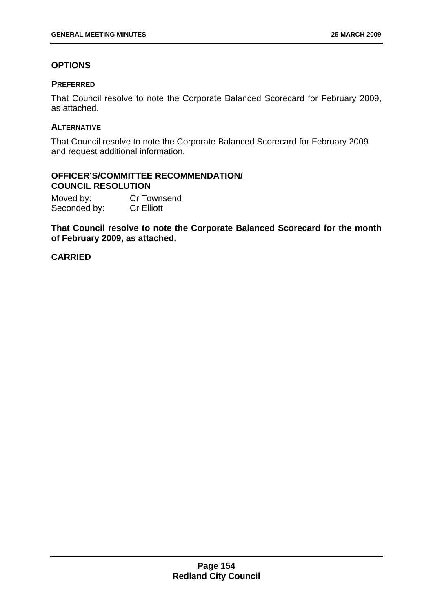# **OPTIONS**

## **PREFERRED**

That Council resolve to note the Corporate Balanced Scorecard for February 2009, as attached.

## **ALTERNATIVE**

That Council resolve to note the Corporate Balanced Scorecard for February 2009 and request additional information.

## **OFFICER'S/COMMITTEE RECOMMENDATION/ COUNCIL RESOLUTION**

Moved by: Cr Townsend Seconded by: Cr Elliott

**That Council resolve to note the Corporate Balanced Scorecard for the month of February 2009, as attached.**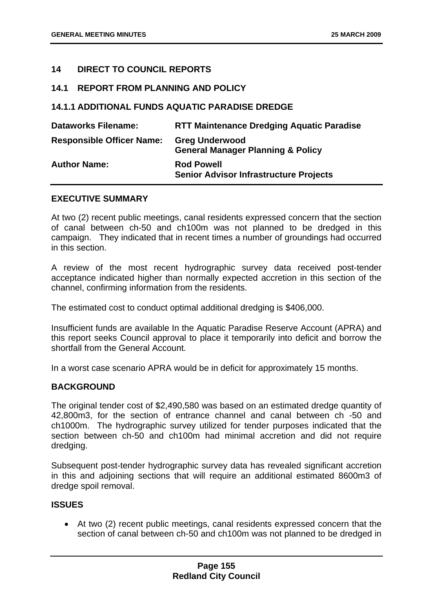## **14 DIRECT TO COUNCIL REPORTS**

## **14.1 REPORT FROM PLANNING AND POLICY**

## **14.1.1 ADDITIONAL FUNDS AQUATIC PARADISE DREDGE**

| <b>Dataworks Filename:</b>       | <b>RTT Maintenance Dredging Aquatic Paradise</b>                      |
|----------------------------------|-----------------------------------------------------------------------|
| <b>Responsible Officer Name:</b> | <b>Greg Underwood</b><br><b>General Manager Planning &amp; Policy</b> |
| <b>Author Name:</b>              | <b>Rod Powell</b><br><b>Senior Advisor Infrastructure Projects</b>    |

## **EXECUTIVE SUMMARY**

At two (2) recent public meetings, canal residents expressed concern that the section of canal between ch-50 and ch100m was not planned to be dredged in this campaign. They indicated that in recent times a number of groundings had occurred in this section.

A review of the most recent hydrographic survey data received post-tender acceptance indicated higher than normally expected accretion in this section of the channel, confirming information from the residents.

The estimated cost to conduct optimal additional dredging is \$406,000.

Insufficient funds are available In the Aquatic Paradise Reserve Account (APRA) and this report seeks Council approval to place it temporarily into deficit and borrow the shortfall from the General Account.

In a worst case scenario APRA would be in deficit for approximately 15 months.

## **BACKGROUND**

The original tender cost of \$2,490,580 was based on an estimated dredge quantity of 42,800m3, for the section of entrance channel and canal between ch -50 and ch1000m. The hydrographic survey utilized for tender purposes indicated that the section between ch-50 and ch100m had minimal accretion and did not require dredging.

Subsequent post-tender hydrographic survey data has revealed significant accretion in this and adjoining sections that will require an additional estimated 8600m3 of dredge spoil removal.

## **ISSUES**

• At two (2) recent public meetings, canal residents expressed concern that the section of canal between ch-50 and ch100m was not planned to be dredged in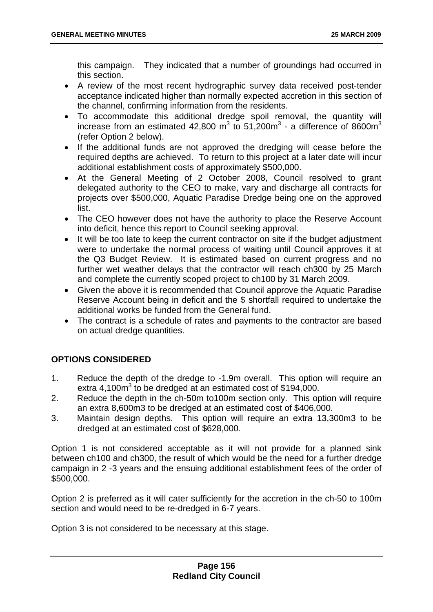this campaign. They indicated that a number of groundings had occurred in this section.

- A review of the most recent hydrographic survey data received post-tender acceptance indicated higher than normally expected accretion in this section of the channel, confirming information from the residents.
- To accommodate this additional dredge spoil removal, the quantity will increase from an estimated 42,800 m<sup>3</sup> to 51,200m<sup>3</sup> - a difference of 8600m<sup>3</sup> (refer Option 2 below).
- If the additional funds are not approved the dredging will cease before the required depths are achieved. To return to this project at a later date will incur additional establishment costs of approximately \$500,000.
- At the General Meeting of 2 October 2008, Council resolved to grant delegated authority to the CEO to make, vary and discharge all contracts for projects over \$500,000, Aquatic Paradise Dredge being one on the approved list.
- The CEO however does not have the authority to place the Reserve Account into deficit, hence this report to Council seeking approval.
- It will be too late to keep the current contractor on site if the budget adjustment were to undertake the normal process of waiting until Council approves it at the Q3 Budget Review. It is estimated based on current progress and no further wet weather delays that the contractor will reach ch300 by 25 March and complete the currently scoped project to ch100 by 31 March 2009.
- Given the above it is recommended that Council approve the Aquatic Paradise Reserve Account being in deficit and the \$ shortfall required to undertake the additional works be funded from the General fund.
- The contract is a schedule of rates and payments to the contractor are based on actual dredge quantities.

# **OPTIONS CONSIDERED**

- 1. Reduce the depth of the dredge to -1.9m overall. This option will require an extra  $4,100m^3$  to be dredged at an estimated cost of \$194,000.
- 2. Reduce the depth in the ch-50m to100m section only. This option will require an extra 8,600m3 to be dredged at an estimated cost of \$406,000.
- 3. Maintain design depths. This option will require an extra 13,300m3 to be dredged at an estimated cost of \$628,000.

Option 1 is not considered acceptable as it will not provide for a planned sink between ch100 and ch300, the result of which would be the need for a further dredge campaign in 2 -3 years and the ensuing additional establishment fees of the order of \$500,000.

Option 2 is preferred as it will cater sufficiently for the accretion in the ch-50 to 100m section and would need to be re-dredged in 6-7 years.

Option 3 is not considered to be necessary at this stage.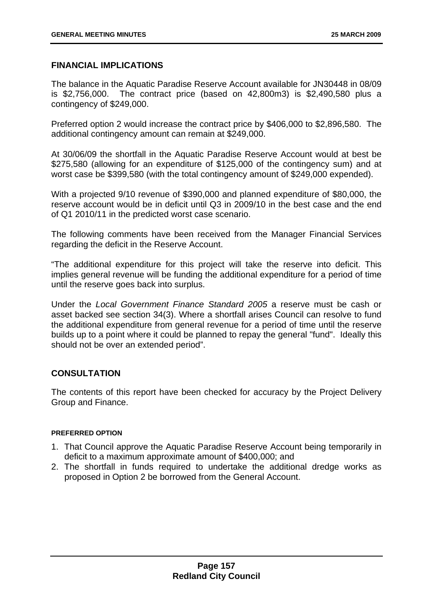## **FINANCIAL IMPLICATIONS**

The balance in the Aquatic Paradise Reserve Account available for JN30448 in 08/09 is \$2,756,000. The contract price (based on 42,800m3) is \$2,490,580 plus a contingency of \$249,000.

Preferred option 2 would increase the contract price by \$406,000 to \$2,896,580. The additional contingency amount can remain at \$249,000.

At 30/06/09 the shortfall in the Aquatic Paradise Reserve Account would at best be \$275,580 (allowing for an expenditure of \$125,000 of the contingency sum) and at worst case be \$399,580 (with the total contingency amount of \$249,000 expended).

With a projected 9/10 revenue of \$390,000 and planned expenditure of \$80,000, the reserve account would be in deficit until Q3 in 2009/10 in the best case and the end of Q1 2010/11 in the predicted worst case scenario.

The following comments have been received from the Manager Financial Services regarding the deficit in the Reserve Account.

"The additional expenditure for this project will take the reserve into deficit. This implies general revenue will be funding the additional expenditure for a period of time until the reserve goes back into surplus.

Under the *Local Government Finance Standard 2005* a reserve must be cash or asset backed see section 34(3). Where a shortfall arises Council can resolve to fund the additional expenditure from general revenue for a period of time until the reserve builds up to a point where it could be planned to repay the general "fund". Ideally this should not be over an extended period".

## **CONSULTATION**

The contents of this report have been checked for accuracy by the Project Delivery Group and Finance.

#### **PREFERRED OPTION**

- 1. That Council approve the Aquatic Paradise Reserve Account being temporarily in deficit to a maximum approximate amount of \$400,000; and
- 2. The shortfall in funds required to undertake the additional dredge works as proposed in Option 2 be borrowed from the General Account.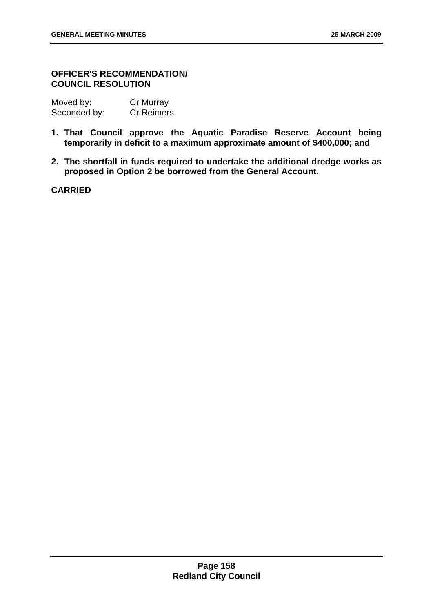## **OFFICER'S RECOMMENDATION/ COUNCIL RESOLUTION**

| Moved by:    | Cr Murray         |
|--------------|-------------------|
| Seconded by: | <b>Cr Reimers</b> |

- **1. That Council approve the Aquatic Paradise Reserve Account being temporarily in deficit to a maximum approximate amount of \$400,000; and**
- **2. The shortfall in funds required to undertake the additional dredge works as proposed in Option 2 be borrowed from the General Account.**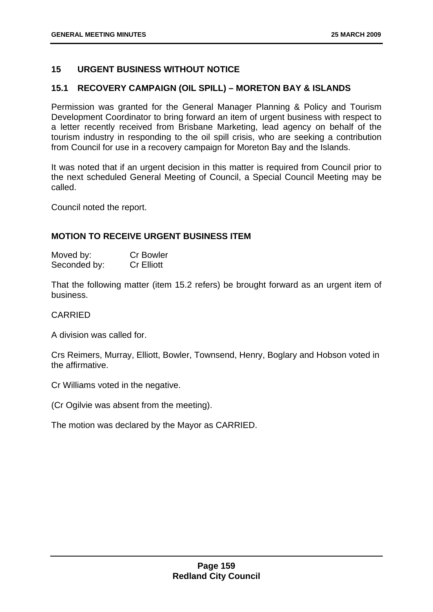## **15 URGENT BUSINESS WITHOUT NOTICE**

## **15.1 RECOVERY CAMPAIGN (OIL SPILL) – MORETON BAY & ISLANDS**

Permission was granted for the General Manager Planning & Policy and Tourism Development Coordinator to bring forward an item of urgent business with respect to a letter recently received from Brisbane Marketing, lead agency on behalf of the tourism industry in responding to the oil spill crisis, who are seeking a contribution from Council for use in a recovery campaign for Moreton Bay and the Islands.

It was noted that if an urgent decision in this matter is required from Council prior to the next scheduled General Meeting of Council, a Special Council Meeting may be called.

Council noted the report.

## **MOTION TO RECEIVE URGENT BUSINESS ITEM**

| Moved by:    | <b>Cr Bowler</b>  |
|--------------|-------------------|
| Seconded by: | <b>Cr Elliott</b> |

That the following matter (item 15.2 refers) be brought forward as an urgent item of business.

## CARRIED

A division was called for.

Crs Reimers, Murray, Elliott, Bowler, Townsend, Henry, Boglary and Hobson voted in the affirmative.

Cr Williams voted in the negative.

(Cr Ogilvie was absent from the meeting).

The motion was declared by the Mayor as CARRIED.